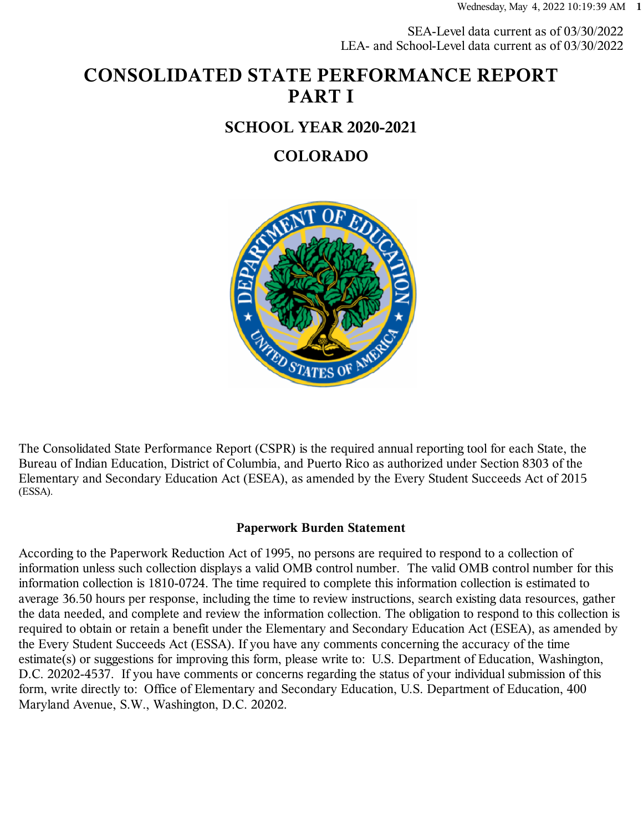SEA-Level data current as of 03/30/2022 LEA- and School-Level data current as of 03/30/2022

# **CONSOLIDATED STATE PERFORMANCE REPORT PART I**

#### **SCHOOL YEAR 2020-2021**

#### **COLORADO**



The Consolidated State Performance Report (CSPR) is the required annual reporting tool for each State, the Bureau of Indian Education, District of Columbia, and Puerto Rico as authorized under Section 8303 of the Elementary and Secondary Education Act (ESEA), as amended by the Every Student Succeeds Act of 2015 (ESSA).

#### **Paperwork Burden Statement**

According to the Paperwork Reduction Act of 1995, no persons are required to respond to a collection of information unless such collection displays a valid OMB control number. The valid OMB control number for this information collection is 1810-0724. The time required to complete this information collection is estimated to average 36.50 hours per response, including the time to review instructions, search existing data resources, gather the data needed, and complete and review the information collection. The obligation to respond to this collection is required to obtain or retain a benefit under the Elementary and Secondary Education Act (ESEA), as amended by the Every Student Succeeds Act (ESSA). If you have any comments concerning the accuracy of the time estimate(s) or suggestions for improving this form, please write to: U.S. Department of Education, Washington, D.C. 20202-4537. If you have comments or concerns regarding the status of your individual submission of this form, write directly to: Office of Elementary and Secondary Education, U.S. Department of Education, 400 Maryland Avenue, S.W., Washington, D.C. 20202.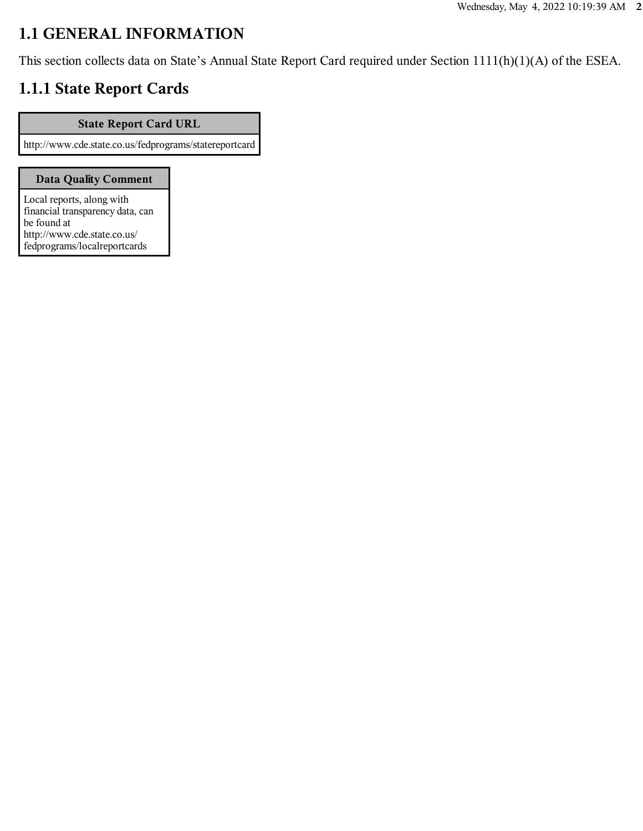## **1.1 GENERAL INFORMATION**

This section collects data on State's Annual State Report Card required under Section 1111(h)(1)(A) of the ESEA.

## **1.1.1 State Report Cards**

#### **State Report Card URL**

http://www.cde.state.co.us/fedprograms/statereportcard

#### **Data Quality Comment**

Local reports, along with financial transparency data, can be found at http://www.cde.state.co.us/ fedprograms/localreportcards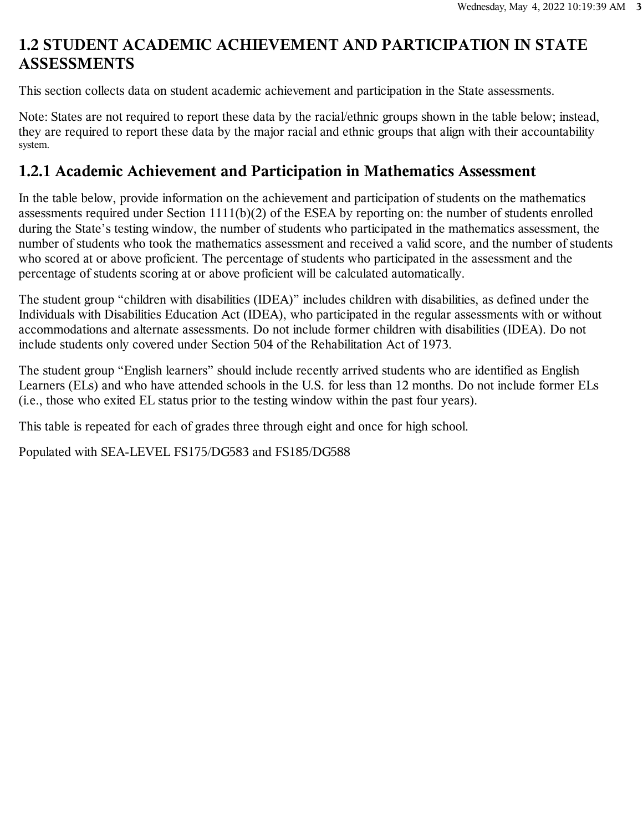## **1.2 STUDENT ACADEMIC ACHIEVEMENT AND PARTICIPATION IN STATE ASSESSMENTS**

This section collects data on student academic achievement and participation in the State assessments.

Note: States are not required to report these data by the racial/ethnic groups shown in the table below; instead, they are required to report these data by the major racial and ethnic groups that align with their accountability system.

#### **1.2.1 Academic Achievement and Participation in Mathematics Assessment**

In the table below, provide information on the achievement and participation of students on the mathematics assessments required under Section 1111(b)(2) of the ESEA by reporting on: the number of students enrolled during the State's testing window, the number of students who participated in the mathematics assessment, the number of students who took the mathematics assessment and received a valid score, and the number of students who scored at or above proficient. The percentage of students who participated in the assessment and the percentage of students scoring at or above proficient will be calculated automatically.

The student group "children with disabilities (IDEA)" includes children with disabilities, as defined under the Individuals with Disabilities Education Act (IDEA), who participated in the regular assessments with or without accommodations and alternate assessments. Do not include former children with disabilities (IDEA). Do not include students only covered under Section 504 of the Rehabilitation Act of 1973.

The student group "English learners" should include recently arrived students who are identified as English Learners (ELs) and who have attended schools in the U.S. for less than 12 months. Do not include former ELs (i.e., those who exited EL status prior to the testing window within the past four years).

This table is repeated for each of grades three through eight and once for high school.

Populated with SEA-LEVEL FS175/DG583 and FS185/DG588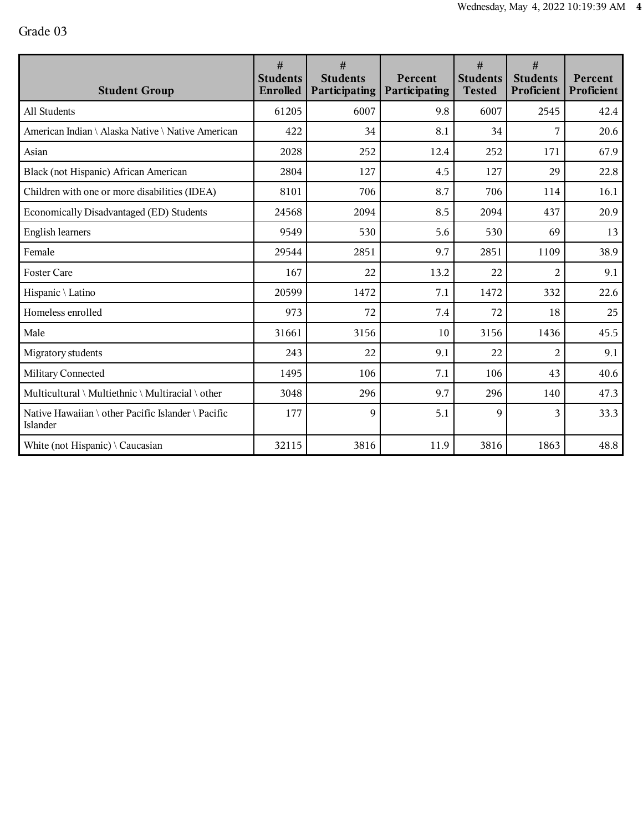| <b>Student Group</b>                                           | #<br><b>Students</b><br><b>Enrolled</b> | #<br><b>Students</b><br>Participating | Percent<br>Participating | #<br><b>Students</b><br><b>Tested</b> | #<br><b>Students</b><br>Proficient | Percent<br>Proficient |
|----------------------------------------------------------------|-----------------------------------------|---------------------------------------|--------------------------|---------------------------------------|------------------------------------|-----------------------|
| All Students                                                   | 61205                                   | 6007                                  | 9.8                      | 6007                                  | 2545                               | 42.4                  |
| American Indian \ Alaska Native \ Native American              | 422                                     | 34                                    | 8.1                      | 34                                    | 7                                  | 20.6                  |
| Asian                                                          | 2028                                    | 252                                   | 12.4                     | 252                                   | 171                                | 67.9                  |
| Black (not Hispanic) African American                          | 2804                                    | 127                                   | 4.5                      | 127                                   | 29                                 | 22.8                  |
| Children with one or more disabilities (IDEA)                  | 8101                                    | 706                                   | 8.7                      | 706                                   | 114                                | 16.1                  |
| Economically Disadvantaged (ED) Students                       | 24568                                   | 2094                                  | 8.5                      | 2094                                  | 437                                | 20.9                  |
| <b>English learners</b>                                        | 9549                                    | 530                                   | 5.6                      | 530                                   | 69                                 | 13                    |
| Female                                                         | 29544                                   | 2851                                  | 9.7                      | 2851                                  | 1109                               | 38.9                  |
| <b>Foster Care</b>                                             | 167                                     | 22                                    | 13.2                     | 22                                    | $\overline{2}$                     | 9.1                   |
| Hispanic \ Latino                                              | 20599                                   | 1472                                  | 7.1                      | 1472                                  | 332                                | 22.6                  |
| Homeless enrolled                                              | 973                                     | 72                                    | 7.4                      | 72                                    | 18                                 | 25                    |
| Male                                                           | 31661                                   | 3156                                  | 10                       | 3156                                  | 1436                               | 45.5                  |
| Migratory students                                             | 243                                     | 22                                    | 9.1                      | 22                                    | $\overline{2}$                     | 9.1                   |
| Military Connected                                             | 1495                                    | 106                                   | 7.1                      | 106                                   | 43                                 | 40.6                  |
| Multicultural \ Multiethnic \ Multiracial \ other              | 3048                                    | 296                                   | 9.7                      | 296                                   | 140                                | 47.3                  |
| Native Hawaiian \ other Pacific Islander \ Pacific<br>Islander | 177                                     | $\mathbf Q$                           | 5.1                      | $\mathbf Q$                           | 3                                  | 33.3                  |
| White (not Hispanic) $\setminus$ Caucasian                     | 32115                                   | 3816                                  | 11.9                     | 3816                                  | 1863                               | 48.8                  |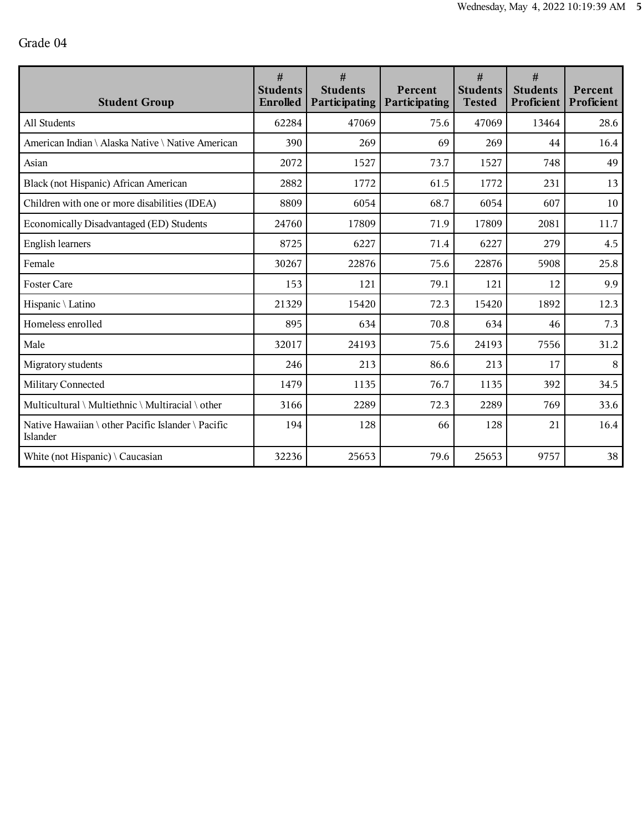| <b>Student Group</b>                                           | #<br><b>Students</b><br>Enrolled | #<br><b>Students</b><br>Participating | Percent<br><b>Participating</b> | #<br><b>Students</b><br><b>Tested</b> | #<br><b>Students</b><br>Proficient | Percent<br>Proficient |
|----------------------------------------------------------------|----------------------------------|---------------------------------------|---------------------------------|---------------------------------------|------------------------------------|-----------------------|
| All Students                                                   | 62284                            | 47069                                 | 75.6                            | 47069                                 | 13464                              | 28.6                  |
| American Indian \ Alaska Native \ Native American              | 390                              | 269                                   | 69                              | 269                                   | 44                                 | 16.4                  |
| Asian                                                          | 2072                             | 1527                                  | 73.7                            | 1527                                  | 748                                | 49                    |
| Black (not Hispanic) African American                          | 2882                             | 1772                                  | 61.5                            | 1772                                  | 231                                | 13                    |
| Children with one or more disabilities (IDEA)                  | 8809                             | 6054                                  | 68.7                            | 6054                                  | 607                                | 10                    |
| Economically Disadvantaged (ED) Students                       | 24760                            | 17809                                 | 71.9                            | 17809                                 | 2081                               | 11.7                  |
| <b>English learners</b>                                        | 8725                             | 6227                                  | 71.4                            | 6227                                  | 279                                | 4.5                   |
| Female                                                         | 30267                            | 22876                                 | 75.6                            | 22876                                 | 5908                               | 25.8                  |
| <b>Foster Care</b>                                             | 153                              | 121                                   | 79.1                            | 121                                   | 12                                 | 9.9                   |
| Hispanic \ Latino                                              | 21329                            | 15420                                 | 72.3                            | 15420                                 | 1892                               | 12.3                  |
| Homeless enrolled                                              | 895                              | 634                                   | 70.8                            | 634                                   | 46                                 | 7.3                   |
| Male                                                           | 32017                            | 24193                                 | 75.6                            | 24193                                 | 7556                               | 31.2                  |
| Migratory students                                             | 246                              | 213                                   | 86.6                            | 213                                   | 17                                 | $\,8\,$               |
| Military Connected                                             | 1479                             | 1135                                  | 76.7                            | 1135                                  | 392                                | 34.5                  |
| Multicultural \ Multiethnic \ Multiracial \ other              | 3166                             | 2289                                  | 72.3                            | 2289                                  | 769                                | 33.6                  |
| Native Hawaiian \ other Pacific Islander \ Pacific<br>Islander | 194                              | 128                                   | 66                              | 128                                   | 21                                 | 16.4                  |
| White (not Hispanic) $\setminus$ Caucasian                     | 32236                            | 25653                                 | 79.6                            | 25653                                 | 9757                               | 38                    |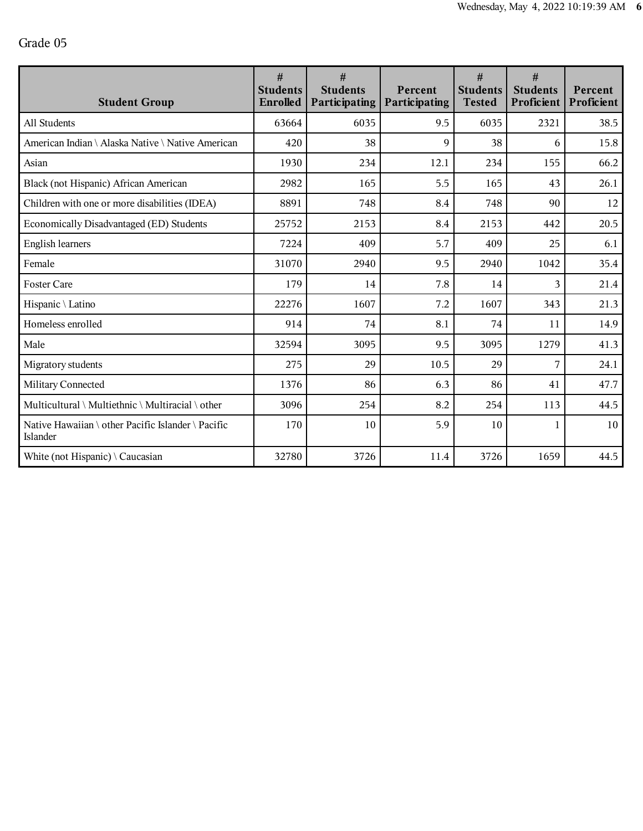| <b>Student Group</b>                                           | #<br><b>Students</b><br>Enrolled | #<br><b>Students</b><br>Participating | Percent<br><b>Participating</b> | #<br><b>Students</b><br><b>Tested</b> | #<br><b>Students</b><br>Proficient | Percent<br>Proficient |
|----------------------------------------------------------------|----------------------------------|---------------------------------------|---------------------------------|---------------------------------------|------------------------------------|-----------------------|
| All Students                                                   | 63664                            | 6035                                  | 9.5                             | 6035                                  | 2321                               | 38.5                  |
| American Indian \ Alaska Native \ Native American              | 420                              | 38                                    | $\mathbf Q$                     | 38                                    | 6                                  | 15.8                  |
| Asian                                                          | 1930                             | 234                                   | 12.1                            | 234                                   | 155                                | 66.2                  |
| Black (not Hispanic) African American                          | 2982                             | 165                                   | 5.5                             | 165                                   | 43                                 | 26.1                  |
| Children with one or more disabilities (IDEA)                  | 8891                             | 748                                   | 8.4                             | 748                                   | 90                                 | 12                    |
| Economically Disadvantaged (ED) Students                       | 25752                            | 2153                                  | 8.4                             | 2153                                  | 442                                | 20.5                  |
| <b>English learners</b>                                        | 7224                             | 409                                   | 5.7                             | 409                                   | 25                                 | 6.1                   |
| Female                                                         | 31070                            | 2940                                  | 9.5                             | 2940                                  | 1042                               | 35.4                  |
| <b>Foster Care</b>                                             | 179                              | 14                                    | 7.8                             | 14                                    | 3                                  | 21.4                  |
| Hispanic \ Latino                                              | 22276                            | 1607                                  | 7.2                             | 1607                                  | 343                                | 21.3                  |
| Homeless enrolled                                              | 914                              | 74                                    | 8.1                             | 74                                    | 11                                 | 14.9                  |
| Male                                                           | 32594                            | 3095                                  | 9.5                             | 3095                                  | 1279                               | 41.3                  |
| Migratory students                                             | 275                              | 29                                    | 10.5                            | 29                                    | 7                                  | 24.1                  |
| Military Connected                                             | 1376                             | 86                                    | 6.3                             | 86                                    | 41                                 | 47.7                  |
| Multicultural \ Multiethnic \ Multiracial \ other              | 3096                             | 254                                   | 8.2                             | 254                                   | 113                                | 44.5                  |
| Native Hawaiian \ other Pacific Islander \ Pacific<br>Islander | 170                              | 10                                    | 5.9                             | 10                                    | 1                                  | 10                    |
| White (not Hispanic) $\setminus$ Caucasian                     | 32780                            | 3726                                  | 11.4                            | 3726                                  | 1659                               | 44.5                  |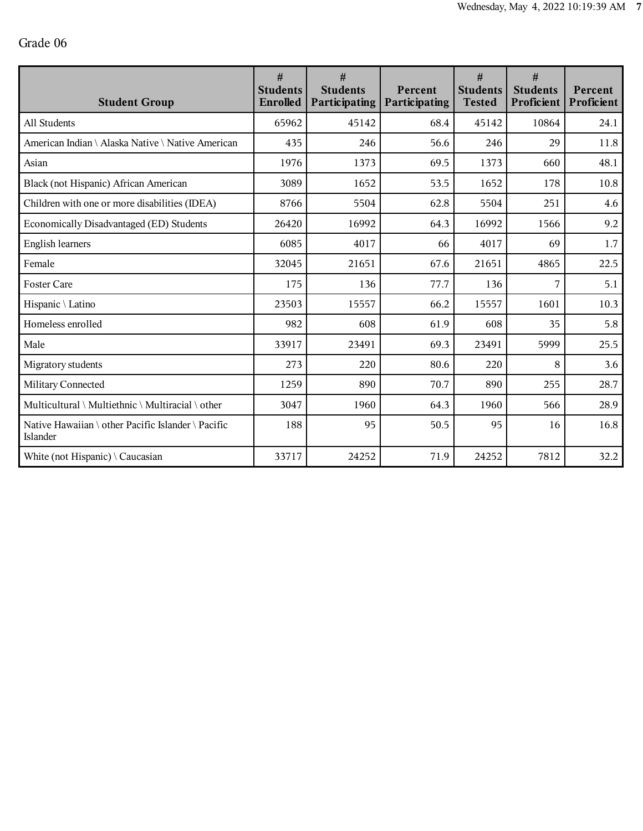| <b>Student Group</b>                                           | #<br><b>Students</b><br>Enrolled | #<br><b>Students</b><br>Participating | Percent<br>Participating | #<br><b>Students</b><br><b>Tested</b> | #<br><b>Students</b><br>Proficient | Percent<br>Proficient |
|----------------------------------------------------------------|----------------------------------|---------------------------------------|--------------------------|---------------------------------------|------------------------------------|-----------------------|
| All Students                                                   | 65962                            | 45142                                 | 68.4                     | 45142                                 | 10864                              | 24.1                  |
| American Indian \ Alaska Native \ Native American              | 435                              | 246                                   | 56.6                     | 246                                   | 29                                 | 11.8                  |
| Asian                                                          | 1976                             | 1373                                  | 69.5                     | 1373                                  | 660                                | 48.1                  |
| Black (not Hispanic) African American                          | 3089                             | 1652                                  | 53.5                     | 1652                                  | 178                                | 10.8                  |
| Children with one or more disabilities (IDEA)                  | 8766                             | 5504                                  | 62.8                     | 5504                                  | 251                                | 4.6                   |
| Economically Disadvantaged (ED) Students                       | 26420                            | 16992                                 | 64.3                     | 16992                                 | 1566                               | 9.2                   |
| <b>English learners</b>                                        | 6085                             | 4017                                  | 66                       | 4017                                  | 69                                 | 1.7                   |
| Female                                                         | 32045                            | 21651                                 | 67.6                     | 21651                                 | 4865                               | 22.5                  |
| <b>Foster Care</b>                                             | 175                              | 136                                   | 77.7                     | 136                                   | 7                                  | 5.1                   |
| Hispanic \ Latino                                              | 23503                            | 15557                                 | 66.2                     | 15557                                 | 1601                               | 10.3                  |
| Homeless enrolled                                              | 982                              | 608                                   | 61.9                     | 608                                   | 35                                 | 5.8                   |
| Male                                                           | 33917                            | 23491                                 | 69.3                     | 23491                                 | 5999                               | 25.5                  |
| Migratory students                                             | 273                              | 220                                   | 80.6                     | 220                                   | 8                                  | 3.6                   |
| Military Connected                                             | 1259                             | 890                                   | 70.7                     | 890                                   | 255                                | 28.7                  |
| Multicultural \ Multiethnic \ Multiracial \ other              | 3047                             | 1960                                  | 64.3                     | 1960                                  | 566                                | 28.9                  |
| Native Hawaiian \ other Pacific Islander \ Pacific<br>Islander | 188                              | 95                                    | 50.5                     | 95                                    | 16                                 | 16.8                  |
| White (not Hispanic) $\setminus$ Caucasian                     | 33717                            | 24252                                 | 71.9                     | 24252                                 | 7812                               | 32.2                  |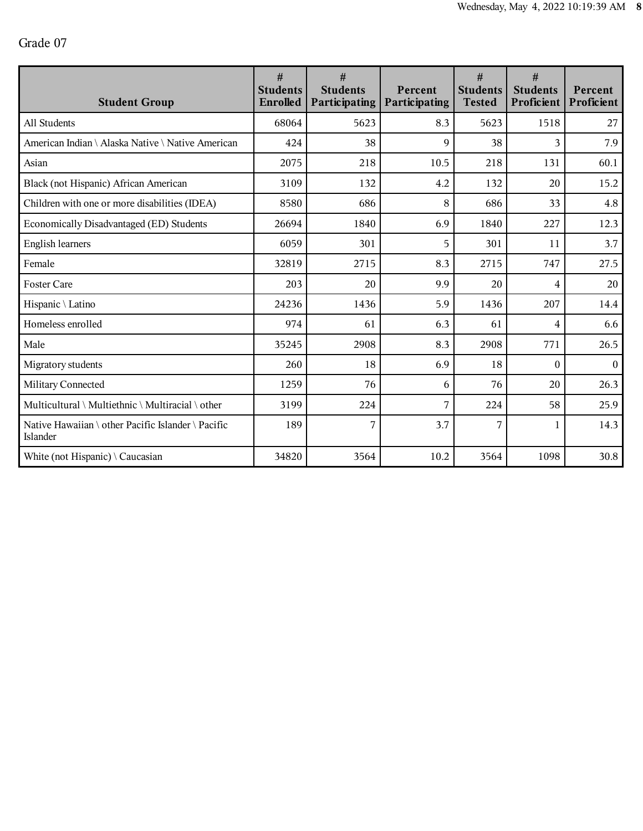| <b>Student Group</b>                                           | #<br><b>Students</b><br>Enrolled | #<br><b>Students</b><br>Participating | Percent<br><b>Participating</b> | #<br><b>Students</b><br><b>Tested</b> | #<br><b>Students</b><br>Proficient | Percent<br>Proficient |
|----------------------------------------------------------------|----------------------------------|---------------------------------------|---------------------------------|---------------------------------------|------------------------------------|-----------------------|
| All Students                                                   | 68064                            | 5623                                  | 8.3                             | 5623                                  | 1518                               | 27                    |
| American Indian \ Alaska Native \ Native American              | 424                              | 38                                    | 9                               | 38                                    | 3                                  | 7.9                   |
| Asian                                                          | 2075                             | 218                                   | 10.5                            | 218                                   | 131                                | 60.1                  |
| Black (not Hispanic) African American                          | 3109                             | 132                                   | 4.2                             | 132                                   | 20                                 | 15.2                  |
| Children with one or more disabilities (IDEA)                  | 8580                             | 686                                   | 8                               | 686                                   | 33                                 | 4.8                   |
| Economically Disadvantaged (ED) Students                       | 26694                            | 1840                                  | 6.9                             | 1840                                  | 227                                | 12.3                  |
| <b>English learners</b>                                        | 6059                             | 301                                   | 5                               | 301                                   | 11                                 | 3.7                   |
| Female                                                         | 32819                            | 2715                                  | 8.3                             | 2715                                  | 747                                | 27.5                  |
| <b>Foster Care</b>                                             | 203                              | 20                                    | 9.9                             | 20                                    | 4                                  | 20                    |
| Hispanic \ Latino                                              | 24236                            | 1436                                  | 5.9                             | 1436                                  | 207                                | 14.4                  |
| Homeless enrolled                                              | 974                              | 61                                    | 6.3                             | 61                                    | 4                                  | 6.6                   |
| Male                                                           | 35245                            | 2908                                  | 8.3                             | 2908                                  | 771                                | 26.5                  |
| Migratory students                                             | 260                              | 18                                    | 6.9                             | 18                                    | $\theta$                           | $\boldsymbol{0}$      |
| Military Connected                                             | 1259                             | 76                                    | 6                               | 76                                    | 20                                 | 26.3                  |
| Multicultural \ Multiethnic \ Multiracial \ other              | 3199                             | 224                                   | 7                               | 224                                   | 58                                 | 25.9                  |
| Native Hawaiian \ other Pacific Islander \ Pacific<br>Islander | 189                              | 7                                     | 3.7                             | 7                                     | 1                                  | 14.3                  |
| White (not Hispanic) $\setminus$ Caucasian                     | 34820                            | 3564                                  | 10.2                            | 3564                                  | 1098                               | 30.8                  |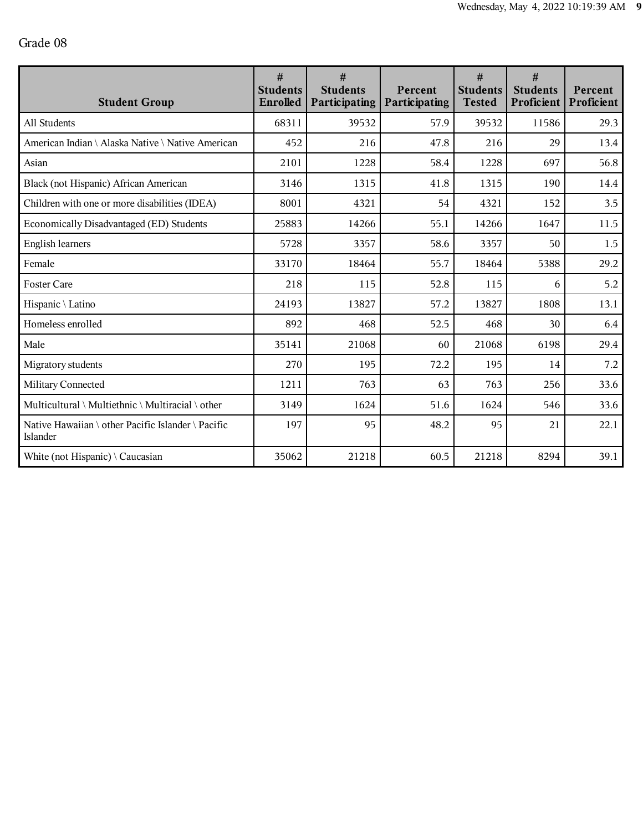| <b>Student Group</b>                                           | #<br><b>Students</b><br>Enrolled | #<br><b>Students</b><br>Participating | Percent<br><b>Participating</b> | #<br><b>Students</b><br><b>Tested</b> | #<br><b>Students</b><br>Proficient | Percent<br>Proficient |
|----------------------------------------------------------------|----------------------------------|---------------------------------------|---------------------------------|---------------------------------------|------------------------------------|-----------------------|
| All Students                                                   | 68311                            | 39532                                 | 57.9                            | 39532                                 | 11586                              | 29.3                  |
| American Indian \ Alaska Native \ Native American              | 452                              | 216                                   | 47.8                            | 216                                   | 29                                 | 13.4                  |
| Asian                                                          | 2101                             | 1228                                  | 58.4                            | 1228                                  | 697                                | 56.8                  |
| Black (not Hispanic) African American                          | 3146                             | 1315                                  | 41.8                            | 1315                                  | 190                                | 14.4                  |
| Children with one or more disabilities (IDEA)                  | 8001                             | 4321                                  | 54                              | 4321                                  | 152                                | 3.5                   |
| Economically Disadvantaged (ED) Students                       | 25883                            | 14266                                 | 55.1                            | 14266                                 | 1647                               | 11.5                  |
| <b>English learners</b>                                        | 5728                             | 3357                                  | 58.6                            | 3357                                  | 50                                 | 1.5                   |
| Female                                                         | 33170                            | 18464                                 | 55.7                            | 18464                                 | 5388                               | 29.2                  |
| <b>Foster Care</b>                                             | 218                              | 115                                   | 52.8                            | 115                                   | 6                                  | 5.2                   |
| Hispanic \ Latino                                              | 24193                            | 13827                                 | 57.2                            | 13827                                 | 1808                               | 13.1                  |
| Homeless enrolled                                              | 892                              | 468                                   | 52.5                            | 468                                   | 30                                 | 6.4                   |
| Male                                                           | 35141                            | 21068                                 | 60                              | 21068                                 | 6198                               | 29.4                  |
| Migratory students                                             | 270                              | 195                                   | 72.2                            | 195                                   | 14                                 | 7.2                   |
| Military Connected                                             | 1211                             | 763                                   | 63                              | 763                                   | 256                                | 33.6                  |
| Multicultural \ Multiethnic \ Multiracial \ other              | 3149                             | 1624                                  | 51.6                            | 1624                                  | 546                                | 33.6                  |
| Native Hawaiian \ other Pacific Islander \ Pacific<br>Islander | 197                              | 95                                    | 48.2                            | 95                                    | 21                                 | 22.1                  |
| White (not Hispanic) $\setminus$ Caucasian                     | 35062                            | 21218                                 | 60.5                            | 21218                                 | 8294                               | 39.1                  |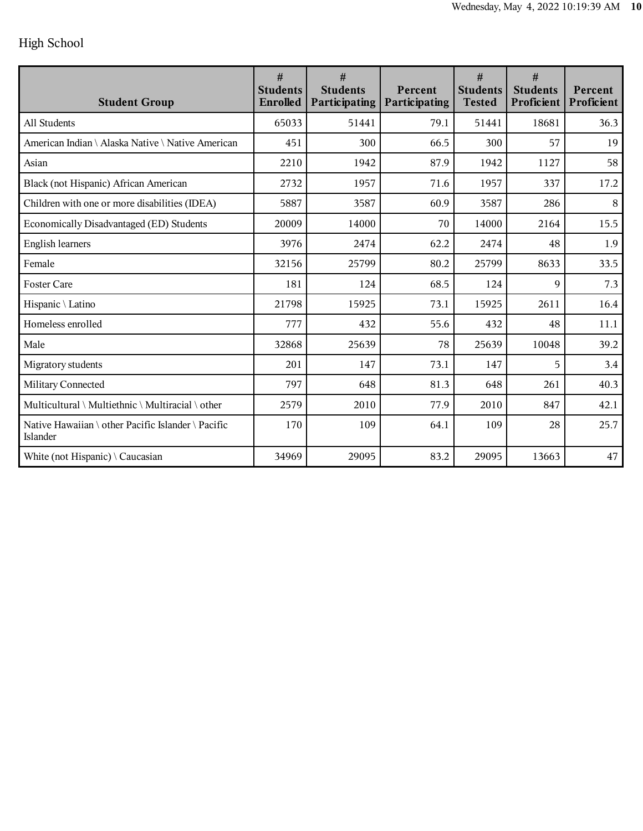## High School

| <b>Student Group</b>                                           | #<br><b>Students</b><br><b>Enrolled</b> | #<br><b>Students</b><br>Participating | Percent<br>Participating | #<br><b>Students</b><br><b>Tested</b> | #<br><b>Students</b><br>Proficient | Percent<br>Proficient |
|----------------------------------------------------------------|-----------------------------------------|---------------------------------------|--------------------------|---------------------------------------|------------------------------------|-----------------------|
| All Students                                                   | 65033                                   | 51441                                 | 79.1                     | 51441                                 | 18681                              | 36.3                  |
| American Indian \ Alaska Native \ Native American              | 451                                     | 300                                   | 66.5                     | 300                                   | 57                                 | 19                    |
| Asian                                                          | 2210                                    | 1942                                  | 87.9                     | 1942                                  | 1127                               | 58                    |
| Black (not Hispanic) African American                          | 2732                                    | 1957                                  | 71.6                     | 1957                                  | 337                                | 17.2                  |
| Children with one or more disabilities (IDEA)                  | 5887                                    | 3587                                  | 60.9                     | 3587                                  | 286                                | $\,8\,$               |
| Economically Disadvantaged (ED) Students                       | 20009                                   | 14000                                 | 70                       | 14000                                 | 2164                               | 15.5                  |
| English learners                                               | 3976                                    | 2474                                  | 62.2                     | 2474                                  | 48                                 | 1.9                   |
| Female                                                         | 32156                                   | 25799                                 | 80.2                     | 25799                                 | 8633                               | 33.5                  |
| <b>Foster Care</b>                                             | 181                                     | 124                                   | 68.5                     | 124                                   | $\mathbf Q$                        | 7.3                   |
| Hispanic \ Latino                                              | 21798                                   | 15925                                 | 73.1                     | 15925                                 | 2611                               | 16.4                  |
| Homeless enrolled                                              | 777                                     | 432                                   | 55.6                     | 432                                   | 48                                 | 11.1                  |
| Male                                                           | 32868                                   | 25639                                 | 78                       | 25639                                 | 10048                              | 39.2                  |
| Migratory students                                             | 201                                     | 147                                   | 73.1                     | 147                                   | 5                                  | 3.4                   |
| Military Connected                                             | 797                                     | 648                                   | 81.3                     | 648                                   | 261                                | 40.3                  |
| Multicultural \ Multiethnic \ Multiracial \ other              | 2579                                    | 2010                                  | 77.9                     | 2010                                  | 847                                | 42.1                  |
| Native Hawaiian \ other Pacific Islander \ Pacific<br>Islander | 170                                     | 109                                   | 64.1                     | 109                                   | 28                                 | 25.7                  |
| White (not Hispanic) $\setminus$ Caucasian                     | 34969                                   | 29095                                 | 83.2                     | 29095                                 | 13663                              | 47                    |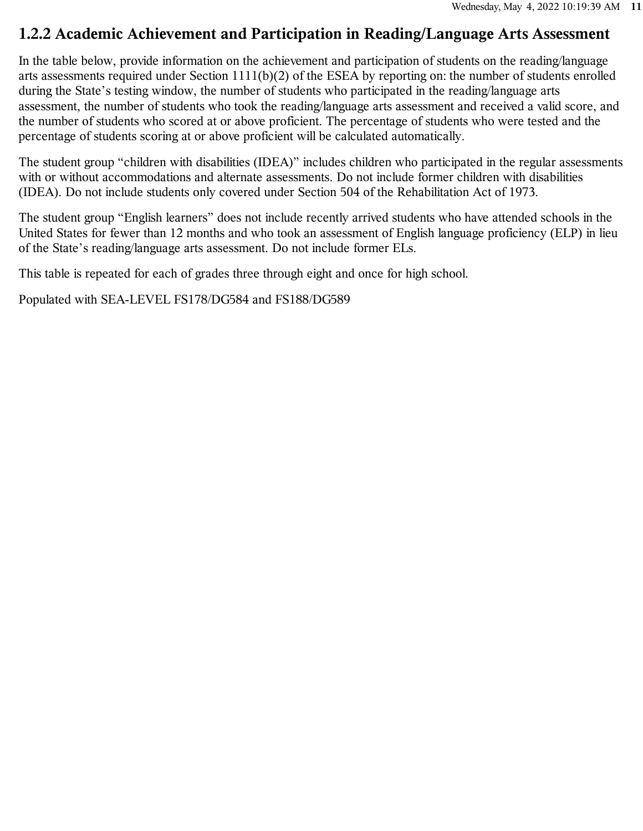## **1.2.2 Academic Achievement and Participation in Reading/Language Arts Assessment**

In the table below, provide information on the achievement and participation of students on the reading/language arts assessments required under Section 1111(b)(2) of the ESEA by reporting on: the number of students enrolled during the State's testing window, the number of students who participated in the reading/language arts assessment, the number of students who took the reading/language arts assessment and received a valid score, and the number of students who scored at or above proficient. The percentage of students who were tested and the percentage of students scoring at or above proficient will be calculated automatically.

The student group "children with disabilities (IDEA)" includes children who participated in the regular assessments with or without accommodations and alternate assessments. Do not include former children with disabilities (IDEA). Do not include students only covered under Section 504 of the Rehabilitation Act of 1973.

The student group "English learners" does not include recently arrived students who have attended schools in the United States for fewer than 12 months and who took an assessment of English language proficiency (ELP) in lieu of the State's reading/language arts assessment. Do not include former ELs.

This table is repeated for each of grades three through eight and once for high school.

Populated with SEA-LEVEL FS178/DG584 and FS188/DG589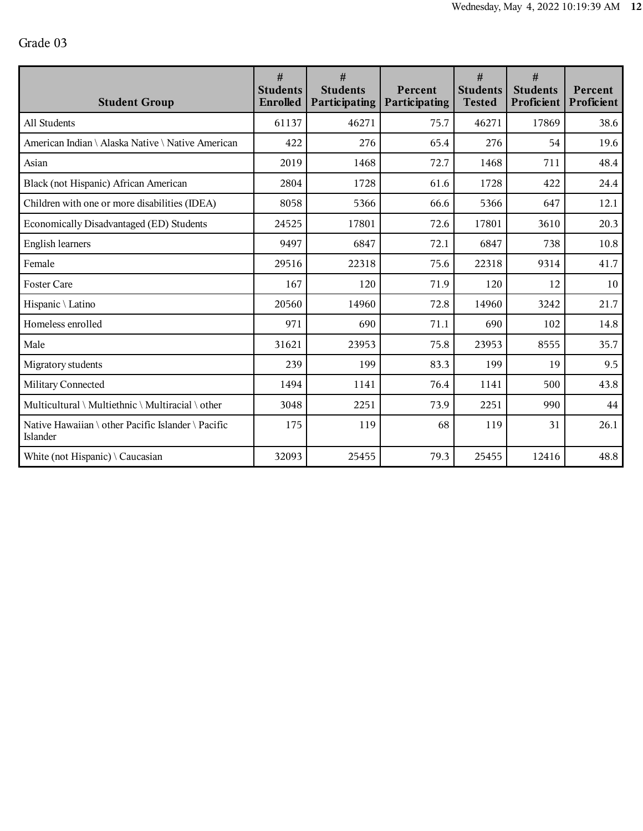| <b>Student Group</b>                                           | #<br><b>Students</b><br>Enrolled | #<br><b>Students</b><br>Participating | Percent<br><b>Participating</b> | #<br><b>Students</b><br><b>Tested</b> | #<br><b>Students</b><br>Proficient | Percent<br>Proficient |
|----------------------------------------------------------------|----------------------------------|---------------------------------------|---------------------------------|---------------------------------------|------------------------------------|-----------------------|
| All Students                                                   | 61137                            | 46271                                 | 75.7                            | 46271                                 | 17869                              | 38.6                  |
| American Indian \ Alaska Native \ Native American              | 422                              | 276                                   | 65.4                            | 276                                   | 54                                 | 19.6                  |
| Asian                                                          | 2019                             | 1468                                  | 72.7                            | 1468                                  | 711                                | 48.4                  |
| Black (not Hispanic) African American                          | 2804                             | 1728                                  | 61.6                            | 1728                                  | 422                                | 24.4                  |
| Children with one or more disabilities (IDEA)                  | 8058                             | 5366                                  | 66.6                            | 5366                                  | 647                                | 12.1                  |
| Economically Disadvantaged (ED) Students                       | 24525                            | 17801                                 | 72.6                            | 17801                                 | 3610                               | 20.3                  |
| <b>English learners</b>                                        | 9497                             | 6847                                  | 72.1                            | 6847                                  | 738                                | 10.8                  |
| Female                                                         | 29516                            | 22318                                 | 75.6                            | 22318                                 | 9314                               | 41.7                  |
| <b>Foster Care</b>                                             | 167                              | 120                                   | 71.9                            | 120                                   | 12                                 | 10                    |
| Hispanic \ Latino                                              | 20560                            | 14960                                 | 72.8                            | 14960                                 | 3242                               | 21.7                  |
| Homeless enrolled                                              | 971                              | 690                                   | 71.1                            | 690                                   | 102                                | 14.8                  |
| Male                                                           | 31621                            | 23953                                 | 75.8                            | 23953                                 | 8555                               | 35.7                  |
| Migratory students                                             | 239                              | 199                                   | 83.3                            | 199                                   | 19                                 | 9.5                   |
| Military Connected                                             | 1494                             | 1141                                  | 76.4                            | 1141                                  | 500                                | 43.8                  |
| Multicultural \ Multiethnic \ Multiracial \ other              | 3048                             | 2251                                  | 73.9                            | 2251                                  | 990                                | 44                    |
| Native Hawaiian \ other Pacific Islander \ Pacific<br>Islander | 175                              | 119                                   | 68                              | 119                                   | 31                                 | 26.1                  |
| White (not Hispanic) $\setminus$ Caucasian                     | 32093                            | 25455                                 | 79.3                            | 25455                                 | 12416                              | 48.8                  |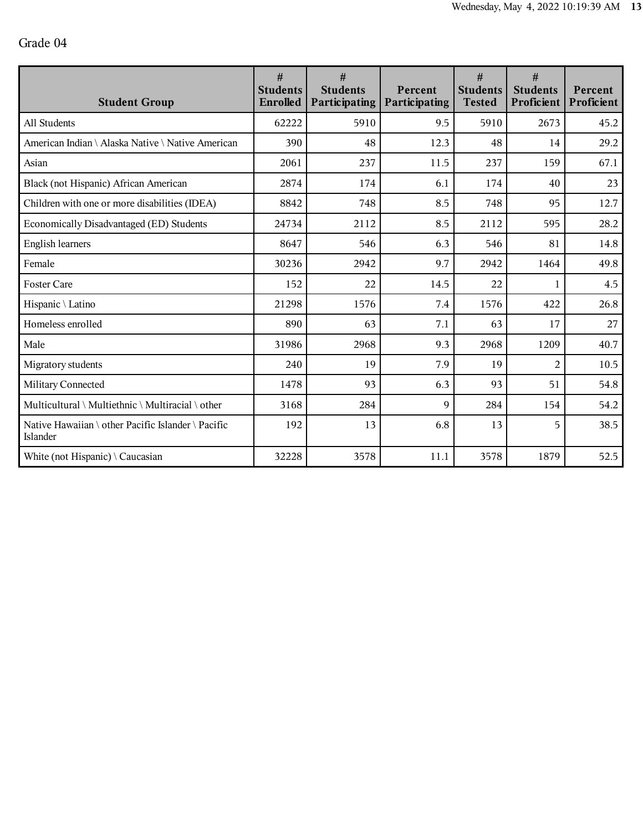| <b>Student Group</b>                                           | $\#$<br><b>Students</b><br>Enrolled | #<br><b>Students</b><br>Participating | Percent<br><b>Participating</b> | #<br><b>Students</b><br><b>Tested</b> | #<br><b>Students</b><br>Proficient | Percent<br>Proficient |
|----------------------------------------------------------------|-------------------------------------|---------------------------------------|---------------------------------|---------------------------------------|------------------------------------|-----------------------|
| All Students                                                   | 62222                               | 5910                                  | 9.5                             | 5910                                  | 2673                               | 45.2                  |
| American Indian \ Alaska Native \ Native American              | 390                                 | 48                                    | 12.3                            | 48                                    | 14                                 | 29.2                  |
| Asian                                                          | 2061                                | 237                                   | 11.5                            | 237                                   | 159                                | 67.1                  |
| Black (not Hispanic) African American                          | 2874                                | 174                                   | 6.1                             | 174                                   | 40                                 | 23                    |
| Children with one or more disabilities (IDEA)                  | 8842                                | 748                                   | 8.5                             | 748                                   | 95                                 | 12.7                  |
| Economically Disadvantaged (ED) Students                       | 24734                               | 2112                                  | 8.5                             | 2112                                  | 595                                | 28.2                  |
| <b>English learners</b>                                        | 8647                                | 546                                   | 6.3                             | 546                                   | 81                                 | 14.8                  |
| Female                                                         | 30236                               | 2942                                  | 9.7                             | 2942                                  | 1464                               | 49.8                  |
| <b>Foster Care</b>                                             | 152                                 | 22                                    | 14.5                            | 22                                    | 1                                  | 4.5                   |
| Hispanic \ Latino                                              | 21298                               | 1576                                  | 7.4                             | 1576                                  | 422                                | 26.8                  |
| Homeless enrolled                                              | 890                                 | 63                                    | 7.1                             | 63                                    | 17                                 | 27                    |
| Male                                                           | 31986                               | 2968                                  | 9.3                             | 2968                                  | 1209                               | 40.7                  |
| Migratory students                                             | 240                                 | 19                                    | 7.9                             | 19                                    | $\overline{2}$                     | 10.5                  |
| Military Connected                                             | 1478                                | 93                                    | 6.3                             | 93                                    | 51                                 | 54.8                  |
| Multicultural \ Multiethnic \ Multiracial \ other              | 3168                                | 284                                   | 9                               | 284                                   | 154                                | 54.2                  |
| Native Hawaiian \ other Pacific Islander \ Pacific<br>Islander | 192                                 | 13                                    | 6.8                             | 13                                    | 5                                  | 38.5                  |
| White (not Hispanic) $\setminus$ Caucasian                     | 32228                               | 3578                                  | 11.1                            | 3578                                  | 1879                               | 52.5                  |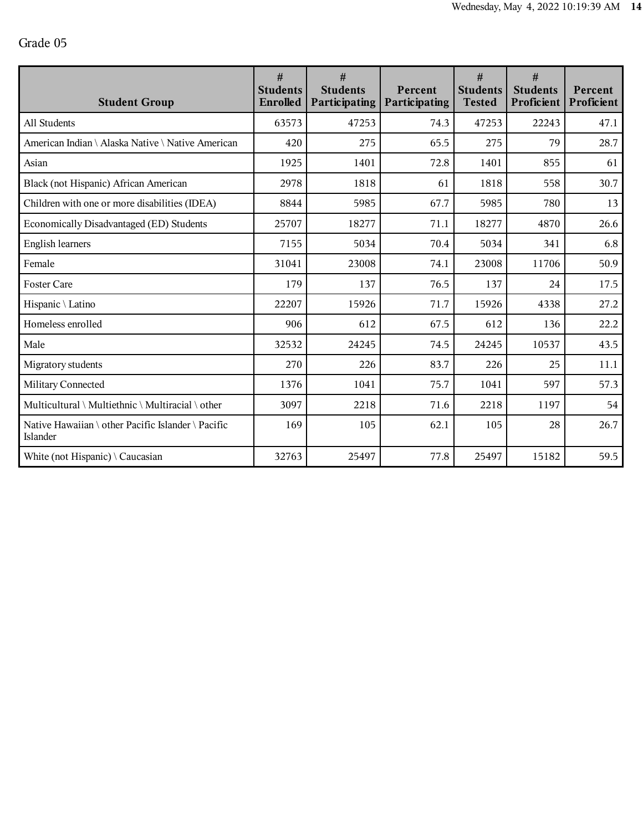| <b>Student Group</b>                                           | #<br><b>Students</b><br>Enrolled | #<br><b>Students</b><br>Participating | Percent<br><b>Participating</b> | #<br><b>Students</b><br><b>Tested</b> | #<br><b>Students</b><br>Proficient | Percent<br>Proficient |
|----------------------------------------------------------------|----------------------------------|---------------------------------------|---------------------------------|---------------------------------------|------------------------------------|-----------------------|
| All Students                                                   | 63573                            | 47253                                 | 74.3                            | 47253                                 | 22243                              | 47.1                  |
| American Indian \ Alaska Native \ Native American              | 420                              | 275                                   | 65.5                            | 275                                   | 79                                 | 28.7                  |
| Asian                                                          | 1925                             | 1401                                  | 72.8                            | 1401                                  | 855                                | 61                    |
| Black (not Hispanic) African American                          | 2978                             | 1818                                  | 61                              | 1818                                  | 558                                | 30.7                  |
| Children with one or more disabilities (IDEA)                  | 8844                             | 5985                                  | 67.7                            | 5985                                  | 780                                | 13                    |
| Economically Disadvantaged (ED) Students                       | 25707                            | 18277                                 | 71.1                            | 18277                                 | 4870                               | 26.6                  |
| <b>English learners</b>                                        | 7155                             | 5034                                  | 70.4                            | 5034                                  | 341                                | 6.8                   |
| Female                                                         | 31041                            | 23008                                 | 74.1                            | 23008                                 | 11706                              | 50.9                  |
| <b>Foster Care</b>                                             | 179                              | 137                                   | 76.5                            | 137                                   | 24                                 | 17.5                  |
| Hispanic \ Latino                                              | 22207                            | 15926                                 | 71.7                            | 15926                                 | 4338                               | 27.2                  |
| Homeless enrolled                                              | 906                              | 612                                   | 67.5                            | 612                                   | 136                                | 22.2                  |
| Male                                                           | 32532                            | 24245                                 | 74.5                            | 24245                                 | 10537                              | 43.5                  |
| Migratory students                                             | 270                              | 226                                   | 83.7                            | 226                                   | 25                                 | 11.1                  |
| Military Connected                                             | 1376                             | 1041                                  | 75.7                            | 1041                                  | 597                                | 57.3                  |
| Multicultural \ Multiethnic \ Multiracial \ other              | 3097                             | 2218                                  | 71.6                            | 2218                                  | 1197                               | 54                    |
| Native Hawaiian \ other Pacific Islander \ Pacific<br>Islander | 169                              | 105                                   | 62.1                            | 105                                   | 28                                 | 26.7                  |
| White (not Hispanic) $\setminus$ Caucasian                     | 32763                            | 25497                                 | 77.8                            | 25497                                 | 15182                              | 59.5                  |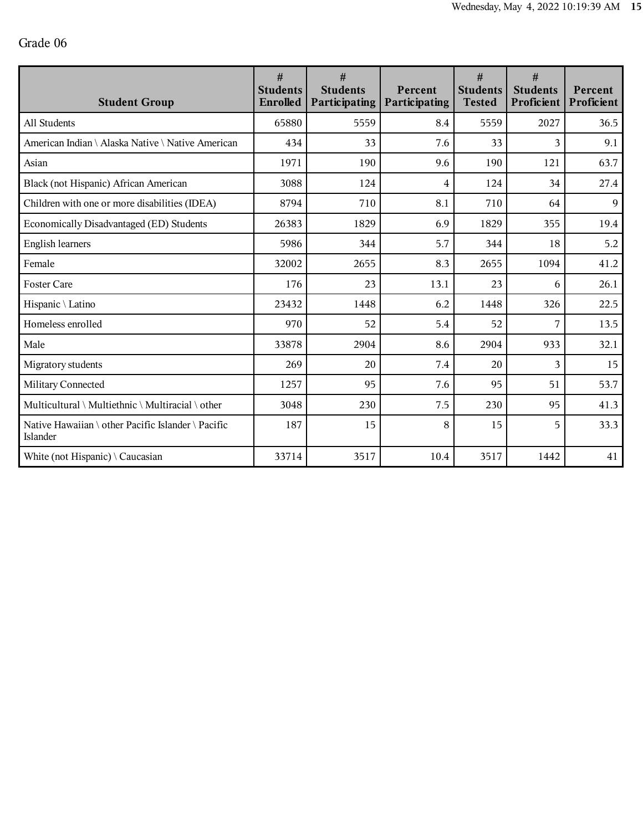| <b>Student Group</b>                                           | $\#$<br><b>Students</b><br>Enrolled | #<br><b>Students</b><br>Participating | Percent<br>Participating | #<br><b>Students</b><br><b>Tested</b> | #<br><b>Students</b><br>Proficient | Percent<br>Proficient |
|----------------------------------------------------------------|-------------------------------------|---------------------------------------|--------------------------|---------------------------------------|------------------------------------|-----------------------|
| All Students                                                   | 65880                               | 5559                                  | 8.4                      | 5559                                  | 2027                               | 36.5                  |
| American Indian \ Alaska Native \ Native American              | 434                                 | 33                                    | 7.6                      | 33                                    | 3                                  | 9.1                   |
| Asian                                                          | 1971                                | 190                                   | 9.6                      | 190                                   | 121                                | 63.7                  |
| Black (not Hispanic) African American                          | 3088                                | 124                                   | 4                        | 124                                   | 34                                 | 27.4                  |
| Children with one or more disabilities (IDEA)                  | 8794                                | 710                                   | 8.1                      | 710                                   | 64                                 | $\overline{9}$        |
| Economically Disadvantaged (ED) Students                       | 26383                               | 1829                                  | 6.9                      | 1829                                  | 355                                | 19.4                  |
| <b>English learners</b>                                        | 5986                                | 344                                   | 5.7                      | 344                                   | 18                                 | 5.2                   |
| Female                                                         | 32002                               | 2655                                  | 8.3                      | 2655                                  | 1094                               | 41.2                  |
| <b>Foster Care</b>                                             | 176                                 | 23                                    | 13.1                     | 23                                    | 6                                  | 26.1                  |
| Hispanic \ Latino                                              | 23432                               | 1448                                  | 6.2                      | 1448                                  | 326                                | 22.5                  |
| Homeless enrolled                                              | 970                                 | 52                                    | 5.4                      | 52                                    | 7                                  | 13.5                  |
| Male                                                           | 33878                               | 2904                                  | 8.6                      | 2904                                  | 933                                | 32.1                  |
| Migratory students                                             | 269                                 | 20                                    | 7.4                      | 20                                    | $\mathbf{3}$                       | 15                    |
| Military Connected                                             | 1257                                | 95                                    | 7.6                      | 95                                    | 51                                 | 53.7                  |
| Multicultural \ Multiethnic \ Multiracial \ other              | 3048                                | 230                                   | 7.5                      | 230                                   | 95                                 | 41.3                  |
| Native Hawaiian \ other Pacific Islander \ Pacific<br>Islander | 187                                 | 15                                    | 8                        | 15                                    | 5                                  | 33.3                  |
| White (not Hispanic) $\setminus$ Caucasian                     | 33714                               | 3517                                  | 10.4                     | 3517                                  | 1442                               | 41                    |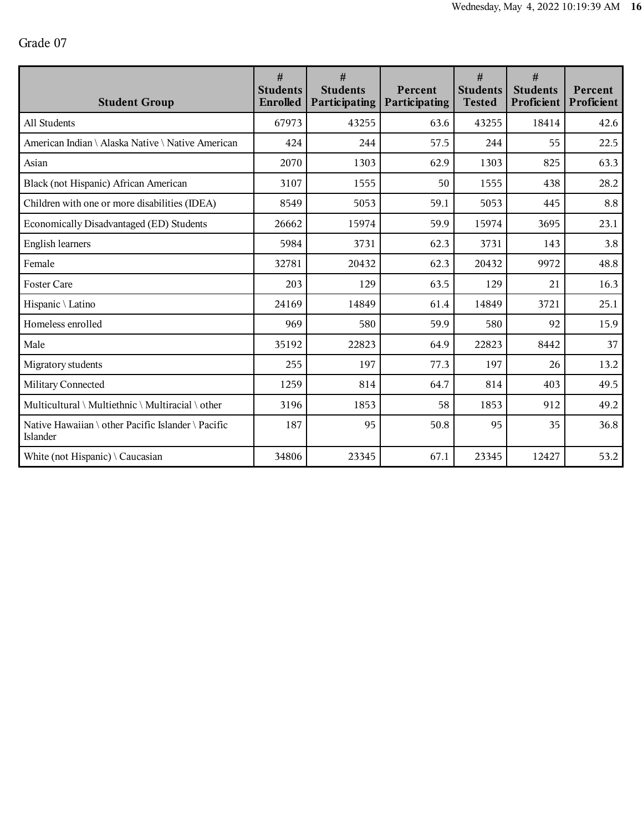| <b>Student Group</b>                                           | #<br><b>Students</b><br>Enrolled | #<br><b>Students</b><br>Participating | Percent<br>Participating | #<br><b>Students</b><br><b>Tested</b> | #<br><b>Students</b><br>Proficient | Percent<br>Proficient |
|----------------------------------------------------------------|----------------------------------|---------------------------------------|--------------------------|---------------------------------------|------------------------------------|-----------------------|
| All Students                                                   | 67973                            | 43255                                 | 63.6                     | 43255                                 | 18414                              | 42.6                  |
| American Indian \ Alaska Native \ Native American              | 424                              | 244                                   | 57.5                     | 244                                   | 55                                 | 22.5                  |
| Asian                                                          | 2070                             | 1303                                  | 62.9                     | 1303                                  | 825                                | 63.3                  |
| Black (not Hispanic) African American                          | 3107                             | 1555                                  | 50                       | 1555                                  | 438                                | 28.2                  |
| Children with one or more disabilities (IDEA)                  | 8549                             | 5053                                  | 59.1                     | 5053                                  | 445                                | 8.8                   |
| Economically Disadvantaged (ED) Students                       | 26662                            | 15974                                 | 59.9                     | 15974                                 | 3695                               | 23.1                  |
| <b>English learners</b>                                        | 5984                             | 3731                                  | 62.3                     | 3731                                  | 143                                | 3.8                   |
| Female                                                         | 32781                            | 20432                                 | 62.3                     | 20432                                 | 9972                               | 48.8                  |
| <b>Foster Care</b>                                             | 203                              | 129                                   | 63.5                     | 129                                   | 21                                 | 16.3                  |
| Hispanic \ Latino                                              | 24169                            | 14849                                 | 61.4                     | 14849                                 | 3721                               | 25.1                  |
| Homeless enrolled                                              | 969                              | 580                                   | 59.9                     | 580                                   | 92                                 | 15.9                  |
| Male                                                           | 35192                            | 22823                                 | 64.9                     | 22823                                 | 8442                               | 37                    |
| Migratory students                                             | 255                              | 197                                   | 77.3                     | 197                                   | 26                                 | 13.2                  |
| Military Connected                                             | 1259                             | 814                                   | 64.7                     | 814                                   | 403                                | 49.5                  |
| Multicultural \ Multiethnic \ Multiracial \ other              | 3196                             | 1853                                  | 58                       | 1853                                  | 912                                | 49.2                  |
| Native Hawaiian \ other Pacific Islander \ Pacific<br>Islander | 187                              | 95                                    | 50.8                     | 95                                    | 35                                 | 36.8                  |
| White (not Hispanic) $\setminus$ Caucasian                     | 34806                            | 23345                                 | 67.1                     | 23345                                 | 12427                              | 53.2                  |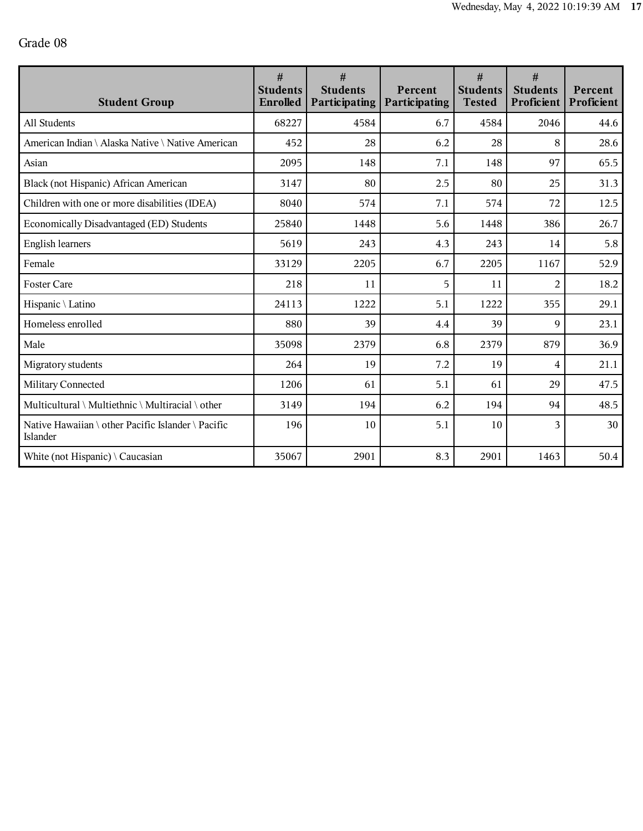| <b>Student Group</b>                                           | #<br><b>Students</b><br>Enrolled | #<br><b>Students</b><br>Participating | Percent<br><b>Participating</b> | #<br><b>Students</b><br><b>Tested</b> | #<br><b>Students</b><br>Proficient | Percent<br>Proficient |
|----------------------------------------------------------------|----------------------------------|---------------------------------------|---------------------------------|---------------------------------------|------------------------------------|-----------------------|
| All Students                                                   | 68227                            | 4584                                  | 6.7                             | 4584                                  | 2046                               | 44.6                  |
| American Indian \ Alaska Native \ Native American              | 452                              | 28                                    | 6.2                             | 28                                    | 8                                  | 28.6                  |
| Asian                                                          | 2095                             | 148                                   | 7.1                             | 148                                   | 97                                 | 65.5                  |
| Black (not Hispanic) African American                          | 3147                             | 80                                    | 2.5                             | 80                                    | 25                                 | 31.3                  |
| Children with one or more disabilities (IDEA)                  | 8040                             | 574                                   | 7.1                             | 574                                   | 72                                 | 12.5                  |
| Economically Disadvantaged (ED) Students                       | 25840                            | 1448                                  | 5.6                             | 1448                                  | 386                                | 26.7                  |
| <b>English learners</b>                                        | 5619                             | 243                                   | 4.3                             | 243                                   | 14                                 | 5.8                   |
| Female                                                         | 33129                            | 2205                                  | 6.7                             | 2205                                  | 1167                               | 52.9                  |
| <b>Foster Care</b>                                             | 218                              | 11                                    | 5                               | 11                                    | $\overline{2}$                     | 18.2                  |
| Hispanic \ Latino                                              | 24113                            | 1222                                  | 5.1                             | 1222                                  | 355                                | 29.1                  |
| Homeless enrolled                                              | 880                              | 39                                    | 4.4                             | 39                                    | $\mathbf Q$                        | 23.1                  |
| Male                                                           | 35098                            | 2379                                  | 6.8                             | 2379                                  | 879                                | 36.9                  |
| Migratory students                                             | 264                              | 19                                    | 7.2                             | 19                                    | 4                                  | 21.1                  |
| Military Connected                                             | 1206                             | 61                                    | 5.1                             | 61                                    | 29                                 | 47.5                  |
| Multicultural \ Multiethnic \ Multiracial \ other              | 3149                             | 194                                   | 6.2                             | 194                                   | 94                                 | 48.5                  |
| Native Hawaiian \ other Pacific Islander \ Pacific<br>Islander | 196                              | 10                                    | 5.1                             | 10                                    | 3                                  | 30                    |
| White (not Hispanic) $\setminus$ Caucasian                     | 35067                            | 2901                                  | 8.3                             | 2901                                  | 1463                               | 50.4                  |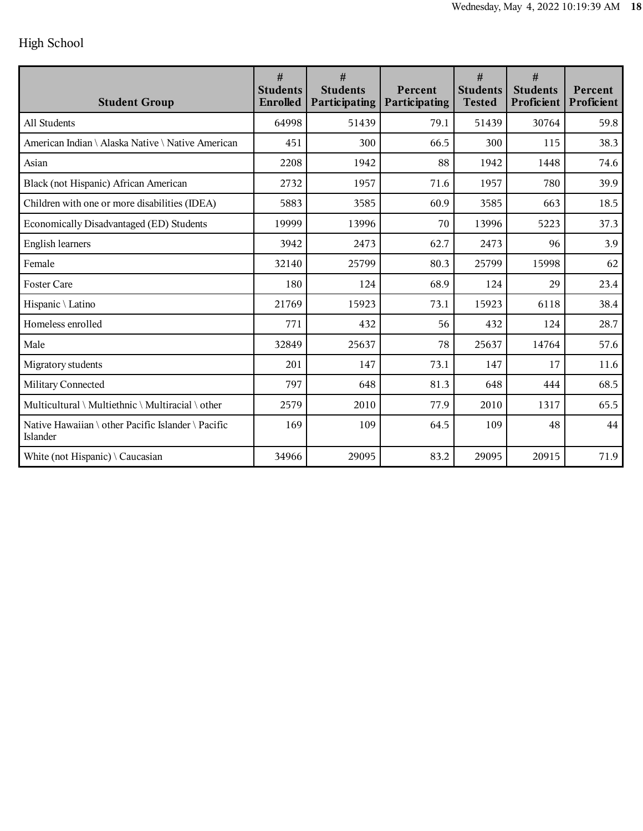## High School

| <b>Student Group</b>                                           | #<br><b>Students</b><br><b>Enrolled</b> | #<br><b>Students</b><br>Participating | Percent<br><b>Participating</b> | #<br><b>Students</b><br><b>Tested</b> | #<br><b>Students</b><br>Proficient | Percent<br>Proficient |
|----------------------------------------------------------------|-----------------------------------------|---------------------------------------|---------------------------------|---------------------------------------|------------------------------------|-----------------------|
| All Students                                                   | 64998                                   | 51439                                 | 79.1                            | 51439                                 | 30764                              | 59.8                  |
| American Indian \ Alaska Native \ Native American              | 451                                     | 300                                   | 66.5                            | 300                                   | 115                                | 38.3                  |
| Asian                                                          | 2208                                    | 1942                                  | 88                              | 1942                                  | 1448                               | 74.6                  |
| Black (not Hispanic) African American                          | 2732                                    | 1957                                  | 71.6                            | 1957                                  | 780                                | 39.9                  |
| Children with one or more disabilities (IDEA)                  | 5883                                    | 3585                                  | 60.9                            | 3585                                  | 663                                | 18.5                  |
| Economically Disadvantaged (ED) Students                       | 19999                                   | 13996                                 | 70                              | 13996                                 | 5223                               | 37.3                  |
| <b>English learners</b>                                        | 3942                                    | 2473                                  | 62.7                            | 2473                                  | 96                                 | 3.9                   |
| Female                                                         | 32140                                   | 25799                                 | 80.3                            | 25799                                 | 15998                              | 62                    |
| <b>Foster Care</b>                                             | 180                                     | 124                                   | 68.9                            | 124                                   | 29                                 | 23.4                  |
| Hispanic \ Latino                                              | 21769                                   | 15923                                 | 73.1                            | 15923                                 | 6118                               | 38.4                  |
| Homeless enrolled                                              | 771                                     | 432                                   | 56                              | 432                                   | 124                                | 28.7                  |
| Male                                                           | 32849                                   | 25637                                 | 78                              | 25637                                 | 14764                              | 57.6                  |
| Migratory students                                             | 201                                     | 147                                   | 73.1                            | 147                                   | 17                                 | 11.6                  |
| Military Connected                                             | 797                                     | 648                                   | 81.3                            | 648                                   | 444                                | 68.5                  |
| Multicultural \ Multiethnic \ Multiracial \ other              | 2579                                    | 2010                                  | 77.9                            | 2010                                  | 1317                               | 65.5                  |
| Native Hawaiian \ other Pacific Islander \ Pacific<br>Islander | 169                                     | 109                                   | 64.5                            | 109                                   | 48                                 | 44                    |
| White (not Hispanic) $\setminus$ Caucasian                     | 34966                                   | 29095                                 | 83.2                            | 29095                                 | 20915                              | 71.9                  |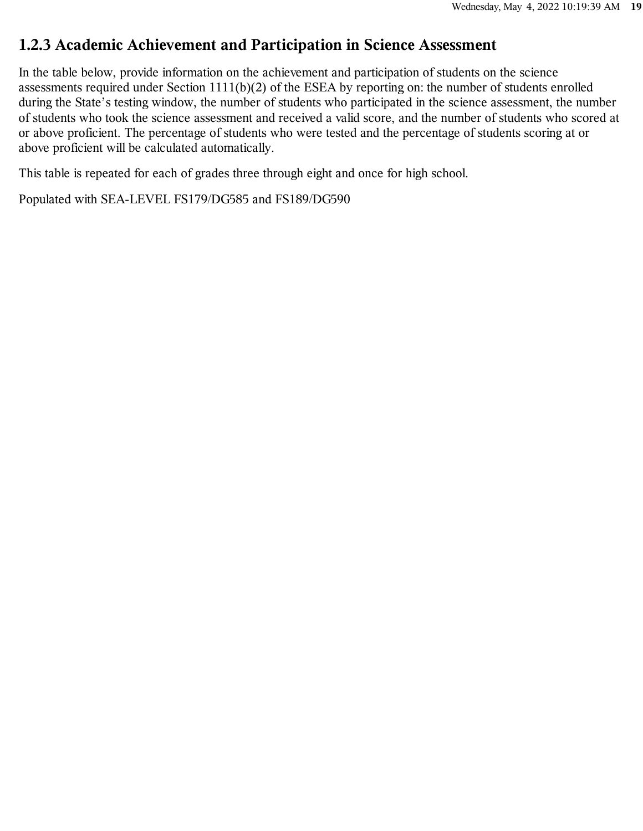#### **1.2.3 Academic Achievement and Participation in Science Assessment**

In the table below, provide information on the achievement and participation of students on the science assessments required under Section 1111(b)(2) of the ESEA by reporting on: the number of students enrolled during the State's testing window, the number of students who participated in the science assessment, the number of students who took the science assessment and received a valid score, and the number of students who scored at or above proficient. The percentage of students who were tested and the percentage of students scoring at or above proficient will be calculated automatically.

This table is repeated for each of grades three through eight and once for high school.

Populated with SEA-LEVEL FS179/DG585 and FS189/DG590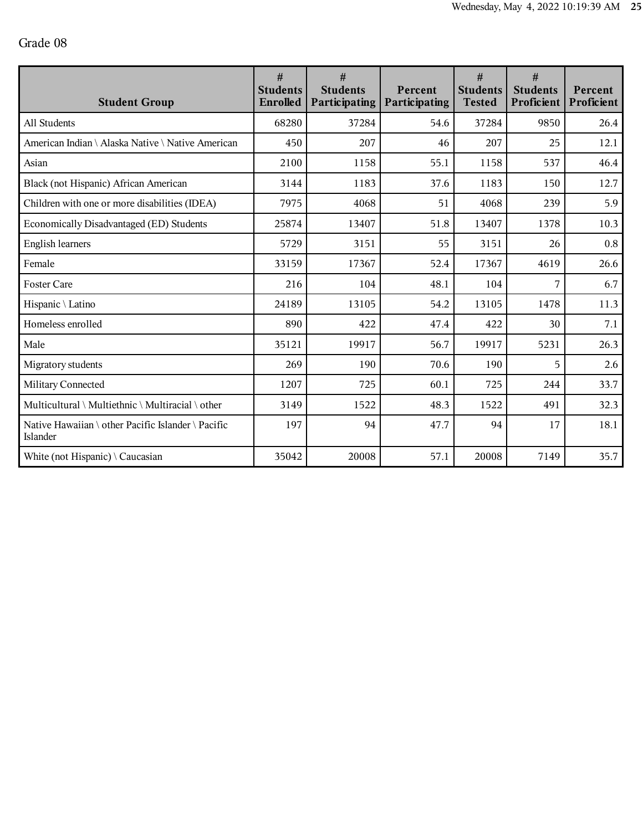| <b>Student Group</b>                                           | $\#$<br><b>Students</b><br>Enrolled | #<br><b>Students</b><br>Participating | Percent<br><b>Participating</b> | #<br><b>Students</b><br><b>Tested</b> | #<br><b>Students</b><br>Proficient | Percent<br>Proficient |
|----------------------------------------------------------------|-------------------------------------|---------------------------------------|---------------------------------|---------------------------------------|------------------------------------|-----------------------|
| All Students                                                   | 68280                               | 37284                                 | 54.6                            | 37284                                 | 9850                               | 26.4                  |
| American Indian \ Alaska Native \ Native American              | 450                                 | 207                                   | 46                              | 207                                   | 25                                 | 12.1                  |
| Asian                                                          | 2100                                | 1158                                  | 55.1                            | 1158                                  | 537                                | 46.4                  |
| Black (not Hispanic) African American                          | 3144                                | 1183                                  | 37.6                            | 1183                                  | 150                                | 12.7                  |
| Children with one or more disabilities (IDEA)                  | 7975                                | 4068                                  | 51                              | 4068                                  | 239                                | 5.9                   |
| Economically Disadvantaged (ED) Students                       | 25874                               | 13407                                 | 51.8                            | 13407                                 | 1378                               | 10.3                  |
| <b>English learners</b>                                        | 5729                                | 3151                                  | 55                              | 3151                                  | 26                                 | 0.8                   |
| Female                                                         | 33159                               | 17367                                 | 52.4                            | 17367                                 | 4619                               | 26.6                  |
| <b>Foster Care</b>                                             | 216                                 | 104                                   | 48.1                            | 104                                   | 7                                  | 6.7                   |
| Hispanic \ Latino                                              | 24189                               | 13105                                 | 54.2                            | 13105                                 | 1478                               | 11.3                  |
| Homeless enrolled                                              | 890                                 | 422                                   | 47.4                            | 422                                   | 30                                 | 7.1                   |
| Male                                                           | 35121                               | 19917                                 | 56.7                            | 19917                                 | 5231                               | 26.3                  |
| Migratory students                                             | 269                                 | 190                                   | 70.6                            | 190                                   | 5                                  | 2.6                   |
| Military Connected                                             | 1207                                | 725                                   | 60.1                            | 725                                   | 244                                | 33.7                  |
| Multicultural \ Multiethnic \ Multiracial \ other              | 3149                                | 1522                                  | 48.3                            | 1522                                  | 491                                | 32.3                  |
| Native Hawaiian \ other Pacific Islander \ Pacific<br>Islander | 197                                 | 94                                    | 47.7                            | 94                                    | 17                                 | 18.1                  |
| White (not Hispanic) $\setminus$ Caucasian                     | 35042                               | 20008                                 | 57.1                            | 20008                                 | 7149                               | 35.7                  |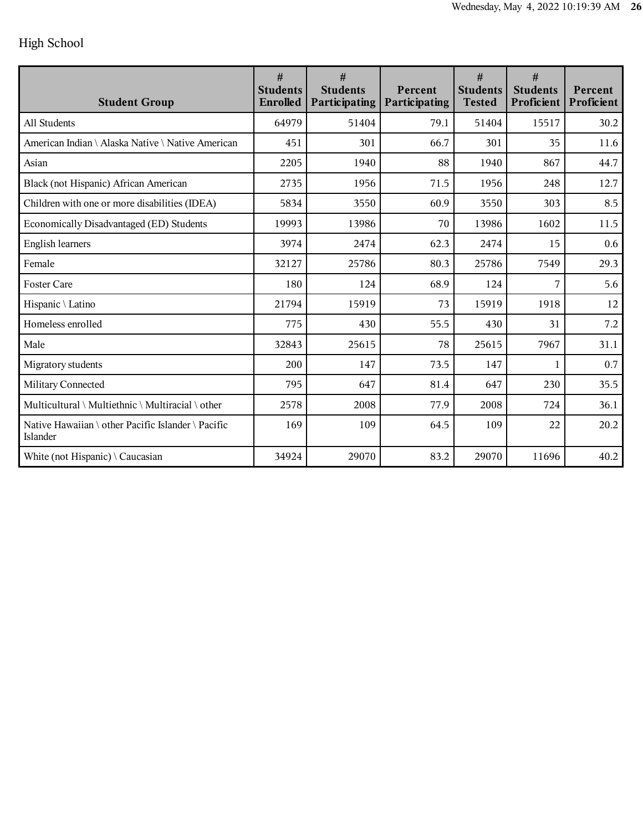## High School

| <b>Student Group</b>                                           | #<br><b>Students</b><br><b>Enrolled</b> | #<br><b>Students</b><br>Participating | Percent<br>Participating | #<br><b>Students</b><br><b>Tested</b> | #<br><b>Students</b><br>Proficient | Percent<br>Proficient |
|----------------------------------------------------------------|-----------------------------------------|---------------------------------------|--------------------------|---------------------------------------|------------------------------------|-----------------------|
| All Students                                                   | 64979                                   | 51404                                 | 79.1                     | 51404                                 | 15517                              | 30.2                  |
| American Indian \ Alaska Native \ Native American              | 451                                     | 301                                   | 66.7                     | 301                                   | 35                                 | 11.6                  |
| Asian                                                          | 2205                                    | 1940                                  | 88                       | 1940                                  | 867                                | 44.7                  |
| Black (not Hispanic) African American                          | 2735                                    | 1956                                  | 71.5                     | 1956                                  | 248                                | 12.7                  |
| Children with one or more disabilities (IDEA)                  | 5834                                    | 3550                                  | 60.9                     | 3550                                  | 303                                | 8.5                   |
| Economically Disadvantaged (ED) Students                       | 19993                                   | 13986                                 | 70                       | 13986                                 | 1602                               | 11.5                  |
| <b>English learners</b>                                        | 3974                                    | 2474                                  | 62.3                     | 2474                                  | 15                                 | 0.6                   |
| Female                                                         | 32127                                   | 25786                                 | 80.3                     | 25786                                 | 7549                               | 29.3                  |
| <b>Foster Care</b>                                             | 180                                     | 124                                   | 68.9                     | 124                                   | 7                                  | 5.6                   |
| Hispanic \ Latino                                              | 21794                                   | 15919                                 | 73                       | 15919                                 | 1918                               | 12                    |
| Homeless enrolled                                              | 775                                     | 430                                   | 55.5                     | 430                                   | 31                                 | 7.2                   |
| Male                                                           | 32843                                   | 25615                                 | 78                       | 25615                                 | 7967                               | 31.1                  |
| Migratory students                                             | 200                                     | 147                                   | 73.5                     | 147                                   | 1                                  | 0.7                   |
| Military Connected                                             | 795                                     | 647                                   | 81.4                     | 647                                   | 230                                | 35.5                  |
| Multicultural \ Multiethnic \ Multiracial \ other              | 2578                                    | 2008                                  | 77.9                     | 2008                                  | 724                                | 36.1                  |
| Native Hawaiian \ other Pacific Islander \ Pacific<br>Islander | 169                                     | 109                                   | 64.5                     | 109                                   | 22                                 | 20.2                  |
| White (not Hispanic) $\setminus$ Caucasian                     | 34924                                   | 29070                                 | 83.2                     | 29070                                 | 11696                              | 40.2                  |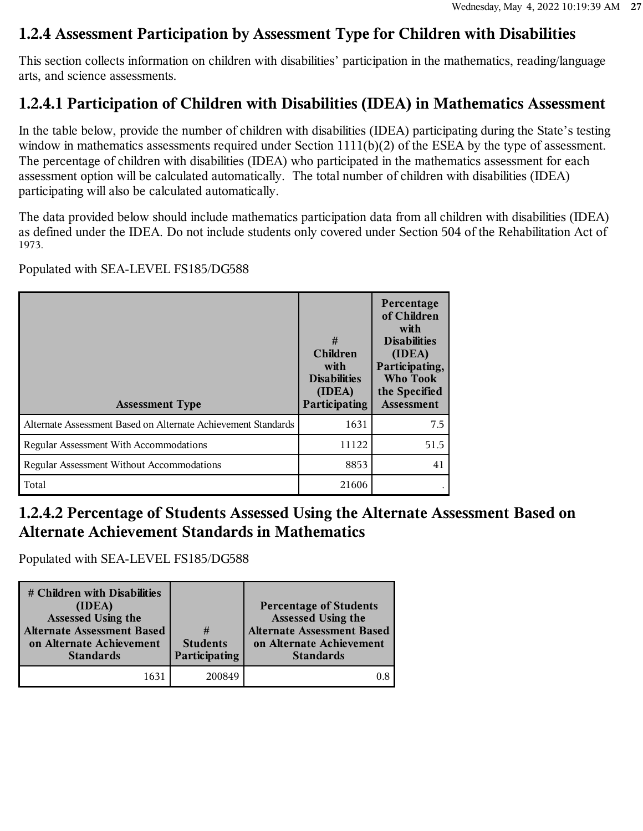#### **1.2.4 Assessment Participation by Assessment Type for Children with Disabilities**

This section collects information on children with disabilities' participation in the mathematics, reading/language arts, and science assessments.

## **1.2.4.1 Participation of Children with Disabilities (IDEA) in Mathematics Assessment**

In the table below, provide the number of children with disabilities (IDEA) participating during the State's testing window in mathematics assessments required under Section 1111(b)(2) of the ESEA by the type of assessment. The percentage of children with disabilities (IDEA) who participated in the mathematics assessment for each assessment option will be calculated automatically. The total number of children with disabilities (IDEA) participating will also be calculated automatically.

The data provided below should include mathematics participation data from all children with disabilities (IDEA) as defined under the IDEA. Do not include students only covered under Section 504 of the Rehabilitation Act of 1973.

Populated with SEA-LEVEL FS185/DG588

| <b>Assessment Type</b>                                        | #<br><b>Children</b><br>with<br><b>Disabilities</b><br>(IDEA)<br>Participating | Percentage<br>of Children<br>with<br><b>Disabilities</b><br>(IDEA)<br>Participating,<br><b>Who Took</b><br>the Specified<br><b>Assessment</b> |
|---------------------------------------------------------------|--------------------------------------------------------------------------------|-----------------------------------------------------------------------------------------------------------------------------------------------|
| Alternate Assessment Based on Alternate Achievement Standards | 1631                                                                           | 7.5                                                                                                                                           |
| <b>Regular Assessment With Accommodations</b>                 | 11122                                                                          | 51.5                                                                                                                                          |
| <b>Regular Assessment Without Accommodations</b>              | 8853                                                                           | 41                                                                                                                                            |
| Total                                                         | 21606                                                                          |                                                                                                                                               |

#### **1.2.4.2 Percentage of Students Assessed Using the Alternate Assessment Based on Alternate Achievement Standards in Mathematics**

Populated with SEA-LEVEL FS185/DG588

| # Children with Disabilities<br>(IDEA)<br><b>Assessed Using the</b><br><b>Alternate Assessment Based</b><br>on Alternate Achievement<br><b>Standards</b> | #<br><b>Students</b><br>Participating | <b>Percentage of Students</b><br>Assessed Using the<br><b>Alternate Assessment Based</b><br>on Alternate Achievement<br><b>Standards</b> |
|----------------------------------------------------------------------------------------------------------------------------------------------------------|---------------------------------------|------------------------------------------------------------------------------------------------------------------------------------------|
| 163                                                                                                                                                      | 200849                                |                                                                                                                                          |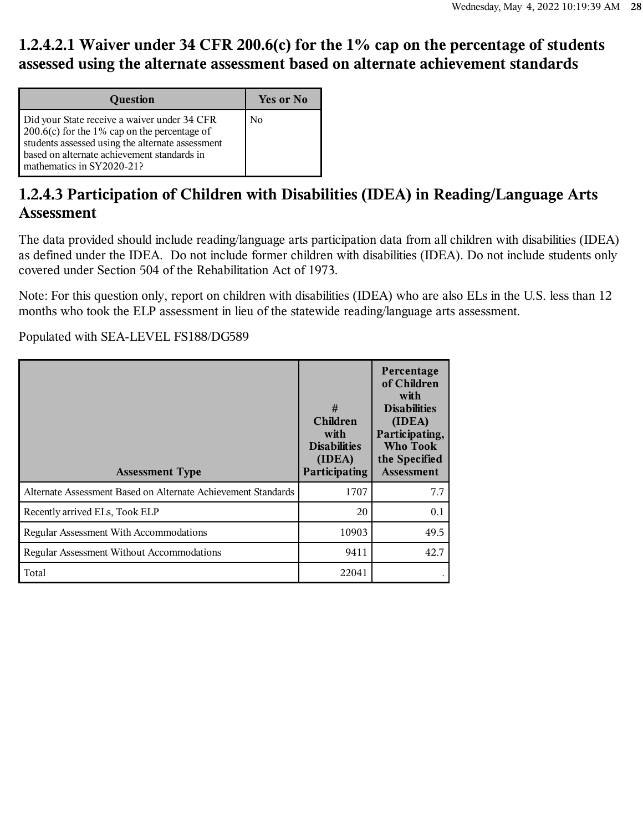### **1.2.4.2.1 Waiver under 34 CFR 200.6(c) for the 1% cap on the percentage of students assessed using the alternate assessment based on alternate achievement standards**

| Question                                                                                                                                                                                                                             | Yes or No      |
|--------------------------------------------------------------------------------------------------------------------------------------------------------------------------------------------------------------------------------------|----------------|
| Did your State receive a waiver under 34 CFR<br>$\vert$ 200.6(c) for the 1% cap on the percentage of<br>students assessed using the alternate assessment<br>based on alternate achievement standards in<br>mathematics in SY2020-21? | N <sub>0</sub> |

#### **1.2.4.3 Participation of Children with Disabilities (IDEA) in Reading/Language Arts Assessment**

The data provided should include reading/language arts participation data from all children with disabilities (IDEA) as defined under the IDEA. Do not include former children with disabilities (IDEA). Do not include students only covered under Section 504 of the Rehabilitation Act of 1973.

Note: For this question only, report on children with disabilities (IDEA) who are also ELs in the U.S. less than 12 months who took the ELP assessment in lieu of the statewide reading/language arts assessment.

Populated with SEA-LEVEL FS188/DG589

| <b>Assessment Type</b>                                        | #<br><b>Children</b><br>with<br><b>Disabilities</b><br>(IDEA)<br>Participating | Percentage<br>of Children<br>with<br><b>Disabilities</b><br>(IDEA)<br>Participating,<br>Who Took<br>the Specified<br><b>Assessment</b> |
|---------------------------------------------------------------|--------------------------------------------------------------------------------|----------------------------------------------------------------------------------------------------------------------------------------|
| Alternate Assessment Based on Alternate Achievement Standards | 1707                                                                           | 7.7                                                                                                                                    |
| Recently arrived ELs, Took ELP                                | 20                                                                             | 0.1                                                                                                                                    |
| <b>Regular Assessment With Accommodations</b>                 | 10903                                                                          | 49.5                                                                                                                                   |
| <b>Regular Assessment Without Accommodations</b>              | 9411                                                                           | 42.7                                                                                                                                   |
| Total                                                         | 22041                                                                          |                                                                                                                                        |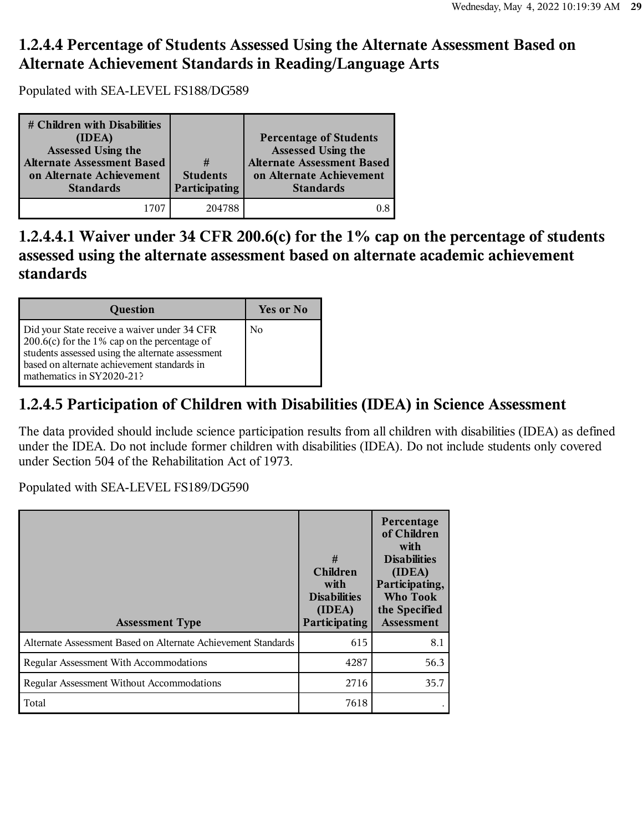#### **1.2.4.4 Percentage of Students Assessed Using the Alternate Assessment Based on Alternate Achievement Standards in Reading/Language Arts**

Populated with SEA-LEVEL FS188/DG589

| # Children with Disabilities<br>(IDEA)<br><b>Assessed Using the</b><br><b>Alternate Assessment Based</b><br>on Alternate Achievement<br><b>Standards</b> | #<br><b>Students</b><br>Participating | <b>Percentage of Students</b><br>Assessed Using the<br><b>Alternate Assessment Based</b><br>on Alternate Achievement<br><b>Standards</b> |
|----------------------------------------------------------------------------------------------------------------------------------------------------------|---------------------------------------|------------------------------------------------------------------------------------------------------------------------------------------|
|                                                                                                                                                          | 204788                                |                                                                                                                                          |

**1.2.4.4.1 Waiver under 34 CFR 200.6(c) for the 1% cap on the percentage of students assessed using the alternate assessment based on alternate academic achievement standards**

| Question                                                                                                                                                                                                                             | <b>Yes or No</b> |
|--------------------------------------------------------------------------------------------------------------------------------------------------------------------------------------------------------------------------------------|------------------|
| Did your State receive a waiver under 34 CFR<br>$\vert$ 200.6(c) for the 1% cap on the percentage of<br>students assessed using the alternate assessment<br>based on alternate achievement standards in<br>mathematics in SY2020-21? | N <sub>0</sub>   |

#### **1.2.4.5 Participation of Children with Disabilities (IDEA) in Science Assessment**

The data provided should include science participation results from all children with disabilities (IDEA) as defined under the IDEA. Do not include former children with disabilities (IDEA). Do not include students only covered under Section 504 of the Rehabilitation Act of 1973.

Populated with SEA-LEVEL FS189/DG590

| <b>Assessment Type</b>                                        | #<br><b>Children</b><br>with<br><b>Disabilities</b><br>(IDEA)<br>Participating | Percentage<br>of Children<br>with<br><b>Disabilities</b><br>(IDEA)<br>Participating,<br>Who Took<br>the Specified<br>Assessment |
|---------------------------------------------------------------|--------------------------------------------------------------------------------|---------------------------------------------------------------------------------------------------------------------------------|
| Alternate Assessment Based on Alternate Achievement Standards | 615                                                                            | 8.1                                                                                                                             |
| Regular Assessment With Accommodations                        | 4287                                                                           | 56.3                                                                                                                            |
| Regular Assessment Without Accommodations                     | 2716                                                                           | 35.7                                                                                                                            |
| Total                                                         | 7618                                                                           |                                                                                                                                 |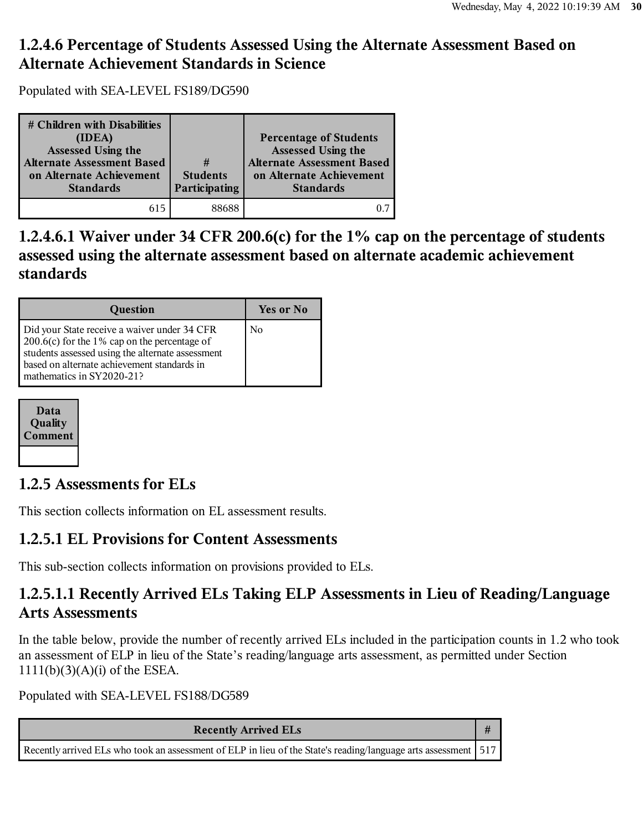#### **1.2.4.6 Percentage of Students Assessed Using the Alternate Assessment Based on Alternate Achievement Standards in Science**

Populated with SEA-LEVEL FS189/DG590

| # Children with Disabilities<br>(IDEA)<br>Assessed Using the<br><b>Alternate Assessment Based</b><br>on Alternate Achievement<br><b>Standards</b> | #<br><b>Students</b><br>Participating | <b>Percentage of Students</b><br>Assessed Using the<br><b>Alternate Assessment Based</b><br>on Alternate Achievement<br><b>Standards</b> |
|---------------------------------------------------------------------------------------------------------------------------------------------------|---------------------------------------|------------------------------------------------------------------------------------------------------------------------------------------|
| 615                                                                                                                                               | 88688                                 |                                                                                                                                          |

**1.2.4.6.1 Waiver under 34 CFR 200.6(c) for the 1% cap on the percentage of students assessed using the alternate assessment based on alternate academic achievement standards**

| Question                                                                                                                                                                                                                             | Yes or No      |
|--------------------------------------------------------------------------------------------------------------------------------------------------------------------------------------------------------------------------------------|----------------|
| Did your State receive a waiver under 34 CFR<br>$\vert$ 200.6(c) for the 1% cap on the percentage of<br>students assessed using the alternate assessment<br>based on alternate achievement standards in<br>mathematics in SY2020-21? | N <sub>0</sub> |

| Data<br>Quality<br><b>Comment</b> |
|-----------------------------------|
|                                   |

#### **1.2.5 Assessments for ELs**

This section collects information on EL assessment results.

#### **1.2.5.1 EL Provisions for Content Assessments**

This sub-section collects information on provisions provided to ELs.

#### **1.2.5.1.1 Recently Arrived ELs Taking ELP Assessments in Lieu of Reading/Language Arts Assessments**

In the table below, provide the number of recently arrived ELs included in the participation counts in 1.2 who took an assessment of ELP in lieu of the State's reading/language arts assessment, as permitted under Section 1111(b)(3)(A)(i) of the ESEA.

Populated with SEA-LEVEL FS188/DG589

| <b>Recently Arrived ELs</b>                                                                                      |  |
|------------------------------------------------------------------------------------------------------------------|--|
| Recently arrived ELs who took an assessment of ELP in lieu of the State's reading/language arts assessment   517 |  |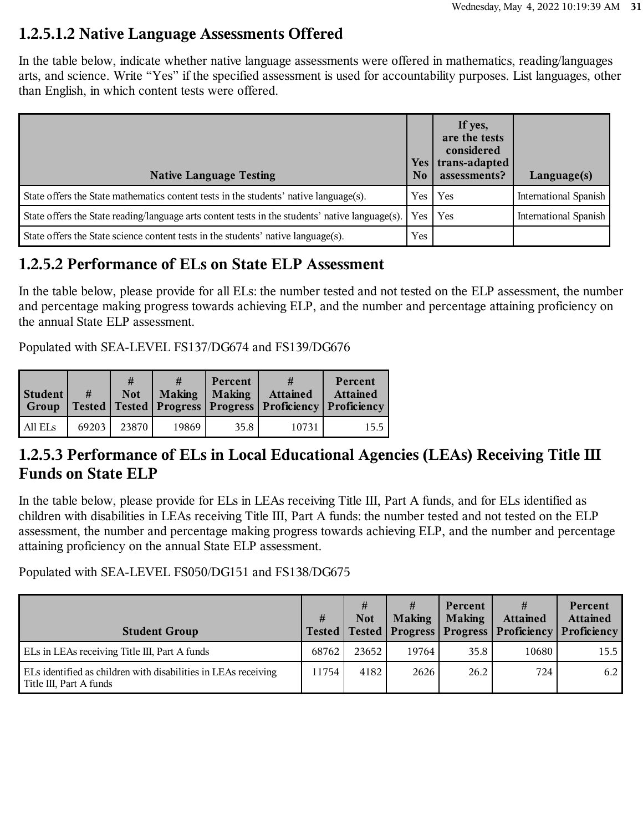#### **1.2.5.1.2 Native Language Assessments Offered**

In the table below, indicate whether native language assessments were offered in mathematics, reading/languages arts, and science. Write "Yes" if the specified assessment is used for accountability purposes. List languages, other than English, in which content tests were offered.

| <b>Native Language Testing</b>                                                                  | <b>Yes</b><br>No | If yes,<br>are the tests<br>considered<br>trans-adapted<br>assessments? | $L$ anguage $(s)$            |
|-------------------------------------------------------------------------------------------------|------------------|-------------------------------------------------------------------------|------------------------------|
| State offers the State mathematics content tests in the students' native language(s).           | Yes              | Yes                                                                     | <b>International Spanish</b> |
| State offers the State reading/language arts content tests in the students' native language(s). | Yes              | Yes                                                                     | <b>International Spanish</b> |
| State offers the State science content tests in the students' native language(s).               | Yes              |                                                                         |                              |

#### **1.2.5.2 Performance of ELs on State ELP Assessment**

In the table below, please provide for all ELs: the number tested and not tested on the ELP assessment, the number and percentage making progress towards achieving ELP, and the number and percentage attaining proficiency on the annual State ELP assessment.

Populated with SEA-LEVEL FS137/DG674 and FS139/DG676

| Student<br>Group | #     | #<br><b>Not</b> | #<br>Making   Making | Percent | <b>Attained</b><br>  Tested   Tested   Progress   Progress   Proficiency   Proficiency | Percent<br><b>Attained</b> |
|------------------|-------|-----------------|----------------------|---------|----------------------------------------------------------------------------------------|----------------------------|
| All ELs          | 69203 | 23870           | 19869                | 35.8    | 10731                                                                                  | 15.5                       |

#### **1.2.5.3 Performance of ELs in Local Educational Agencies (LEAs) Receiving Title III Funds on State ELP**

In the table below, please provide for ELs in LEAs receiving Title III, Part A funds, and for ELs identified as children with disabilities in LEAs receiving Title III, Part A funds: the number tested and not tested on the ELP assessment, the number and percentage making progress towards achieving ELP, and the number and percentage attaining proficiency on the annual State ELP assessment.

Populated with SEA-LEVEL FS050/DG151 and FS138/DG675

| <b>Student Group</b>                                                                              | #     | #<br><b>Not</b> | <b>Making</b> | Percent<br><b>Making</b> | #<br><b>Attained</b><br>  Tested   Tested   Progress   Progress   Proficiency | Percent<br><b>Attained</b><br>Proficiency |
|---------------------------------------------------------------------------------------------------|-------|-----------------|---------------|--------------------------|-------------------------------------------------------------------------------|-------------------------------------------|
| ELs in LEAs receiving Title III, Part A funds                                                     | 68762 | 23652           | 19764         | 35.8                     | 10680                                                                         | 15.5                                      |
| ELs identified as children with disabilities in LEAs receiving<br>$\vert$ Title III, Part A funds | 11754 | 4182            | 2626          | 26.2                     | 724                                                                           | 6.2                                       |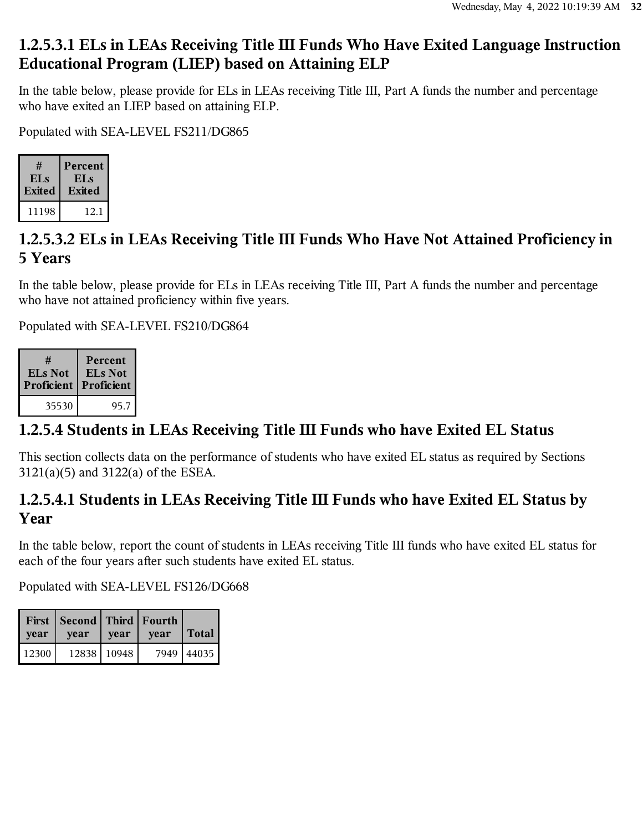#### **1.2.5.3.1 ELs in LEAs Receiving Title III Funds Who Have Exited Language Instruction Educational Program (LIEP) based on Attaining ELP**

In the table below, please provide for ELs in LEAs receiving Title III, Part A funds the number and percentage who have exited an LIEP based on attaining ELP.

Populated with SEA-LEVEL FS211/DG865

| #               | Percent |
|-----------------|---------|
| EL <sub>S</sub> | EL s    |
| Exited          | Exited  |
|                 |         |

## **1.2.5.3.2 ELs in LEAs Receiving Title III Funds Who Have Not Attained Proficiency in 5 Years**

In the table below, please provide for ELs in LEAs receiving Title III, Part A funds the number and percentage who have not attained proficiency within five years.

Populated with SEA-LEVEL FS210/DG864

| #              | Percent        |
|----------------|----------------|
| <b>ELs Not</b> | <b>ELs</b> Not |
| Proficient     | Proficient     |
| 35530          | 95.7           |

## **1.2.5.4 Students in LEAs Receiving Title III Funds who have Exited EL Status**

This section collects data on the performance of students who have exited EL status as required by Sections 3121(a)(5) and 3122(a) of the ESEA.

#### **1.2.5.4.1 Students in LEAs Receiving Title III Funds who have Exited EL Status by Year**

In the table below, report the count of students in LEAs receiving Title III funds who have exited EL status for each of the four years after such students have exited EL status.

Populated with SEA-LEVEL FS126/DG668

| vear  | First   Second   Third   Fourth  <br>vear | year          | vear | Total      |
|-------|-------------------------------------------|---------------|------|------------|
| 12300 |                                           | 12838   10948 |      | 7949 44035 |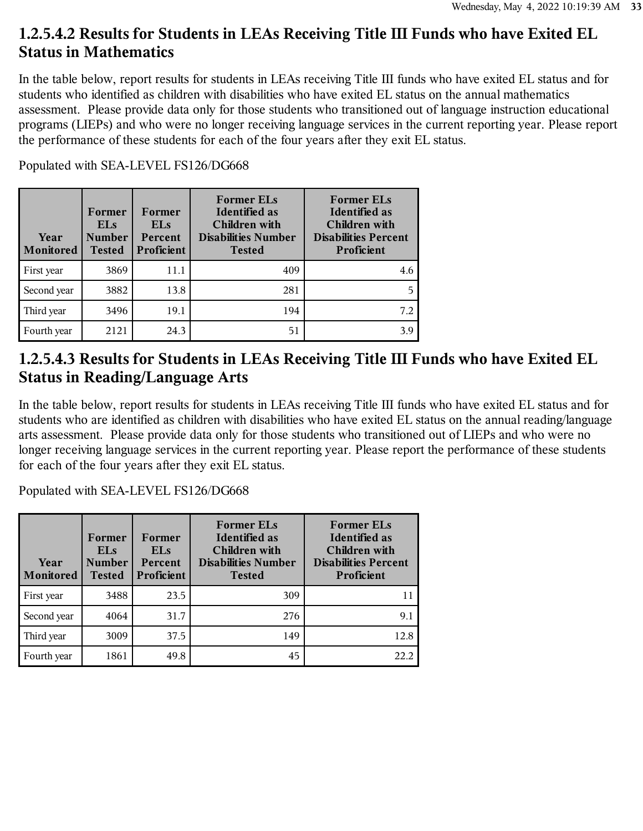#### **1.2.5.4.2 Results for Students in LEAs Receiving Title III Funds who have Exited EL Status in Mathematics**

In the table below, report results for students in LEAs receiving Title III funds who have exited EL status and for students who identified as children with disabilities who have exited EL status on the annual mathematics assessment. Please provide data only for those students who transitioned out of language instruction educational programs (LIEPs) and who were no longer receiving language services in the current reporting year. Please report the performance of these students for each of the four years after they exit EL status.

| Year<br>Monitored | Former<br><b>ELs</b><br><b>Number</b><br><b>Tested</b> | Former<br><b>ELs</b><br>Percent<br>Proficient | <b>Former ELs</b><br><b>Identified</b> as<br><b>Children</b> with<br><b>Disabilities Number</b><br><b>Tested</b> | <b>Former ELs</b><br><b>Identified</b> as<br>Children with<br><b>Disabilities Percent</b><br>Proficient |
|-------------------|--------------------------------------------------------|-----------------------------------------------|------------------------------------------------------------------------------------------------------------------|---------------------------------------------------------------------------------------------------------|
| First year        | 3869                                                   | 11.1                                          | 409                                                                                                              | 4.6                                                                                                     |
| Second year       | 3882                                                   | 13.8                                          | 281                                                                                                              | 5                                                                                                       |
| Third year        | 3496                                                   | 19.1                                          | 194                                                                                                              | 7.2                                                                                                     |
| Fourth year       | 2121                                                   | 24.3                                          | 51                                                                                                               | 3.9                                                                                                     |

Populated with SEA-LEVEL FS126/DG668

#### **1.2.5.4.3 Results for Students in LEAs Receiving Title III Funds who have Exited EL Status in Reading/Language Arts**

In the table below, report results for students in LEAs receiving Title III funds who have exited EL status and for students who are identified as children with disabilities who have exited EL status on the annual reading/language arts assessment. Please provide data only for those students who transitioned out of LIEPs and who were no longer receiving language services in the current reporting year. Please report the performance of these students for each of the four years after they exit EL status.

Populated with SEA-LEVEL FS126/DG668

| Year<br>Monitored | Former<br><b>ELs</b><br><b>Number</b><br><b>Tested</b> | Former<br><b>ELs</b><br><b>Percent</b><br><b>Proficient</b> | <b>Former ELs</b><br>Identified as<br><b>Children</b> with<br><b>Disabilities Number</b><br><b>Tested</b> | <b>Former ELs</b><br><b>Identified as</b><br><b>Children</b> with<br><b>Disabilities Percent</b><br>Proficient |
|-------------------|--------------------------------------------------------|-------------------------------------------------------------|-----------------------------------------------------------------------------------------------------------|----------------------------------------------------------------------------------------------------------------|
| First year        | 3488                                                   | 23.5                                                        | 309                                                                                                       |                                                                                                                |
| Second year       | 4064                                                   | 31.7                                                        | 276                                                                                                       | 9.1                                                                                                            |
| Third year        | 3009                                                   | 37.5                                                        | 149                                                                                                       | 12.8                                                                                                           |
| Fourth year       | 1861                                                   | 49.8                                                        | 45                                                                                                        | 22.2                                                                                                           |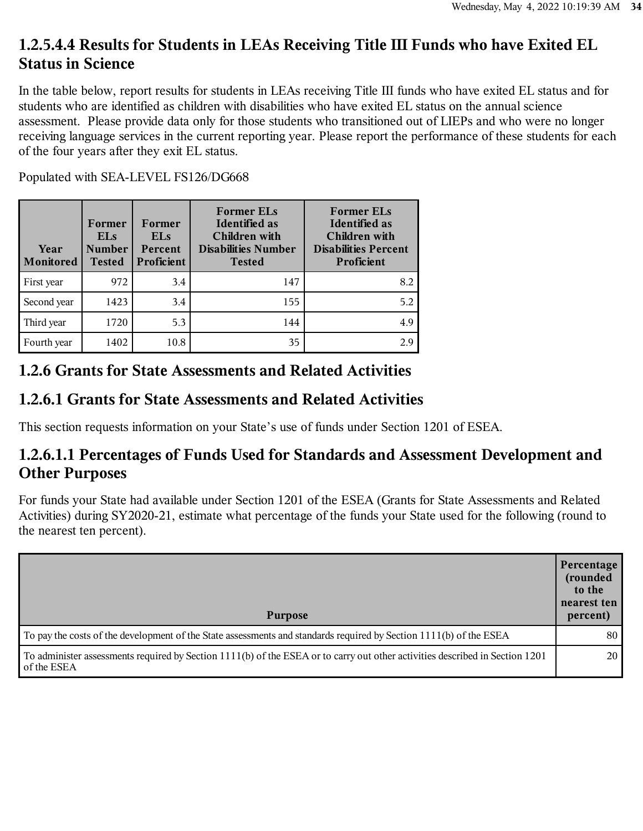### **1.2.5.4.4 Results for Students in LEAs Receiving Title III Funds who have Exited EL Status in Science**

In the table below, report results for students in LEAs receiving Title III funds who have exited EL status and for students who are identified as children with disabilities who have exited EL status on the annual science assessment. Please provide data only for those students who transitioned out of LIEPs and who were no longer receiving language services in the current reporting year. Please report the performance of these students for each of the four years after they exit EL status.

Populated with SEA-LEVEL FS126/DG668

| Year<br>Monitored | Former<br><b>ELs</b><br><b>Number</b><br><b>Tested</b> | Former<br><b>ELs</b><br>Percent<br>Proficient | <b>Former ELs</b><br><b>Identified as</b><br>Children with<br><b>Disabilities Number</b><br><b>Tested</b> | <b>Former ELs</b><br><b>Identified as</b><br>Children with<br><b>Disabilities Percent</b><br>Proficient |
|-------------------|--------------------------------------------------------|-----------------------------------------------|-----------------------------------------------------------------------------------------------------------|---------------------------------------------------------------------------------------------------------|
| First year        | 972                                                    | 3.4                                           | 147                                                                                                       | 8.2                                                                                                     |
| Second year       | 1423                                                   | 3.4                                           | 155                                                                                                       | 5.2                                                                                                     |
| Third year        | 1720                                                   | 5.3                                           | 144                                                                                                       | 4.9                                                                                                     |
| Fourth year       | 1402                                                   | 10.8                                          | 35                                                                                                        | 2.9                                                                                                     |

#### **1.2.6 Grants for State Assessments and Related Activities**

#### **1.2.6.1 Grants for State Assessments and Related Activities**

This section requests information on your State's use of funds under Section 1201 of ESEA.

#### **1.2.6.1.1 Percentages of Funds Used for Standards and Assessment Development and Other Purposes**

For funds your State had available under Section 1201 of the ESEA (Grants for State Assessments and Related Activities) during SY2020-21, estimate what percentage of the funds your State used for the following (round to the nearest ten percent).

| <b>Purpose</b>                                                                                                                              | Percentage<br>(rounded<br>to the<br>nearest ten<br>percent) |
|---------------------------------------------------------------------------------------------------------------------------------------------|-------------------------------------------------------------|
| To pay the costs of the development of the State assessments and standards required by Section 1111(b) of the ESEA                          | 80                                                          |
| To administer assessments required by Section 1111(b) of the ESEA or to carry out other activities described in Section 1201<br>of the ESEA | 20                                                          |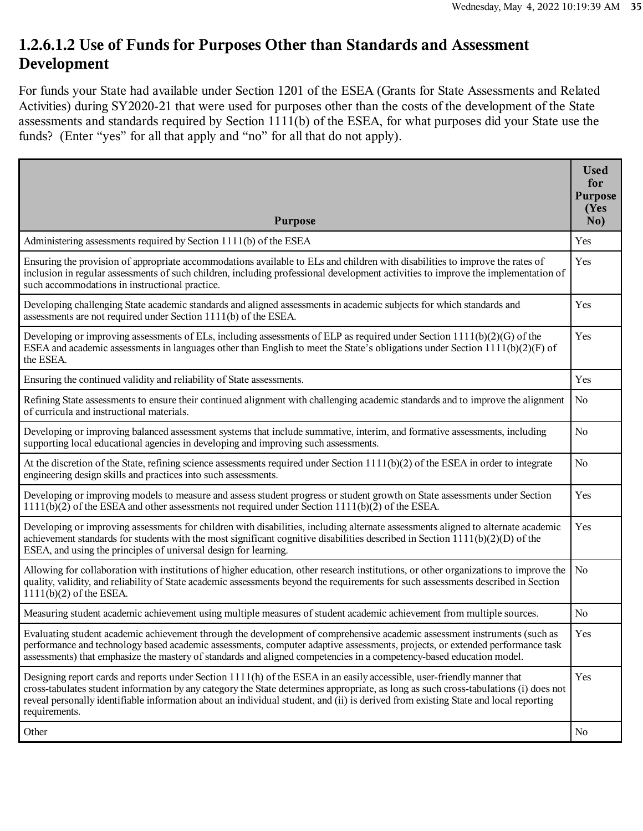#### **1.2.6.1.2 Use of Funds for Purposes Other than Standards and Assessment Development**

For funds your State had available under Section 1201 of the ESEA (Grants for State Assessments and Related Activities) during SY2020-21 that were used for purposes other than the costs of the development of the State assessments and standards required by Section 1111(b) of the ESEA, for what purposes did your State use the funds? (Enter "yes" for all that apply and "no" for all that do not apply).

| <b>Purpose</b>                                                                                                                                                                                                                                                                                                                                                                                                          | <b>Used</b><br>for<br><b>Purpose</b><br>(Yes<br>No) |
|-------------------------------------------------------------------------------------------------------------------------------------------------------------------------------------------------------------------------------------------------------------------------------------------------------------------------------------------------------------------------------------------------------------------------|-----------------------------------------------------|
| Administering assessments required by Section 1111(b) of the ESEA                                                                                                                                                                                                                                                                                                                                                       | Yes                                                 |
| Ensuring the provision of appropriate accommodations available to ELs and children with disabilities to improve the rates of<br>inclusion in regular assessments of such children, including professional development activities to improve the implementation of<br>such accommodations in instructional practice.                                                                                                     | Yes                                                 |
| Developing challenging State academic standards and aligned assessments in academic subjects for which standards and<br>assessments are not required under Section 1111(b) of the ESEA.                                                                                                                                                                                                                                 | Yes                                                 |
| Developing or improving assessments of ELs, including assessments of ELP as required under Section $1111(b)(2)(G)$ of the<br>ESEA and academic assessments in languages other than English to meet the State's obligations under Section 1111(b)(2)(F) of<br>the ESEA.                                                                                                                                                  | Yes                                                 |
| Ensuring the continued validity and reliability of State assessments.                                                                                                                                                                                                                                                                                                                                                   | Yes                                                 |
| Refining State assessments to ensure their continued alignment with challenging academic standards and to improve the alignment<br>of curricula and instructional materials.                                                                                                                                                                                                                                            | N <sub>o</sub>                                      |
| Developing or improving balanced assessment systems that include summative, interim, and formative assessments, including<br>supporting local educational agencies in developing and improving such assessments.                                                                                                                                                                                                        | N <sub>0</sub>                                      |
| At the discretion of the State, refining science assessments required under Section $1111(b)(2)$ of the ESEA in order to integrate<br>engineering design skills and practices into such assessments.                                                                                                                                                                                                                    | N <sub>o</sub>                                      |
| Developing or improving models to measure and assess student progress or student growth on State assessments under Section<br>$1111(b)(2)$ of the ESEA and other assessments not required under Section $1111(b)(2)$ of the ESEA.                                                                                                                                                                                       | Yes                                                 |
| Developing or improving assessments for children with disabilities, including alternate assessments aligned to alternate academic<br>achievement standards for students with the most significant cognitive disabilities described in Section $1111(b)(2)(D)$ of the<br>ESEA, and using the principles of universal design for learning.                                                                                | Yes                                                 |
| Allowing for collaboration with institutions of higher education, other research institutions, or other organizations to improve the<br>quality, validity, and reliability of State academic assessments beyond the requirements for such assessments described in Section<br>$1111(b)(2)$ of the ESEA.                                                                                                                 | No                                                  |
| Measuring student academic achievement using multiple measures of student academic achievement from multiple sources.                                                                                                                                                                                                                                                                                                   | No                                                  |
| Evaluating student academic achievement through the development of comprehensive academic assessment instruments (such as<br>performance and technology based academic assessments, computer adaptive assessments, projects, or extended performance task<br>assessments) that emphasize the mastery of standards and aligned competencies in a competency-based education model.                                       | Yes                                                 |
| Designing report cards and reports under Section 1111(h) of the ESEA in an easily accessible, user-friendly manner that<br>cross-tabulates student information by any category the State determines appropriate, as long as such cross-tabulations (i) does not<br>reveal personally identifiable information about an individual student, and (ii) is derived from existing State and local reporting<br>requirements. | Yes                                                 |
| Other                                                                                                                                                                                                                                                                                                                                                                                                                   | No                                                  |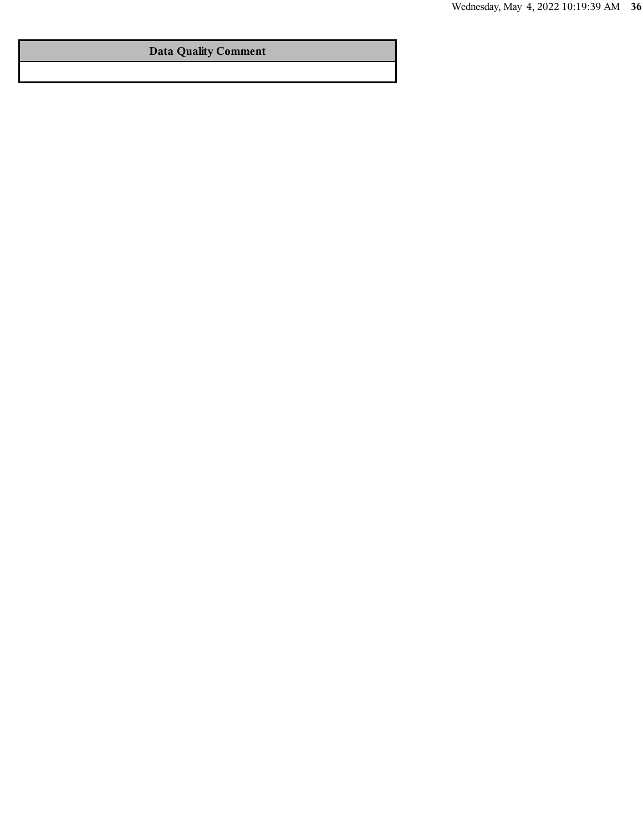#### **Data Quality Comment**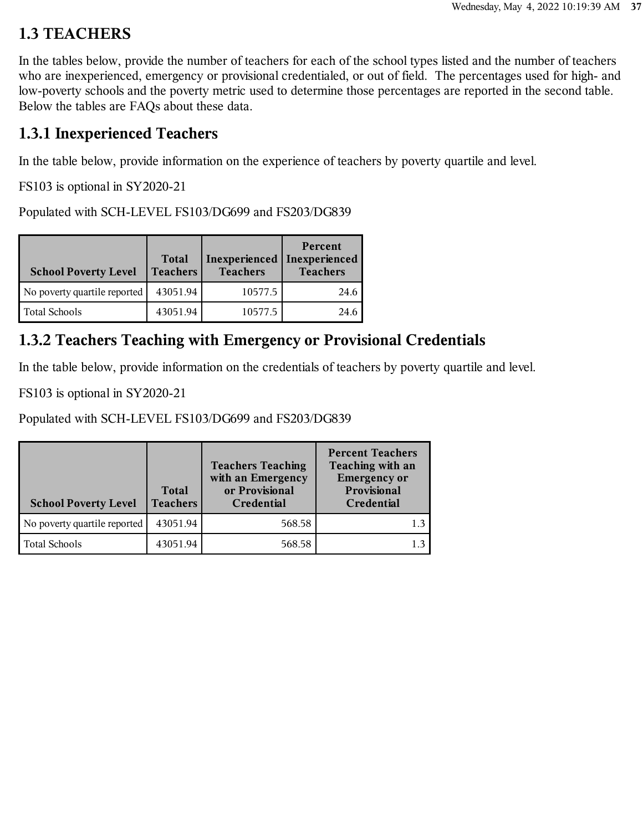## **1.3 TEACHERS**

In the tables below, provide the number of teachers for each of the school types listed and the number of teachers who are inexperienced, emergency or provisional credentialed, or out of field. The percentages used for high- and low-poverty schools and the poverty metric used to determine those percentages are reported in the second table. Below the tables are FAQs about these data.

## **1.3.1 Inexperienced Teachers**

In the table below, provide information on the experience of teachers by poverty quartile and level.

FS103 is optional in SY2020-21

Populated with SCH-LEVEL FS103/DG699 and FS203/DG839

| <b>School Poverty Level</b>  | <b>Total</b><br><b>Teachers</b> | Inexperienced<br><b>Teachers</b> | Percent<br>Inexperienced<br><b>Teachers</b> |
|------------------------------|---------------------------------|----------------------------------|---------------------------------------------|
| No poverty quartile reported | 43051.94                        | 10577.5                          | 24.6                                        |
| <b>Total Schools</b>         | 43051.94                        | 10577.5                          | 24.6                                        |

## **1.3.2 Teachers Teaching with Emergency or Provisional Credentials**

In the table below, provide information on the credentials of teachers by poverty quartile and level.

FS103 is optional in SY2020-21

Populated with SCH-LEVEL FS103/DG699 and FS203/DG839

| <b>School Poverty Level</b>  | <b>Total</b><br><b>Teachers</b> | <b>Teachers Teaching</b><br>with an Emergency<br>or Provisional<br>Credential | <b>Percent Teachers</b><br>Teaching with an<br><b>Emergency or</b><br>Provisional<br>Credential |
|------------------------------|---------------------------------|-------------------------------------------------------------------------------|-------------------------------------------------------------------------------------------------|
| No poverty quartile reported | 43051.94                        | 568.58                                                                        |                                                                                                 |
| Total Schools                | 43051.94                        | 568.58                                                                        |                                                                                                 |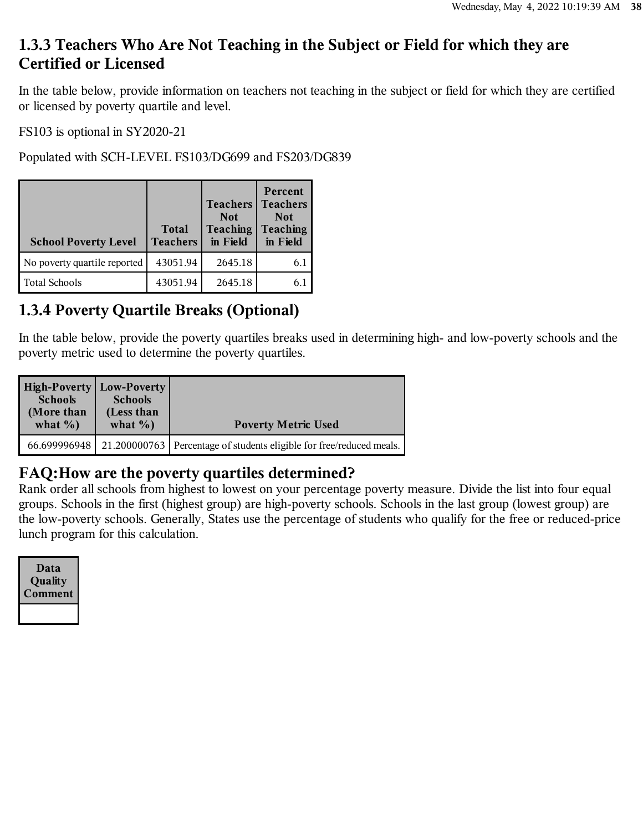## **1.3.3 Teachers Who Are Not Teaching in the Subject or Field for which they are Certified or Licensed**

In the table below, provide information on teachers not teaching in the subject or field for which they are certified or licensed by poverty quartile and level.

FS103 is optional in SY2020-21

Populated with SCH-LEVEL FS103/DG699 and FS203/DG839

| <b>School Poverty Level</b>  | <b>Total</b><br><b>Teachers</b> | <b>Teachers</b><br><b>Not</b><br><b>Teaching</b><br>in Field | Percent<br><b>Teachers</b><br><b>Not</b><br><b>Teaching</b><br>in Field |
|------------------------------|---------------------------------|--------------------------------------------------------------|-------------------------------------------------------------------------|
| No poverty quartile reported | 43051.94                        | 2645.18                                                      | 6.1                                                                     |
| <b>Total Schools</b>         | 43051.94                        | 2645.18                                                      | 6.                                                                      |

# **1.3.4 Poverty Quartile Breaks (Optional)**

In the table below, provide the poverty quartiles breaks used in determining high- and low-poverty schools and the poverty metric used to determine the poverty quartiles.

| High-Poverty   Low-Poverty  <br><b>Schools</b><br>(More than<br>what $\%$ ) | <b>Schools</b><br>(Less than<br>what $\%$ ) | <b>Poverty Metric Used</b>                                           |
|-----------------------------------------------------------------------------|---------------------------------------------|----------------------------------------------------------------------|
| 66.699996948                                                                |                                             | 21.200000763 Percentage of students eligible for free/reduced meals. |

#### **FAQ:How are the poverty quartiles determined?**

Rank order all schools from highest to lowest on your percentage poverty measure. Divide the list into four equal groups. Schools in the first (highest group) are high-poverty schools. Schools in the last group (lowest group) are the low-poverty schools. Generally, States use the percentage of students who qualify for the free or reduced-price lunch program for this calculation.

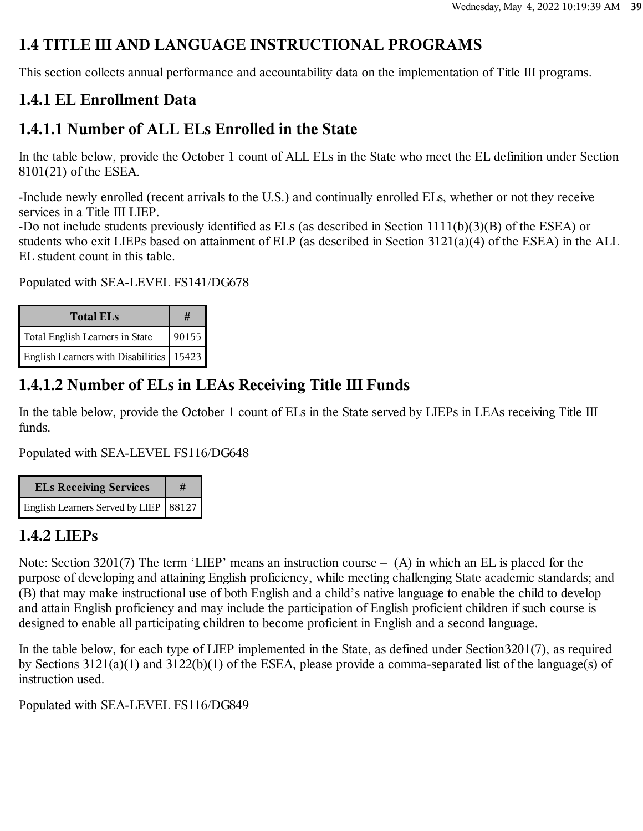## **1.4 TITLE III AND LANGUAGE INSTRUCTIONAL PROGRAMS**

This section collects annual performance and accountability data on the implementation of Title III programs.

## **1.4.1 EL Enrollment Data**

## **1.4.1.1 Number of ALL ELs Enrolled in the State**

In the table below, provide the October 1 count of ALL ELs in the State who meet the EL definition under Section 8101(21) of the ESEA.

-Include newly enrolled (recent arrivals to the U.S.) and continually enrolled ELs, whether or not they receive services in a Title III LIEP.

-Do not include students previously identified as ELs (as described in Section 1111(b)(3)(B) of the ESEA) or students who exit LIEPs based on attainment of ELP (as described in Section 3121(a)(4) of the ESEA) in the ALL EL student count in this table.

Populated with SEA-LEVEL FS141/DG678

| <b>Total ELs</b>                           | #     |
|--------------------------------------------|-------|
| Total English Learners in State            | 90155 |
| English Learners with Disabilities   15423 |       |

# **1.4.1.2 Number of ELs in LEAs Receiving Title III Funds**

In the table below, provide the October 1 count of ELs in the State served by LIEPs in LEAs receiving Title III funds.

Populated with SEA-LEVEL FS116/DG648

| <b>ELs Receiving Services</b>           |  |
|-----------------------------------------|--|
| English Learners Served by LIEP   88127 |  |

# **1.4.2 LIEPs**

Note: Section 3201(7) The term 'LIEP' means an instruction course – (A) in which an EL is placed for the purpose of developing and attaining English proficiency, while meeting challenging State academic standards; and (B) that may make instructional use of both English and a child's native language to enable the child to develop and attain English proficiency and may include the participation of English proficient children if such course is designed to enable all participating children to become proficient in English and a second language.

In the table below, for each type of LIEP implemented in the State, as defined under Section3201(7), as required by Sections 3121(a)(1) and 3122(b)(1) of the ESEA, please provide a comma-separated list of the language(s) of instruction used.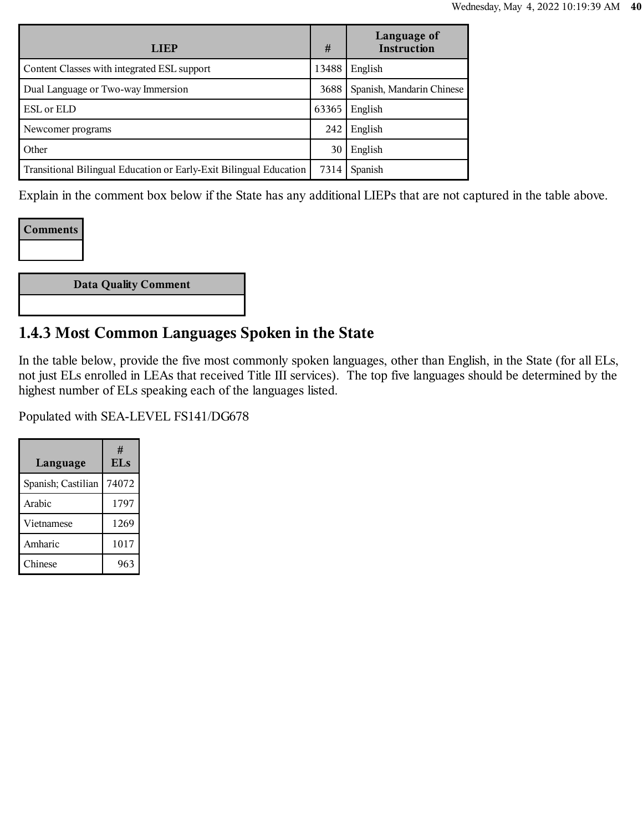| <b>LIEP</b>                                                        | #     | Language of<br><b>Instruction</b> |
|--------------------------------------------------------------------|-------|-----------------------------------|
| Content Classes with integrated ESL support                        | 13488 | English                           |
| Dual Language or Two-way Immersion                                 | 3688  | Spanish, Mandarin Chinese         |
| <b>ESL</b> or <b>ELD</b>                                           | 63365 | English                           |
| Newcomer programs                                                  | 242   | English                           |
| Other                                                              | 30    | English                           |
| Transitional Bilingual Education or Early-Exit Bilingual Education | 7314  | Spanish                           |

Explain in the comment box below if the State has any additional LIEPs that are not captured in the table above.

#### **Comments**

| Data Quality Comment |
|----------------------|
|----------------------|

## **1.4.3 Most Common Languages Spoken in the State**

In the table below, provide the five most commonly spoken languages, other than English, in the State (for all ELs, not just ELs enrolled in LEAs that received Title III services). The top five languages should be determined by the highest number of ELs speaking each of the languages listed.

| Language           | #<br><b>ELs</b> |
|--------------------|-----------------|
| Spanish; Castilian | 74072           |
| Arabic             | 1797            |
| Vietnamese         | 1269            |
| Amharic            | 1017            |
| Chinese            | 963             |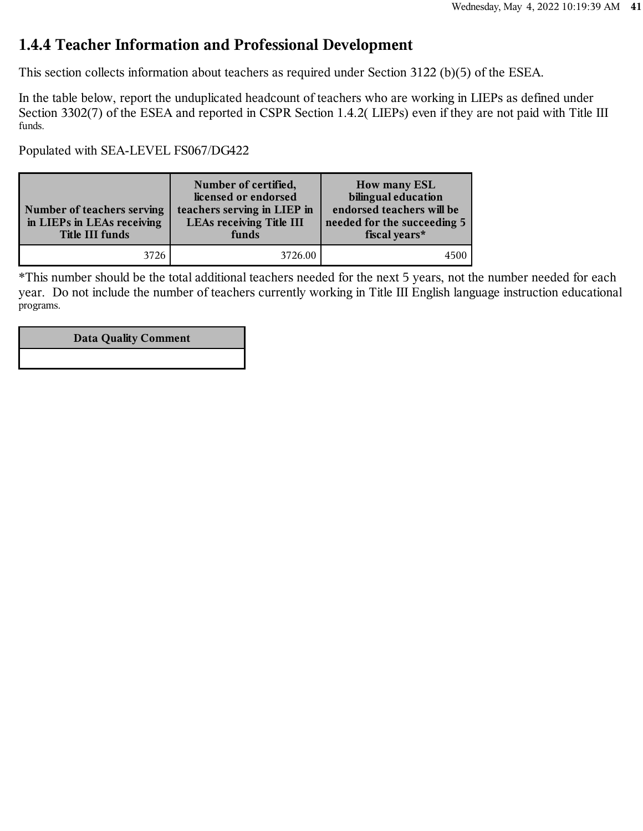#### **1.4.4 Teacher Information and Professional Development**

This section collects information about teachers as required under Section 3122 (b)(5) of the ESEA.

In the table below, report the unduplicated headcount of teachers who are working in LIEPs as defined under Section 3302(7) of the ESEA and reported in CSPR Section 1.4.2( LIEPs) even if they are not paid with Title III funds.

Populated with SEA-LEVEL FS067/DG422

| Number of teachers serving<br>in LIEPs in LEAs receiving<br>Title III funds | Number of certified,<br>licensed or endorsed<br>teachers serving in LIEP in<br><b>LEAs receiving Title III</b><br>funds | <b>How many ESL</b><br>bilingual education<br>endorsed teachers will be<br>needed for the succeeding 5<br>fiscal years* |
|-----------------------------------------------------------------------------|-------------------------------------------------------------------------------------------------------------------------|-------------------------------------------------------------------------------------------------------------------------|
| 3726                                                                        | 3726.00                                                                                                                 |                                                                                                                         |

\*This number should be the total additional teachers needed for the next 5 years, not the number needed for each year. Do not include the number of teachers currently working in Title III English language instruction educational programs.

#### **Data Quality Comment**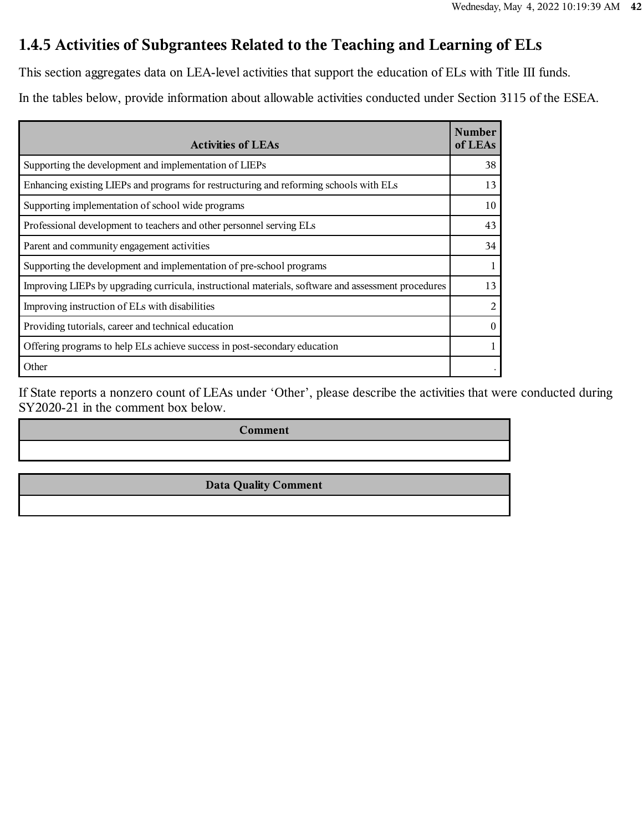## **1.4.5 Activities of Subgrantees Related to the Teaching and Learning of ELs**

This section aggregates data on LEA-level activities that support the education of ELs with Title III funds.

In the tables below, provide information about allowable activities conducted under Section 3115 of the ESEA.

| <b>Activities of LEAs</b>                                                                           | <b>Number</b><br>of LEAs |
|-----------------------------------------------------------------------------------------------------|--------------------------|
| Supporting the development and implementation of LIEPs                                              | 38                       |
| Enhancing existing LIEPs and programs for restructuring and reforming schools with ELs              | 13                       |
| Supporting implementation of school wide programs                                                   | 10                       |
| Professional development to teachers and other personnel serving ELs                                | 43                       |
| Parent and community engagement activities                                                          | 34                       |
| Supporting the development and implementation of pre-school programs                                | 1                        |
| Improving LIEPs by upgrading curricula, instructional materials, software and assessment procedures | 13                       |
| Improving instruction of ELs with disabilities                                                      | 2                        |
| Providing tutorials, career and technical education                                                 | $\theta$                 |
| Offering programs to help ELs achieve success in post-secondary education                           | 1                        |
| Other                                                                                               |                          |

If State reports a nonzero count of LEAs under 'Other', please describe the activities that were conducted during SY2020-21 in the comment box below.

**Comment**

**Data Quality Comment**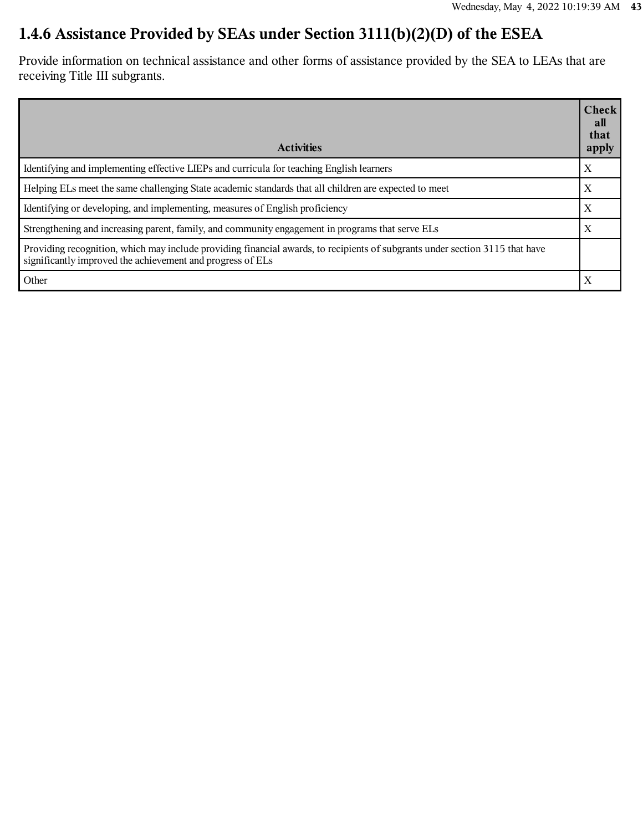# **1.4.6 Assistance Provided by SEAs under Section 3111(b)(2)(D) of the ESEA**

Provide information on technical assistance and other forms of assistance provided by the SEA to LEAs that are receiving Title III subgrants.

| <b>Activities</b>                                                                                                                                                                          | <b>Check</b><br>all<br>that<br>apply |
|--------------------------------------------------------------------------------------------------------------------------------------------------------------------------------------------|--------------------------------------|
| Identifying and implementing effective LIEPs and curricula for teaching English learners                                                                                                   | X                                    |
| Helping ELs meet the same challenging State academic standards that all children are expected to meet                                                                                      | X                                    |
| Identifying or developing, and implementing, measures of English proficiency                                                                                                               | X                                    |
| Strengthening and increasing parent, family, and community engagement in programs that serve ELs                                                                                           | X                                    |
| Providing recognition, which may include providing financial awards, to recipients of subgrants under section 3115 that have<br>significantly improved the achievement and progress of ELs |                                      |
| Other                                                                                                                                                                                      | $\boldsymbol{\mathrm{X}}$            |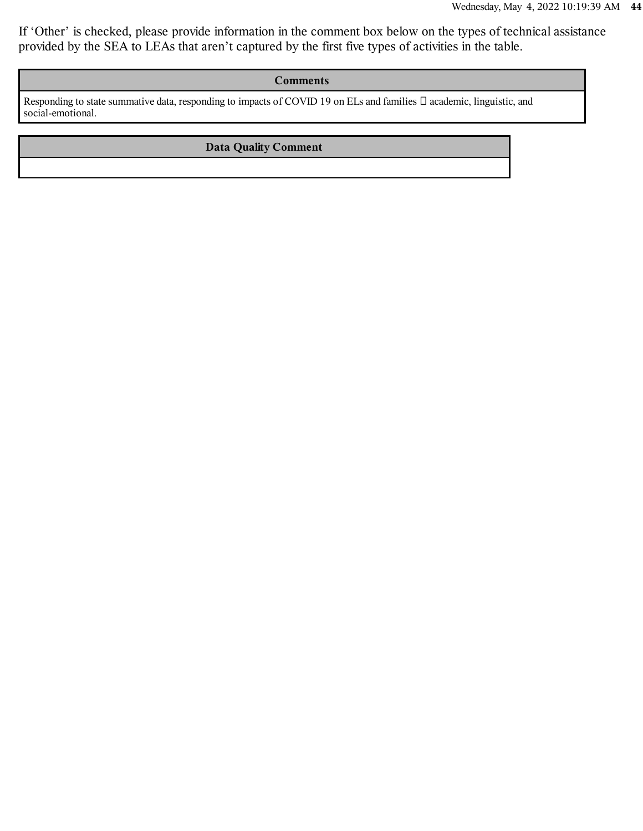If 'Other' is checked, please provide information in the comment box below on the types of technical assistance provided by the SEA to LEAs that aren't captured by the first five types of activities in the table.

#### **Comments**

Responding to state summative data, responding to impacts of COVID 19 on ELs and families  $\Box$  academic, linguistic, and social-emotional.

#### **Data Quality Comment**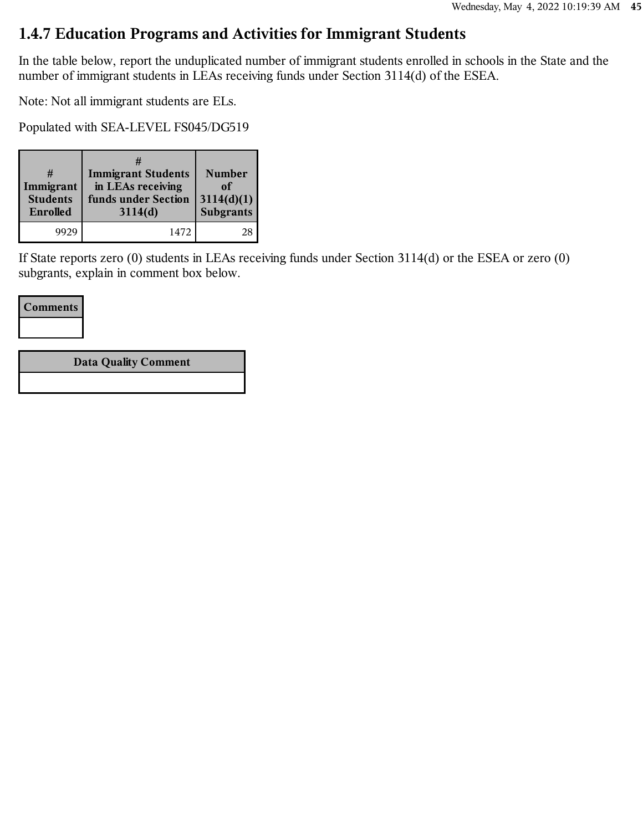#### **1.4.7 Education Programs and Activities for Immigrant Students**

In the table below, report the unduplicated number of immigrant students enrolled in schools in the State and the number of immigrant students in LEAs receiving funds under Section 3114(d) of the ESEA.

Note: Not all immigrant students are ELs.

Populated with SEA-LEVEL FS045/DG519

| Immigrant<br><b>Students</b><br>Enrolled | <b>Immigrant Students</b><br>in LEAs receiving<br>funds under Section<br>3114(d) | <b>Number</b><br>оf<br>3114(d)(1)<br><b>Subgrants</b> |
|------------------------------------------|----------------------------------------------------------------------------------|-------------------------------------------------------|
| 9929                                     | 1472                                                                             |                                                       |

If State reports zero (0) students in LEAs receiving funds under Section 3114(d) or the ESEA or zero (0) subgrants, explain in comment box below.

**Comments**

**Data Quality Comment**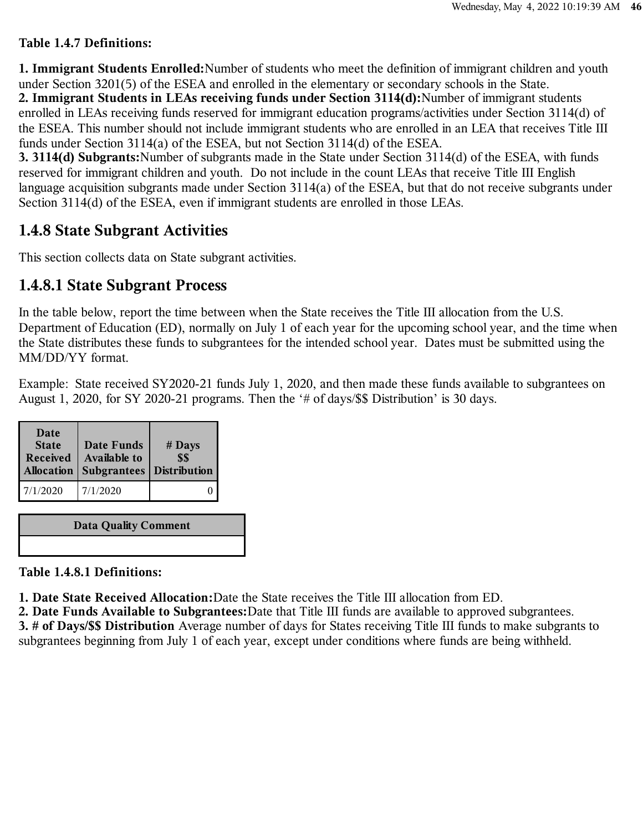#### **Table 1.4.7 Definitions:**

**1. Immigrant Students Enrolled:**Number of students who meet the definition of immigrant children and youth under Section 3201(5) of the ESEA and enrolled in the elementary or secondary schools in the State. **2. Immigrant Students in LEAs receiving funds under Section 3114(d):**Number of immigrant students enrolled in LEAs receiving funds reserved for immigrant education programs/activities under Section 3114(d) of the ESEA. This number should not include immigrant students who are enrolled in an LEA that receives Title III funds under Section 3114(a) of the ESEA, but not Section 3114(d) of the ESEA.

**3. 3114(d) Subgrants:**Number of subgrants made in the State under Section 3114(d) of the ESEA, with funds reserved for immigrant children and youth. Do not include in the count LEAs that receive Title III English language acquisition subgrants made under Section 3114(a) of the ESEA, but that do not receive subgrants under Section 3114(d) of the ESEA, even if immigrant students are enrolled in those LEAs.

#### **1.4.8 State Subgrant Activities**

This section collects data on State subgrant activities.

#### **1.4.8.1 State Subgrant Process**

In the table below, report the time between when the State receives the Title III allocation from the U.S. Department of Education (ED), normally on July 1 of each year for the upcoming school year, and the time when the State distributes these funds to subgrantees for the intended school year. Dates must be submitted using the MM/DD/YY format.

Example: State received SY2020-21 funds July 1, 2020, and then made these funds available to subgrantees on August 1, 2020, for SY 2020-21 programs. Then the '# of days/\$\$ Distribution' is 30 days.

| Date<br><b>State</b><br><b>Received</b> | Date Funds<br><b>Available to</b><br>Allocation   Subgrantees   Distribution | $#$ Days<br>\$\$ |
|-----------------------------------------|------------------------------------------------------------------------------|------------------|
| 7/1/2020                                | 7/1/2020                                                                     |                  |

**Data Quality Comment**

**Table 1.4.8.1 Definitions:**

**1. Date State Received Allocation:**Date the State receives the Title III allocation from ED.

**2. Date Funds Available to Subgrantees:**Date that Title III funds are available to approved subgrantees. **3. # of Days/\$\$ Distribution** Average number of days for States receiving Title III funds to make subgrants to subgrantees beginning from July 1 of each year, except under conditions where funds are being withheld.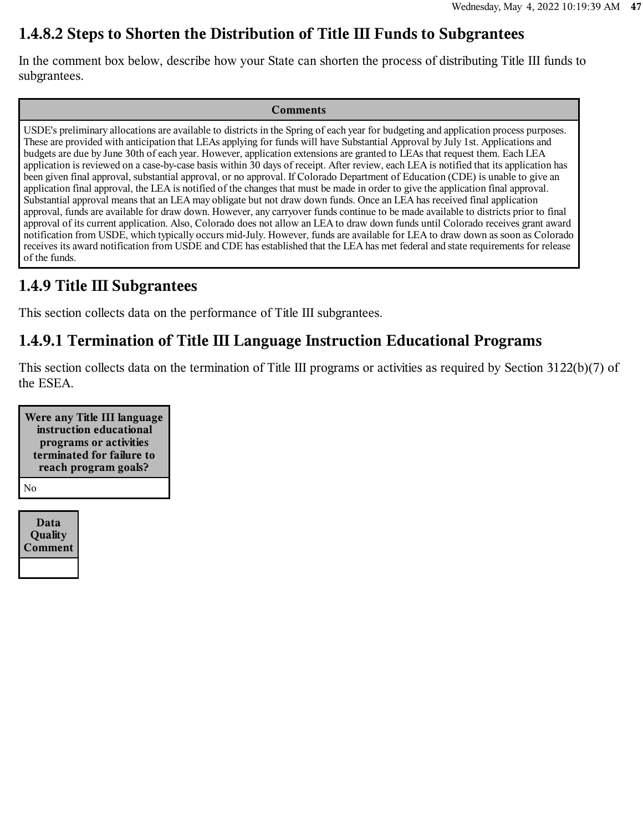#### **1.4.8.2 Steps to Shorten the Distribution of Title III Funds to Subgrantees**

In the comment box below, describe how your State can shorten the process of distributing Title III funds to subgrantees.

#### **Comments**

USDE's preliminary allocations are available to districts in the Spring of each year for budgeting and application process purposes. These are provided with anticipation that LEAs applying for funds will have Substantial Approval by July 1st. Applications and budgets are due by June 30th of each year. However, application extensions are granted to LEAs that request them. Each LEA application is reviewed on a case-by-case basis within 30 days of receipt. After review, each LEA is notified that its application has been given final approval, substantial approval, or no approval. If Colorado Department of Education (CDE) is unable to give an application final approval, the LEA is notified of the changes that must be made in order to give the application final approval. Substantial approval means that an LEA may obligate but not draw down funds. Once an LEA has received final application approval, funds are available for draw down. However, any carryover funds continue to be made available to districts prior to final approval of its current application. Also, Colorado does not allow an LEA to draw down funds until Colorado receives grant award notification from USDE, which typically occurs mid-July. However, funds are available for LEA to draw down as soon as Colorado receives its award notification from USDE and CDE has established that the LEA has met federal and state requirements for release of the funds.

#### **1.4.9 Title III Subgrantees**

This section collects data on the performance of Title III subgrantees.

#### **1.4.9.1 Termination of Title III Language Instruction Educational Programs**

This section collects data on the termination of Title III programs or activities as required by Section 3122(b)(7) of the ESEA.

**Were any Title III language instruction educational programs or activities terminated for failure to reach program goals?** No

**Data Quality Comment**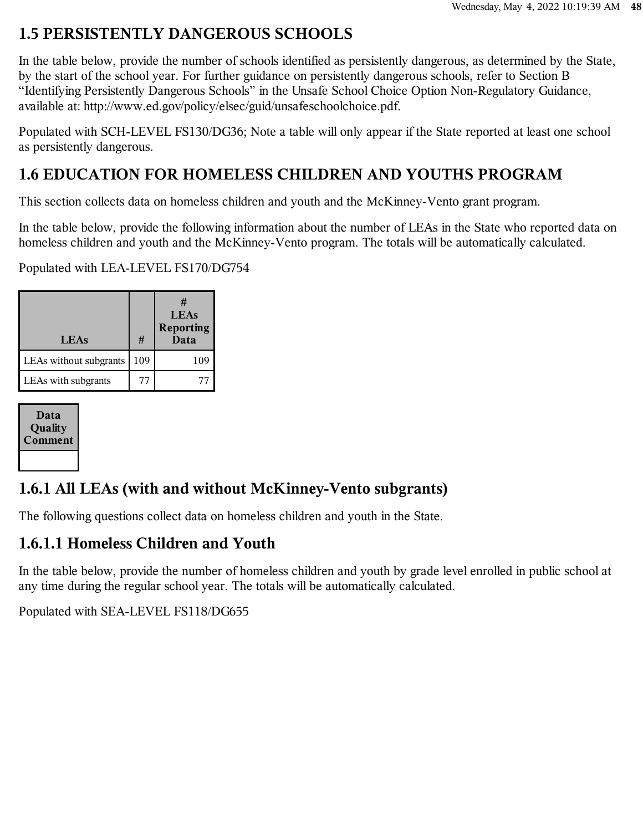## **1.5 PERSISTENTLY DANGEROUS SCHOOLS**

In the table below, provide the number of schools identified as persistently dangerous, as determined by the State, by the start of the school year. For further guidance on persistently dangerous schools, refer to Section B "Identifying Persistently Dangerous Schools" in the Unsafe School Choice Option Non-Regulatory Guidance, available at: http://www.ed.gov/policy/elsec/guid/unsafeschoolchoice.pdf.

Populated with SCH-LEVEL FS130/DG36; Note a table will only appear if the State reported at least one school as persistently dangerous.

# **1.6 EDUCATION FOR HOMELESS CHILDREN AND YOUTHS PROGRAM**

This section collects data on homeless children and youth and the McKinney-Vento grant program.

In the table below, provide the following information about the number of LEAs in the State who reported data on homeless children and youth and the McKinney-Vento program. The totals will be automatically calculated.

Populated with LEA-LEVEL FS170/DG754

| <b>LEAs</b>            | #   | #<br><b>LEAs</b><br><b>Reporting</b><br>Data |
|------------------------|-----|----------------------------------------------|
| LEAs without subgrants | 109 | 109                                          |
| LEAs with subgrants    | 77  |                                              |

| Data<br>Quality<br><b>Comment</b> |
|-----------------------------------|
|                                   |

# **1.6.1 All LEAs (with and without McKinney-Vento subgrants)**

The following questions collect data on homeless children and youth in the State.

## **1.6.1.1 Homeless Children and Youth**

In the table below, provide the number of homeless children and youth by grade level enrolled in public school at any time during the regular school year. The totals will be automatically calculated.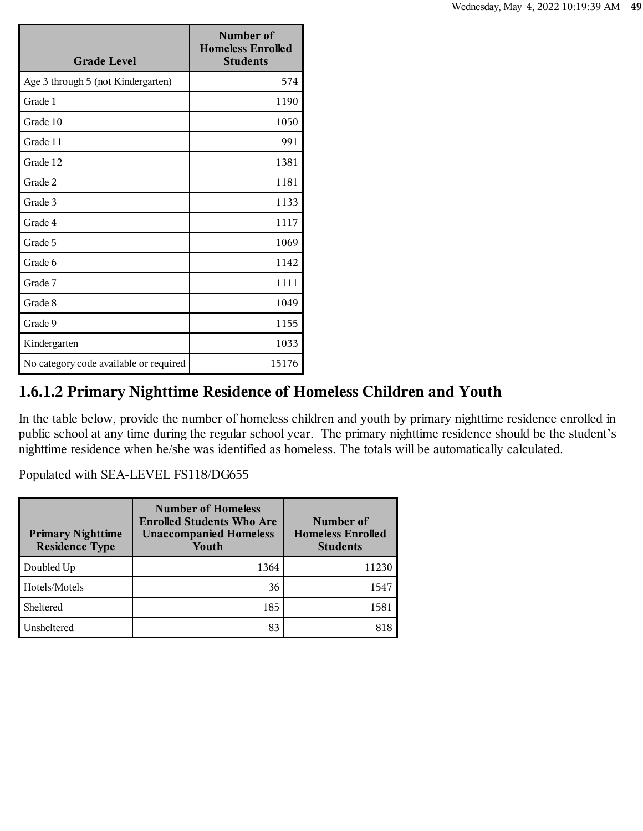| <b>Grade Level</b>                     | Number of<br><b>Homeless Enrolled</b><br><b>Students</b> |
|----------------------------------------|----------------------------------------------------------|
| Age 3 through 5 (not Kindergarten)     | 574                                                      |
| Grade 1                                | 1190                                                     |
| Grade 10                               | 1050                                                     |
| Grade 11                               | 991                                                      |
| Grade 12                               | 1381                                                     |
| Grade 2                                | 1181                                                     |
| Grade 3                                | 1133                                                     |
| Grade 4                                | 1117                                                     |
| Grade 5                                | 1069                                                     |
| Grade 6                                | 1142                                                     |
| Grade 7                                | 1111                                                     |
| Grade 8                                | 1049                                                     |
| Grade 9                                | 1155                                                     |
| Kindergarten                           | 1033                                                     |
| No category code available or required | 15176                                                    |

# **1.6.1.2 Primary Nighttime Residence of Homeless Children and Youth**

In the table below, provide the number of homeless children and youth by primary nighttime residence enrolled in public school at any time during the regular school year. The primary nighttime residence should be the student's nighttime residence when he/she was identified as homeless. The totals will be automatically calculated.

| <b>Primary Nighttime</b><br><b>Residence Type</b> | <b>Number of Homeless</b><br><b>Enrolled Students Who Are</b><br><b>Unaccompanied Homeless</b><br>Youth | Number of<br><b>Homeless Enrolled</b><br><b>Students</b> |
|---------------------------------------------------|---------------------------------------------------------------------------------------------------------|----------------------------------------------------------|
| Doubled Up                                        | 1364                                                                                                    | 11230                                                    |
| Hotels/Motels                                     | 36                                                                                                      | 1547                                                     |
| Sheltered                                         | 185                                                                                                     | 1581                                                     |
| Unsheltered                                       | 83                                                                                                      | 818                                                      |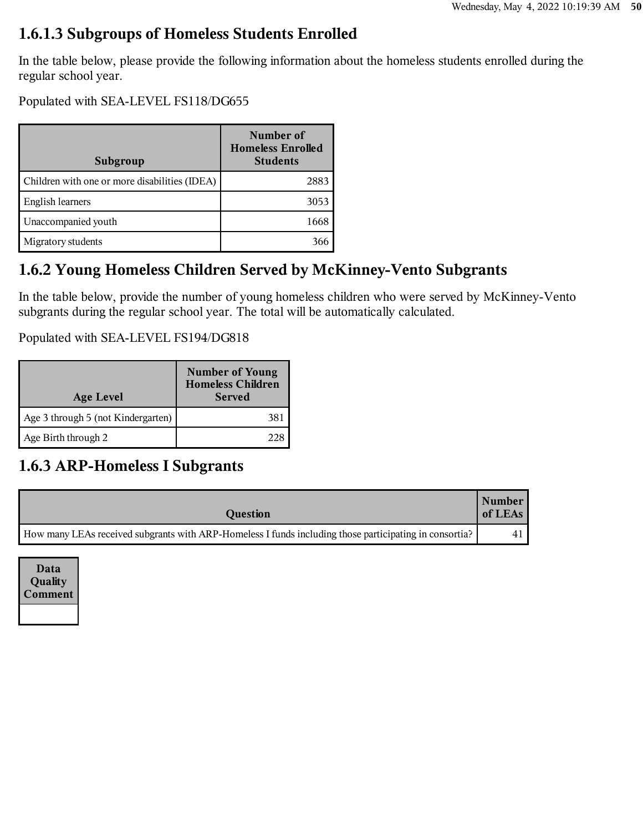## **1.6.1.3 Subgroups of Homeless Students Enrolled**

In the table below, please provide the following information about the homeless students enrolled during the regular school year.

Populated with SEA-LEVEL FS118/DG655

| Subgroup                                      | Number of<br><b>Homeless Enrolled</b><br><b>Students</b> |
|-----------------------------------------------|----------------------------------------------------------|
| Children with one or more disabilities (IDEA) | 2883                                                     |
| English learners                              | 3053                                                     |
| Unaccompanied youth                           | 1668                                                     |
| Migratory students                            |                                                          |

## **1.6.2 Young Homeless Children Served by McKinney-Vento Subgrants**

In the table below, provide the number of young homeless children who were served by McKinney-Vento subgrants during the regular school year. The total will be automatically calculated.

Populated with SEA-LEVEL FS194/DG818

| <b>Age Level</b>                   | <b>Number of Young</b><br><b>Homeless Children</b><br><b>Served</b> |
|------------------------------------|---------------------------------------------------------------------|
| Age 3 through 5 (not Kindergarten) |                                                                     |
| Age Birth through 2                |                                                                     |

## **1.6.3 ARP-Homeless I Subgrants**

| Question                                                                                               | Number<br>of LEAs |
|--------------------------------------------------------------------------------------------------------|-------------------|
| How many LEAs received subgrants with ARP-Homeless I funds including those participating in consortia? | 41 '              |

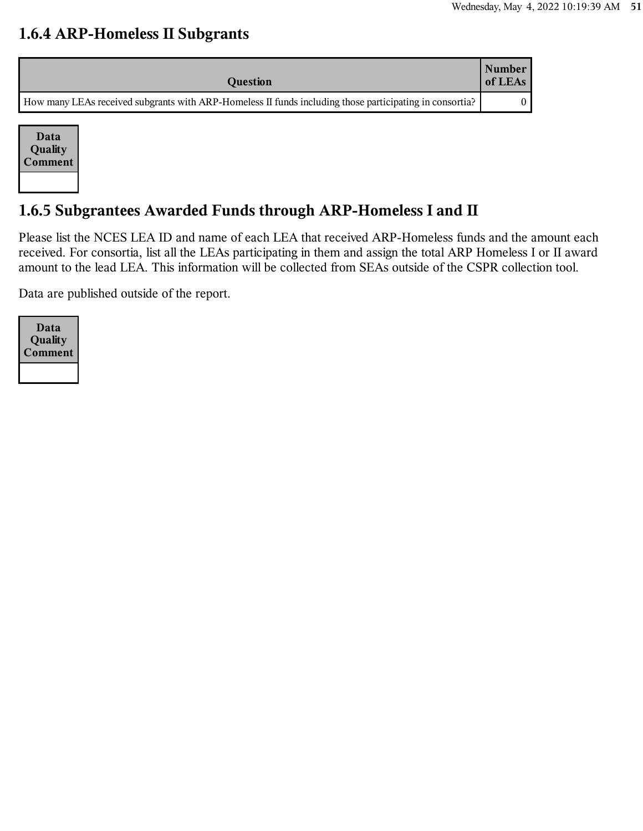#### **1.6.4 ARP-Homeless II Subgrants**

| <b>Question</b>                                                                                         | Number<br>of LEAs |
|---------------------------------------------------------------------------------------------------------|-------------------|
| How many LEAs received subgrants with ARP-Homeless II funds including those participating in consortia? |                   |



# **1.6.5 Subgrantees Awarded Funds through ARP-Homeless I and II**

Please list the NCES LEA ID and name of each LEA that received ARP-Homeless funds and the amount each received. For consortia, list all the LEAs participating in them and assign the total ARP Homeless I or II award amount to the lead LEA. This information will be collected from SEAs outside of the CSPR collection tool.

Data are published outside of the report.

| Data<br>Quality<br>Comment |
|----------------------------|
|                            |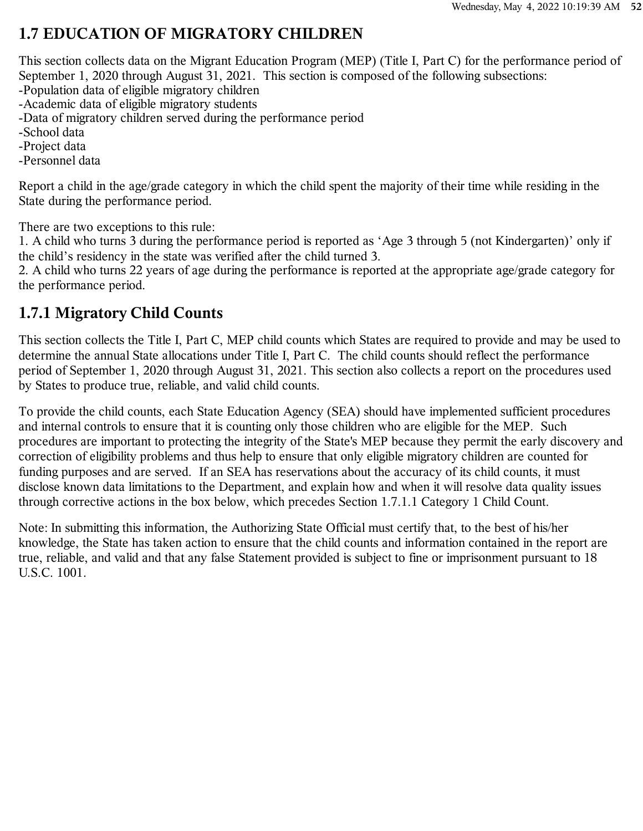## **1.7 EDUCATION OF MIGRATORY CHILDREN**

This section collects data on the Migrant Education Program (MEP) (Title I, Part C) for the performance period of September 1, 2020 through August 31, 2021. This section is composed of the following subsections:

-Population data of eligible migratory children

-Academic data of eligible migratory students

-Data of migratory children served during the performance period

-School data

-Project data

-Personnel data

Report a child in the age/grade category in which the child spent the majority of their time while residing in the State during the performance period.

There are two exceptions to this rule:

1. A child who turns 3 during the performance period is reported as 'Age 3 through 5 (not Kindergarten)' only if the child's residency in the state was verified after the child turned 3.

2. A child who turns 22 years of age during the performance is reported at the appropriate age/grade category for the performance period.

#### **1.7.1 Migratory Child Counts**

This section collects the Title I, Part C, MEP child counts which States are required to provide and may be used to determine the annual State allocations under Title I, Part C. The child counts should reflect the performance period of September 1, 2020 through August 31, 2021. This section also collects a report on the procedures used by States to produce true, reliable, and valid child counts.

To provide the child counts, each State Education Agency (SEA) should have implemented sufficient procedures and internal controls to ensure that it is counting only those children who are eligible for the MEP. Such procedures are important to protecting the integrity of the State's MEP because they permit the early discovery and correction of eligibility problems and thus help to ensure that only eligible migratory children are counted for funding purposes and are served. If an SEA has reservations about the accuracy of its child counts, it must disclose known data limitations to the Department, and explain how and when it will resolve data quality issues through corrective actions in the box below, which precedes Section 1.7.1.1 Category 1 Child Count.

Note: In submitting this information, the Authorizing State Official must certify that, to the best of his/her knowledge, the State has taken action to ensure that the child counts and information contained in the report are true, reliable, and valid and that any false Statement provided is subject to fine or imprisonment pursuant to 18 U.S.C. 1001.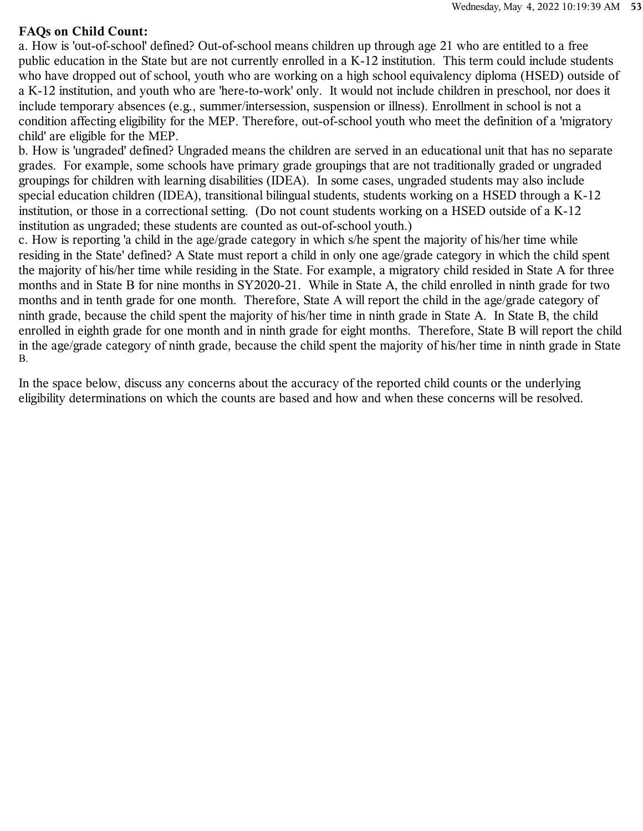#### **FAQs on Child Count:**

a. How is 'out-of-school' defined? Out-of-school means children up through age 21 who are entitled to a free public education in the State but are not currently enrolled in a K-12 institution. This term could include students who have dropped out of school, youth who are working on a high school equivalency diploma (HSED) outside of a K-12 institution, and youth who are 'here-to-work' only. It would not include children in preschool, nor does it include temporary absences (e.g., summer/intersession, suspension or illness). Enrollment in school is not a condition affecting eligibility for the MEP. Therefore, out-of-school youth who meet the definition of a 'migratory child' are eligible for the MEP.

b. How is 'ungraded' defined? Ungraded means the children are served in an educational unit that has no separate grades. For example, some schools have primary grade groupings that are not traditionally graded or ungraded groupings for children with learning disabilities (IDEA). In some cases, ungraded students may also include special education children (IDEA), transitional bilingual students, students working on a HSED through a K-12 institution, or those in a correctional setting. (Do not count students working on a HSED outside of a K-12 institution as ungraded; these students are counted as out-of-school youth.)

c. How is reporting 'a child in the age/grade category in which s/he spent the majority of his/her time while residing in the State' defined? A State must report a child in only one age/grade category in which the child spent the majority of his/her time while residing in the State. For example, a migratory child resided in State A for three months and in State B for nine months in SY2020-21. While in State A, the child enrolled in ninth grade for two months and in tenth grade for one month. Therefore, State A will report the child in the age/grade category of ninth grade, because the child spent the majority of his/her time in ninth grade in State A. In State B, the child enrolled in eighth grade for one month and in ninth grade for eight months. Therefore, State B will report the child in the age/grade category of ninth grade, because the child spent the majority of his/her time in ninth grade in State B.

In the space below, discuss any concerns about the accuracy of the reported child counts or the underlying eligibility determinations on which the counts are based and how and when these concerns will be resolved.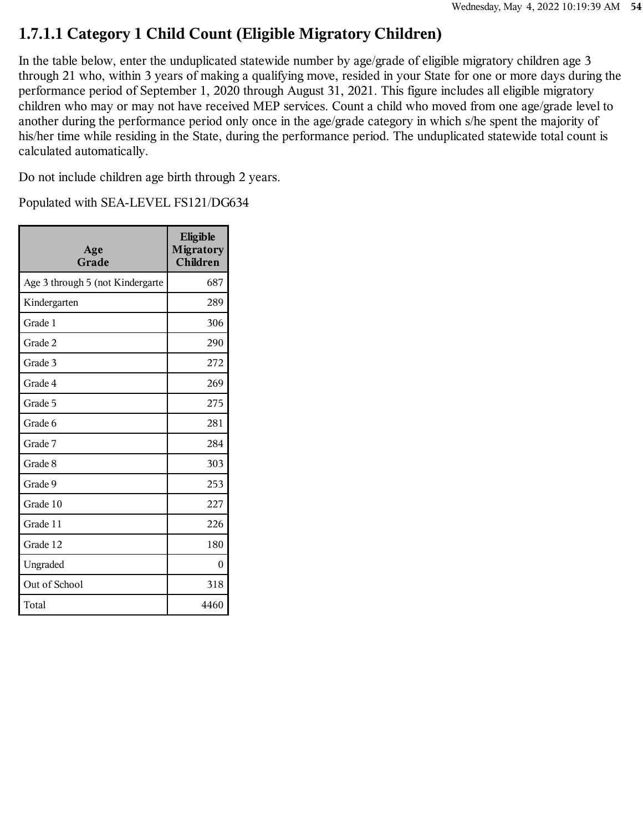## **1.7.1.1 Category 1 Child Count (Eligible Migratory Children)**

In the table below, enter the unduplicated statewide number by age/grade of eligible migratory children age 3 through 21 who, within 3 years of making a qualifying move, resided in your State for one or more days during the performance period of September 1, 2020 through August 31, 2021. This figure includes all eligible migratory children who may or may not have received MEP services. Count a child who moved from one age/grade level to another during the performance period only once in the age/grade category in which s/he spent the majority of his/her time while residing in the State, during the performance period. The unduplicated statewide total count is calculated automatically.

Do not include children age birth through 2 years.

| Age<br>Grade                     | Eligible<br><b>Migratory</b><br><b>Children</b> |
|----------------------------------|-------------------------------------------------|
| Age 3 through 5 (not Kindergarte | 687                                             |
| Kindergarten                     | 289                                             |
| Grade 1                          | 306                                             |
| Grade 2                          | 290                                             |
| Grade 3                          | 272                                             |
| Grade 4                          | 269                                             |
| Grade 5                          | 275                                             |
| Grade 6                          | 281                                             |
| Grade 7                          | 284                                             |
| Grade 8                          | 303                                             |
| Grade 9                          | 253                                             |
| Grade 10                         | 227                                             |
| Grade 11                         | 226                                             |
| Grade 12                         | 180                                             |
| Ungraded                         | 0                                               |
| Out of School                    | 318                                             |
| Total                            | 4460                                            |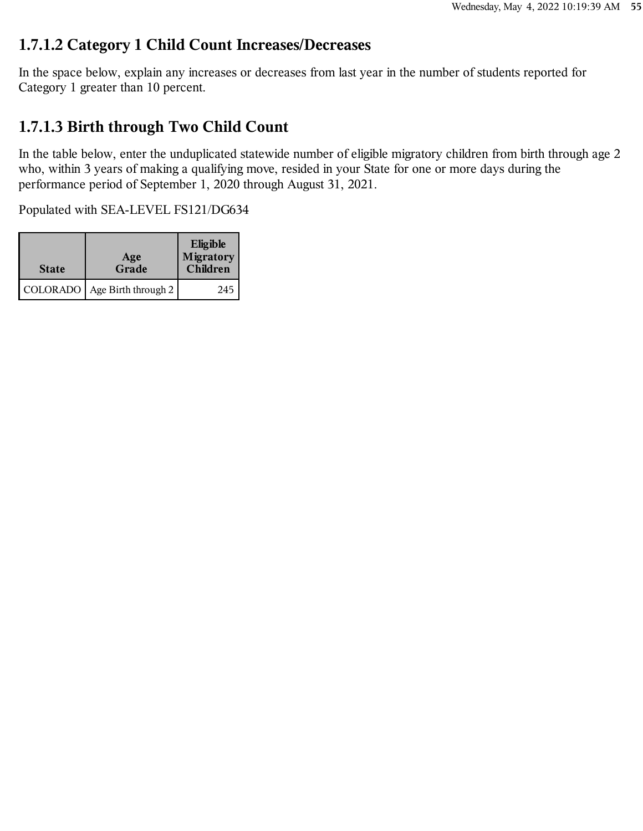#### **1.7.1.2 Category 1 Child Count Increases/Decreases**

In the space below, explain any increases or decreases from last year in the number of students reported for Category 1 greater than 10 percent.

## **1.7.1.3 Birth through Two Child Count**

In the table below, enter the unduplicated statewide number of eligible migratory children from birth through age 2 who, within 3 years of making a qualifying move, resided in your State for one or more days during the performance period of September 1, 2020 through August 31, 2021.

| <b>State</b> | Age<br>Grade        | Eligible<br>Migratory<br>Children |
|--------------|---------------------|-----------------------------------|
| COLORADO     | Age Birth through 2 | 245                               |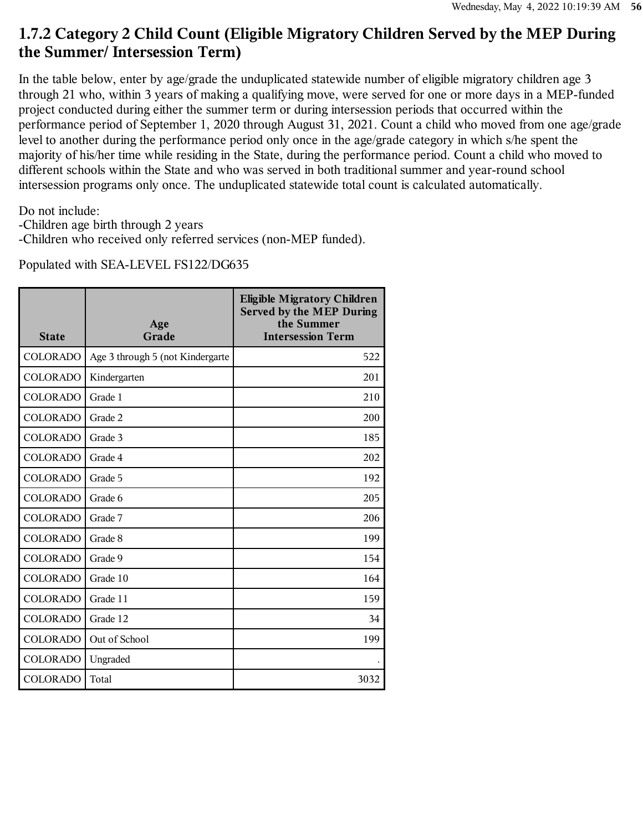### **1.7.2 Category 2 Child Count (Eligible Migratory Children Served by the MEP During the Summer/ Intersession Term)**

In the table below, enter by age/grade the unduplicated statewide number of eligible migratory children age 3 through 21 who, within 3 years of making a qualifying move, were served for one or more days in a MEP-funded project conducted during either the summer term or during intersession periods that occurred within the performance period of September 1, 2020 through August 31, 2021. Count a child who moved from one age/grade level to another during the performance period only once in the age/grade category in which s/he spent the majority of his/her time while residing in the State, during the performance period. Count a child who moved to different schools within the State and who was served in both traditional summer and year-round school intersession programs only once. The unduplicated statewide total count is calculated automatically.

Do not include:

- -Children age birth through 2 years
- -Children who received only referred services (non-MEP funded).

| <b>State</b>    | Age<br>Grade                     | <b>Eligible Migratory Children</b><br><b>Served by the MEP During</b><br>the Summer<br><b>Intersession Term</b> |
|-----------------|----------------------------------|-----------------------------------------------------------------------------------------------------------------|
| COLORADO        | Age 3 through 5 (not Kindergarte | 522                                                                                                             |
| <b>COLORADO</b> | Kindergarten                     | 201                                                                                                             |
| <b>COLORADO</b> | Grade 1                          | 210                                                                                                             |
| <b>COLORADO</b> | Grade 2                          | 200                                                                                                             |
| <b>COLORADO</b> | Grade 3                          | 185                                                                                                             |
| <b>COLORADO</b> | Grade 4                          | 202                                                                                                             |
| <b>COLORADO</b> | Grade 5                          | 192                                                                                                             |
| <b>COLORADO</b> | Grade 6                          | 205                                                                                                             |
| <b>COLORADO</b> | Grade 7                          | 206                                                                                                             |
| <b>COLORADO</b> | Grade 8                          | 199                                                                                                             |
| <b>COLORADO</b> | Grade 9                          | 154                                                                                                             |
| <b>COLORADO</b> | Grade 10                         | 164                                                                                                             |
| <b>COLORADO</b> | Grade 11                         | 159                                                                                                             |
| <b>COLORADO</b> | Grade 12                         | 34                                                                                                              |
| <b>COLORADO</b> | Out of School                    | 199                                                                                                             |
| <b>COLORADO</b> | Ungraded                         |                                                                                                                 |
| <b>COLORADO</b> | Total                            | 3032                                                                                                            |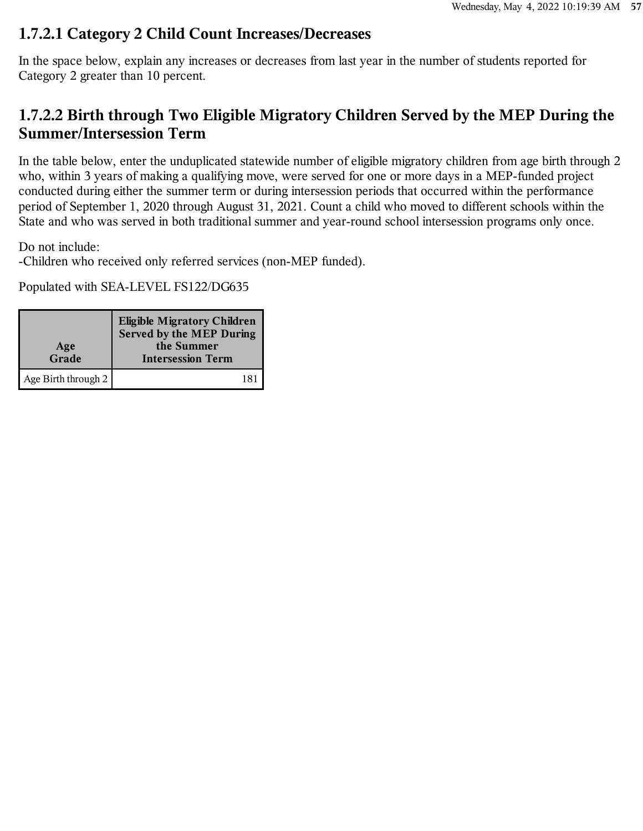#### **1.7.2.1 Category 2 Child Count Increases/Decreases**

In the space below, explain any increases or decreases from last year in the number of students reported for Category 2 greater than 10 percent.

# **1.7.2.2 Birth through Two Eligible Migratory Children Served by the MEP During the Summer/Intersession Term**

In the table below, enter the unduplicated statewide number of eligible migratory children from age birth through 2 who, within 3 years of making a qualifying move, were served for one or more days in a MEP-funded project conducted during either the summer term or during intersession periods that occurred within the performance period of September 1, 2020 through August 31, 2021. Count a child who moved to different schools within the State and who was served in both traditional summer and year-round school intersession programs only once.

Do not include:

-Children who received only referred services (non-MEP funded).

| Age<br>Grade        | <b>Eligible Migratory Children</b><br><b>Served by the MEP During</b><br>the Summer<br><b>Intersession Term</b> |
|---------------------|-----------------------------------------------------------------------------------------------------------------|
| Age Birth through 2 | 181                                                                                                             |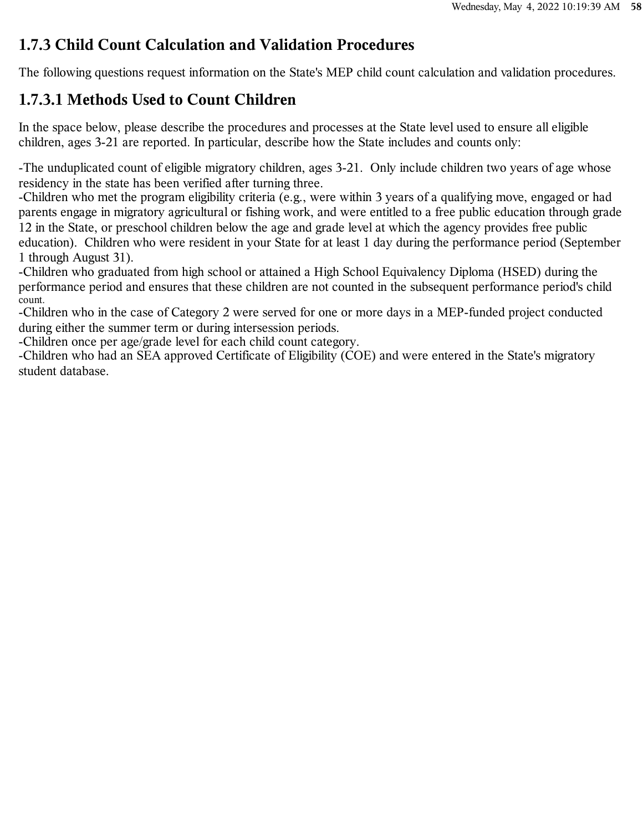## **1.7.3 Child Count Calculation and Validation Procedures**

The following questions request information on the State's MEP child count calculation and validation procedures.

# **1.7.3.1 Methods Used to Count Children**

In the space below, please describe the procedures and processes at the State level used to ensure all eligible children, ages 3-21 are reported. In particular, describe how the State includes and counts only:

-The unduplicated count of eligible migratory children, ages 3-21. Only include children two years of age whose residency in the state has been verified after turning three.

-Children who met the program eligibility criteria (e.g., were within 3 years of a qualifying move, engaged or had parents engage in migratory agricultural or fishing work, and were entitled to a free public education through grade 12 in the State, or preschool children below the age and grade level at which the agency provides free public education). Children who were resident in your State for at least 1 day during the performance period (September 1 through August 31).

-Children who graduated from high school or attained a High School Equivalency Diploma (HSED) during the performance period and ensures that these children are not counted in the subsequent performance period's child -<br>count.

-Children who in the case of Category 2 were served for one or more days in a MEP-funded project conducted during either the summer term or during intersession periods.

-Children once per age/grade level for each child count category.

-Children who had an SEA approved Certificate of Eligibility (COE) and were entered in the State's migratory student database.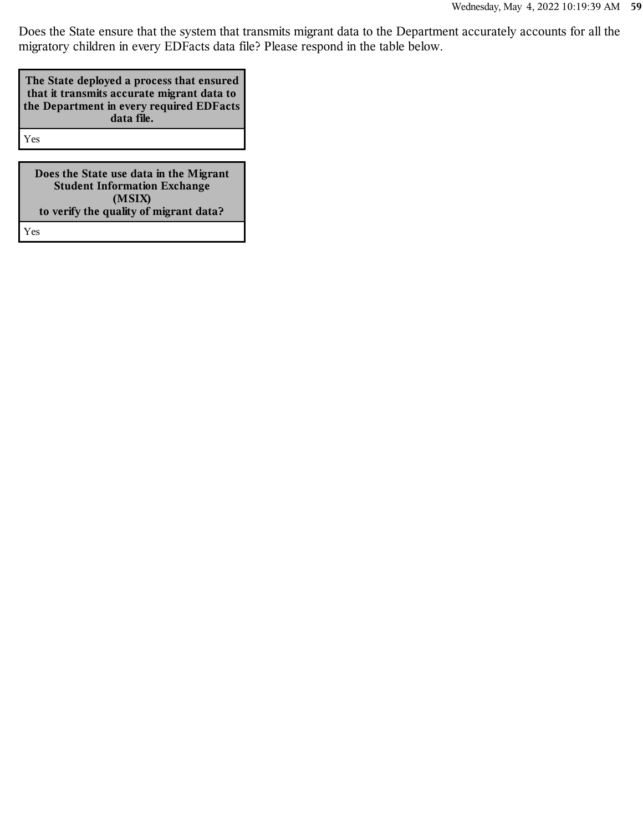Does the State ensure that the system that transmits migrant data to the Department accurately accounts for all the migratory children in every EDFacts data file? Please respond in the table below.

| The State deployed a process that ensured<br>that it transmits accurate migrant data to<br>the Department in every required EDFacts<br>data file. |
|---------------------------------------------------------------------------------------------------------------------------------------------------|
| Yes                                                                                                                                               |

**Does the State use data in the Migrant Student Information Exchange (MSIX) to verify the quality of migrant data?**

Yes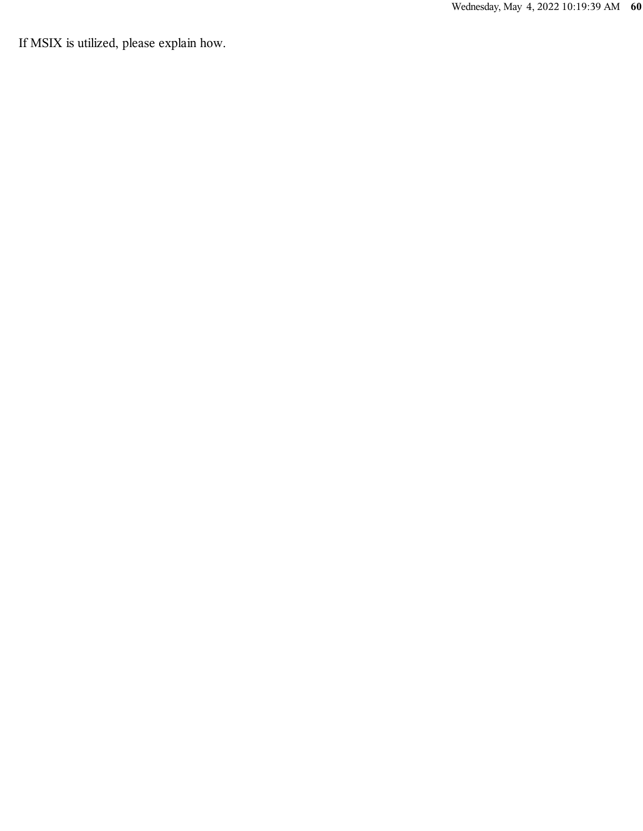If MSIX is utilized, please explain how.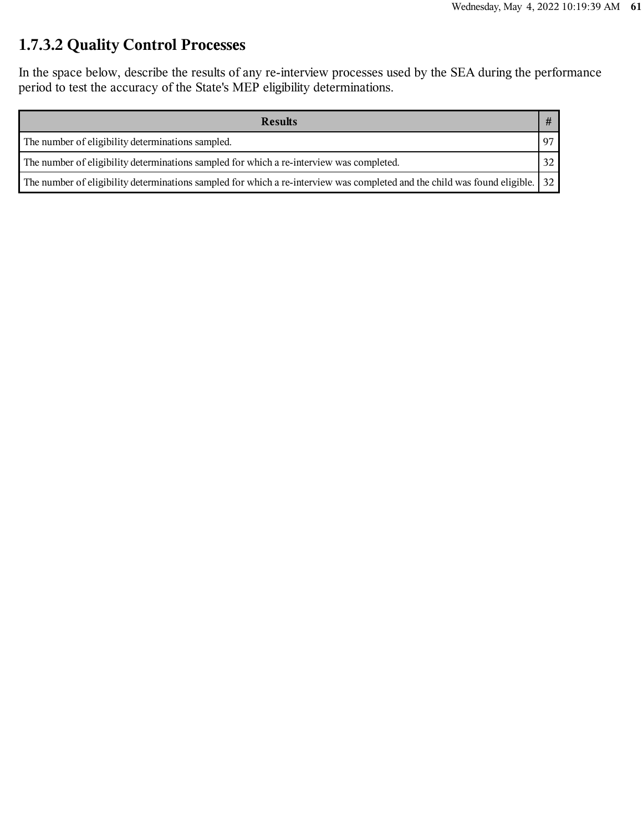# **1.7.3.2 Quality Control Processes**

In the space below, describe the results of any re-interview processes used by the SEA during the performance period to test the accuracy of the State's MEP eligibility determinations.

| <b>Results</b>                                                                                                               |    |
|------------------------------------------------------------------------------------------------------------------------------|----|
| The number of eligibility determinations sampled.                                                                            | 97 |
| The number of eligibility determinations sampled for which a re-interview was completed.                                     | 32 |
| The number of eligibility determinations sampled for which a re-interview was completed and the child was found eligible. 32 |    |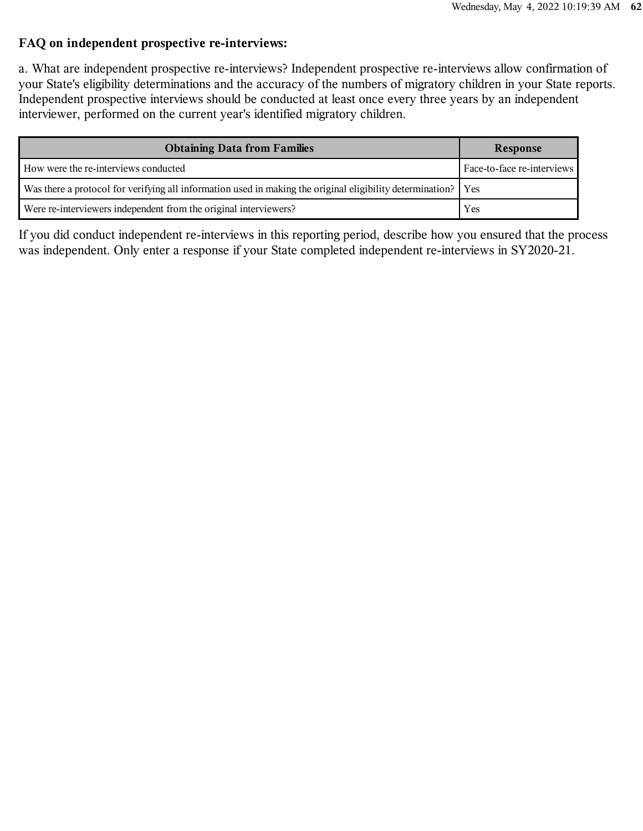#### **FAQ on independent prospective re-interviews:**

a. What are independent prospective re-interviews? Independent prospective re-interviews allow confirmation of your State's eligibility determinations and the accuracy of the numbers of migratory children in your State reports. Independent prospective interviews should be conducted at least once every three years by an independent interviewer, performed on the current year's identified migratory children.

| <b>Obtaining Data from Families</b>                                                                             | Response                   |
|-----------------------------------------------------------------------------------------------------------------|----------------------------|
| How were the re-interviews conducted                                                                            | Face-to-face re-interviews |
| Was there a protocol for verifying all information used in making the original eligibility determination?   Yes |                            |
| Were re-interviewers independent from the original interviewers?                                                | Yes                        |

If you did conduct independent re-interviews in this reporting period, describe how you ensured that the process was independent. Only enter a response if your State completed independent re-interviews in SY2020-21.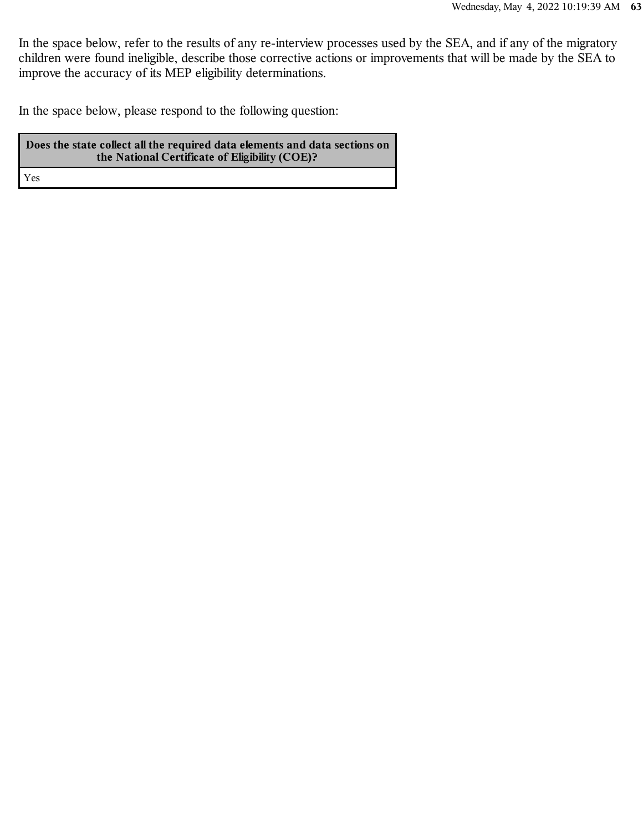In the space below, refer to the results of any re-interview processes used by the SEA, and if any of the migratory children were found ineligible, describe those corrective actions or improvements that will be made by the SEA to improve the accuracy of its MEP eligibility determinations.

In the space below, please respond to the following question:

**Does the state collect all the required data elements and data sections on the National Certificate of Eligibility (COE)?** Yes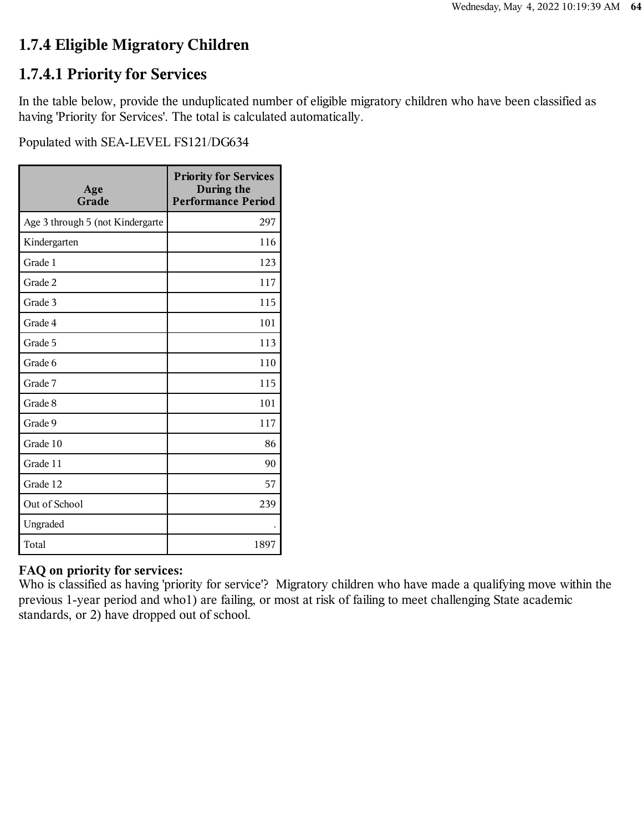# **1.7.4 Eligible Migratory Children**

### **1.7.4.1 Priority for Services**

In the table below, provide the unduplicated number of eligible migratory children who have been classified as having 'Priority for Services'. The total is calculated automatically.

Populated with SEA-LEVEL FS121/DG634

| Age<br>Grade                     | <b>Priority for Services</b><br>During the<br><b>Performance Period</b> |
|----------------------------------|-------------------------------------------------------------------------|
| Age 3 through 5 (not Kindergarte | 297                                                                     |
| Kindergarten                     | 116                                                                     |
| Grade 1                          | 123                                                                     |
| Grade 2                          | 117                                                                     |
| Grade 3                          | 115                                                                     |
| Grade 4                          | 101                                                                     |
| Grade 5                          | 113                                                                     |
| Grade 6                          | 110                                                                     |
| Grade 7                          | 115                                                                     |
| Grade 8                          | 101                                                                     |
| Grade 9                          | 117                                                                     |
| Grade 10                         | 86                                                                      |
| Grade 11                         | 90                                                                      |
| Grade 12                         | 57                                                                      |
| Out of School                    | 239                                                                     |
| Ungraded                         |                                                                         |
| Total                            | 1897                                                                    |

#### **FAQ on priority for services:**

Who is classified as having 'priority for service'? Migratory children who have made a qualifying move within the previous 1-year period and who1) are failing, or most at risk of failing to meet challenging State academic standards, or 2) have dropped out of school.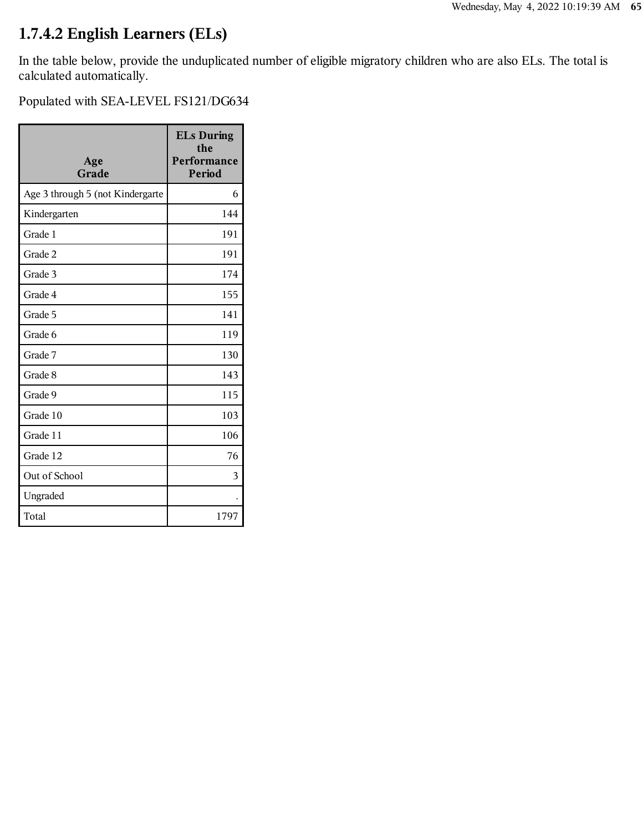# **1.7.4.2 English Learners (ELs)**

In the table below, provide the unduplicated number of eligible migratory children who are also ELs. The total is calculated automatically.

| Age<br>Grade                     | <b>ELs During</b><br>the<br>Performance<br>Period |
|----------------------------------|---------------------------------------------------|
| Age 3 through 5 (not Kindergarte | 6                                                 |
| Kindergarten                     | 144                                               |
| Grade 1                          | 191                                               |
| Grade 2                          | 191                                               |
| Grade 3                          | 174                                               |
| Grade 4                          | 155                                               |
| Grade 5                          | 141                                               |
| Grade 6                          | 119                                               |
| Grade 7                          | 130                                               |
| Grade 8                          | 143                                               |
| Grade 9                          | 115                                               |
| Grade 10                         | 103                                               |
| Grade 11                         | 106                                               |
| Grade 12                         | 76                                                |
| Out of School                    | 3                                                 |
| Ungraded                         |                                                   |
| Total                            | 1797                                              |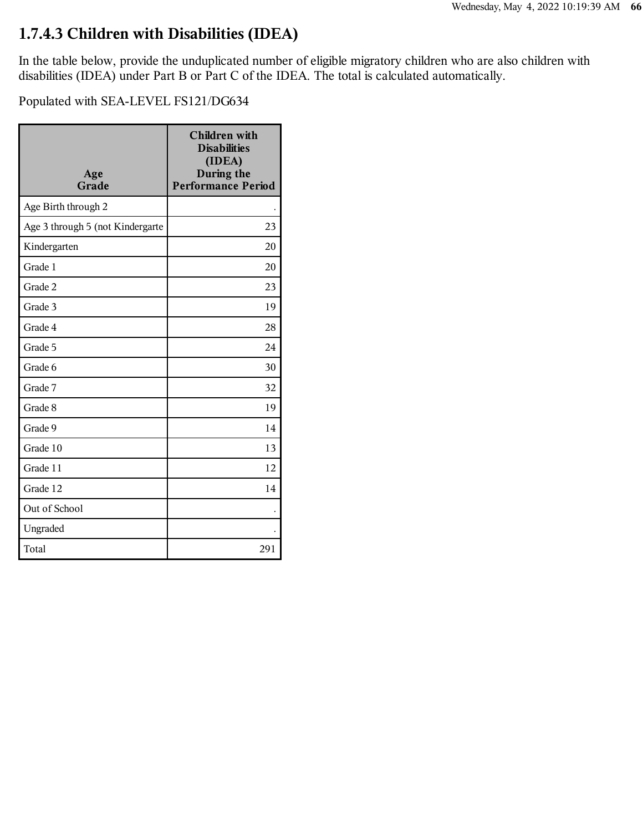## **1.7.4.3 Children with Disabilities (IDEA)**

In the table below, provide the unduplicated number of eligible migratory children who are also children with disabilities (IDEA) under Part B or Part C of the IDEA. The total is calculated automatically.

| Age<br>Grade                     | <b>Children</b> with<br><b>Disabilities</b><br>(IDEA)<br>During the<br><b>Performance Period</b> |
|----------------------------------|--------------------------------------------------------------------------------------------------|
| Age Birth through 2              |                                                                                                  |
| Age 3 through 5 (not Kindergarte | 23                                                                                               |
| Kindergarten                     | 20                                                                                               |
| Grade 1                          | 20                                                                                               |
| Grade 2                          | 23                                                                                               |
| Grade 3                          | 19                                                                                               |
| Grade 4                          | 28                                                                                               |
| Grade 5                          | 24                                                                                               |
| Grade 6                          | 30                                                                                               |
| Grade 7                          | 32                                                                                               |
| Grade 8                          | 19                                                                                               |
| Grade 9                          | 14                                                                                               |
| Grade 10                         | 13                                                                                               |
| Grade 11                         | 12                                                                                               |
| Grade 12                         | 14                                                                                               |
| Out of School                    |                                                                                                  |
| Ungraded                         |                                                                                                  |
| Total                            | 291                                                                                              |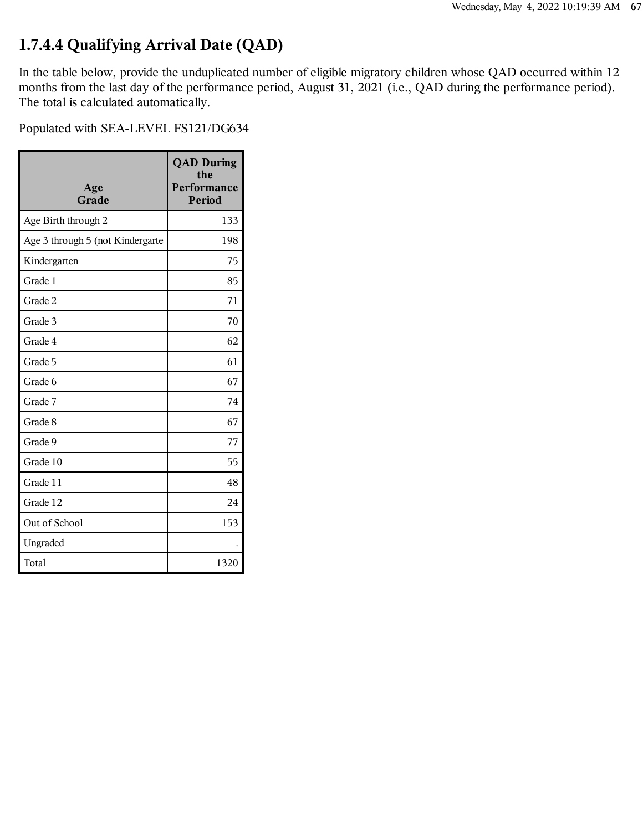# **1.7.4.4 Qualifying Arrival Date (QAD)**

In the table below, provide the unduplicated number of eligible migratory children whose QAD occurred within 12 months from the last day of the performance period, August 31, 2021 (i.e., QAD during the performance period). The total is calculated automatically.

| Age<br>Grade                     | <b>QAD During</b><br>the<br>Performance<br>Period |
|----------------------------------|---------------------------------------------------|
| Age Birth through 2              | 133                                               |
| Age 3 through 5 (not Kindergarte | 198                                               |
| Kindergarten                     | 75                                                |
| Grade 1                          | 85                                                |
| Grade 2                          | 71                                                |
| Grade 3                          | 70                                                |
| Grade 4                          | 62                                                |
| Grade 5                          | 61                                                |
| Grade 6                          | 67                                                |
| Grade 7                          | 74                                                |
| Grade 8                          | 67                                                |
| Grade 9                          | 77                                                |
| Grade 10                         | 55                                                |
| Grade 11                         | 48                                                |
| Grade 12                         | 24                                                |
| Out of School                    | 153                                               |
| Ungraded                         |                                                   |
| Total                            | 1320                                              |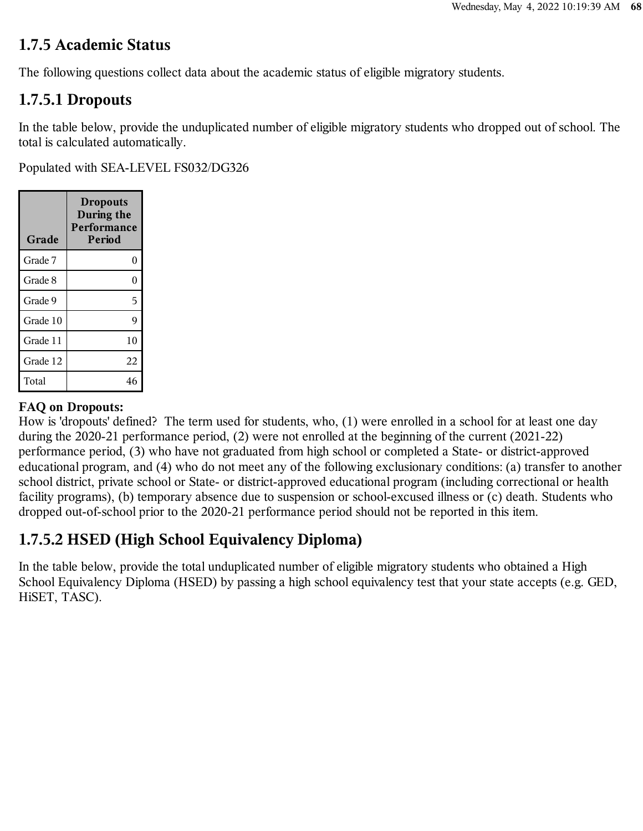#### **1.7.5 Academic Status**

The following questions collect data about the academic status of eligible migratory students.

## **1.7.5.1 Dropouts**

In the table below, provide the unduplicated number of eligible migratory students who dropped out of school. The total is calculated automatically.

Populated with SEA-LEVEL FS032/DG326

| Grade    | <b>Dropouts</b><br>During the<br>Performance<br>Period |  |
|----------|--------------------------------------------------------|--|
| Grade 7  | $\theta$                                               |  |
| Grade 8  | $\theta$                                               |  |
| Grade 9  | 5                                                      |  |
| Grade 10 | 9                                                      |  |
| Grade 11 | 10                                                     |  |
| Grade 12 | 22                                                     |  |
| Total    | 46                                                     |  |

#### **FAQ on Dropouts:**

How is 'dropouts' defined? The term used for students, who, (1) were enrolled in a school for at least one day during the 2020-21 performance period, (2) were not enrolled at the beginning of the current (2021-22) performance period, (3) who have not graduated from high school or completed a State- or district-approved educational program, and (4) who do not meet any of the following exclusionary conditions: (a) transfer to another school district, private school or State- or district-approved educational program (including correctional or health facility programs), (b) temporary absence due to suspension or school-excused illness or (c) death. Students who dropped out-of-school prior to the 2020-21 performance period should not be reported in this item.

# **1.7.5.2 HSED (High School Equivalency Diploma)**

In the table below, provide the total unduplicated number of eligible migratory students who obtained a High School Equivalency Diploma (HSED) by passing a high school equivalency test that your state accepts (e.g. GED, HiSET, TASC).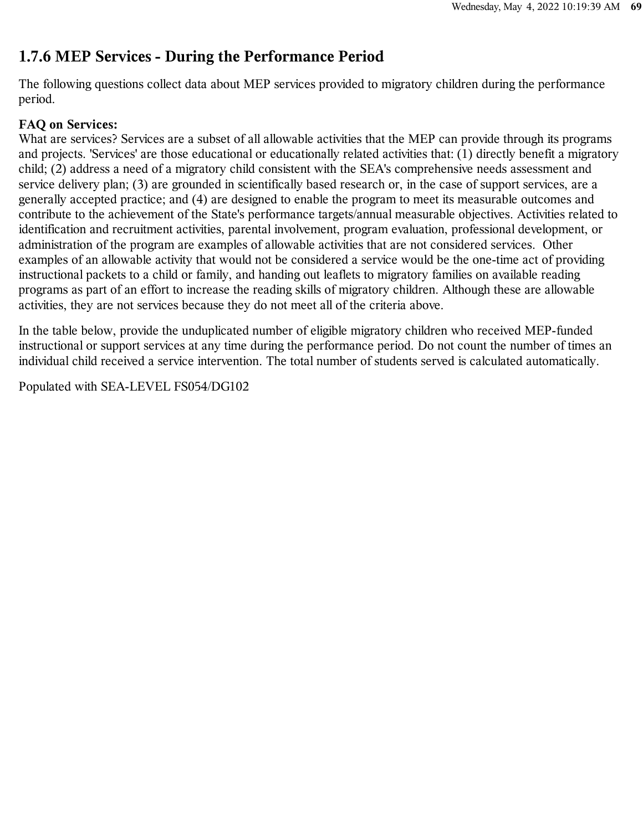## **1.7.6 MEP Services - During the Performance Period**

The following questions collect data about MEP services provided to migratory children during the performance period.

#### **FAQ on Services:**

What are services? Services are a subset of all allowable activities that the MEP can provide through its programs and projects. 'Services' are those educational or educationally related activities that: (1) directly benefit a migratory child; (2) address a need of a migratory child consistent with the SEA's comprehensive needs assessment and service delivery plan; (3) are grounded in scientifically based research or, in the case of support services, are a generally accepted practice; and (4) are designed to enable the program to meet its measurable outcomes and contribute to the achievement of the State's performance targets/annual measurable objectives. Activities related to identification and recruitment activities, parental involvement, program evaluation, professional development, or administration of the program are examples of allowable activities that are not considered services. Other examples of an allowable activity that would not be considered a service would be the one-time act of providing instructional packets to a child or family, and handing out leaflets to migratory families on available reading programs as part of an effort to increase the reading skills of migratory children. Although these are allowable activities, they are not services because they do not meet all of the criteria above.

In the table below, provide the unduplicated number of eligible migratory children who received MEP-funded instructional or support services at any time during the performance period. Do not count the number of times an individual child received a service intervention. The total number of students served is calculated automatically.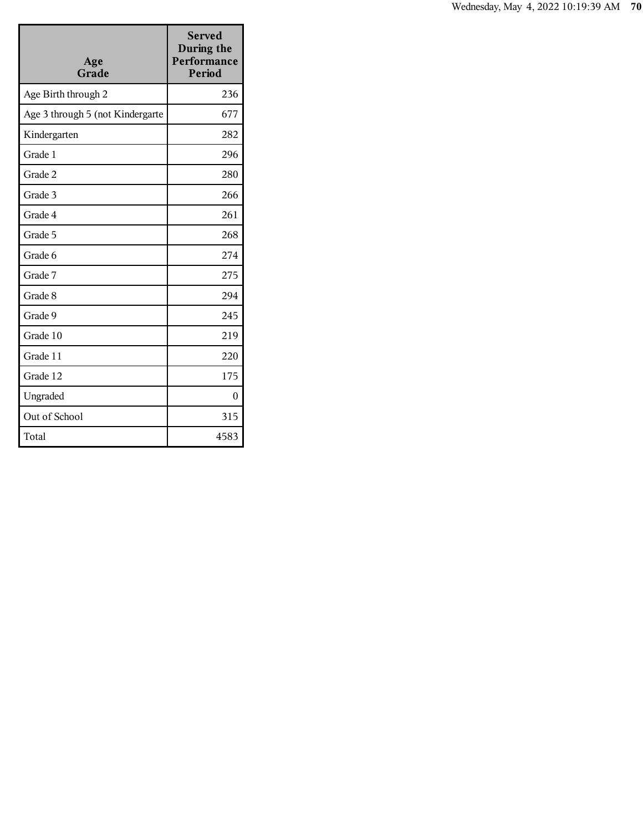| Age<br>Grade                     | <b>Served</b><br>During the<br>Performance<br><b>Period</b> |
|----------------------------------|-------------------------------------------------------------|
| Age Birth through 2              | 236                                                         |
| Age 3 through 5 (not Kindergarte | 677                                                         |
| Kindergarten                     | 282                                                         |
| Grade 1                          | 296                                                         |
| Grade 2                          | 280                                                         |
| Grade 3                          | 266                                                         |
| Grade 4                          | 261                                                         |
| Grade 5                          | 268                                                         |
| Grade 6                          | 274                                                         |
| Grade 7                          | 275                                                         |
| Grade 8                          | 294                                                         |
| Grade 9                          | 245                                                         |
| Grade 10                         | 219                                                         |
| Grade 11                         | 220                                                         |
| Grade 12                         | 175                                                         |
| Ungraded                         | 0                                                           |
| Out of School                    | 315                                                         |
| Total                            | 4583                                                        |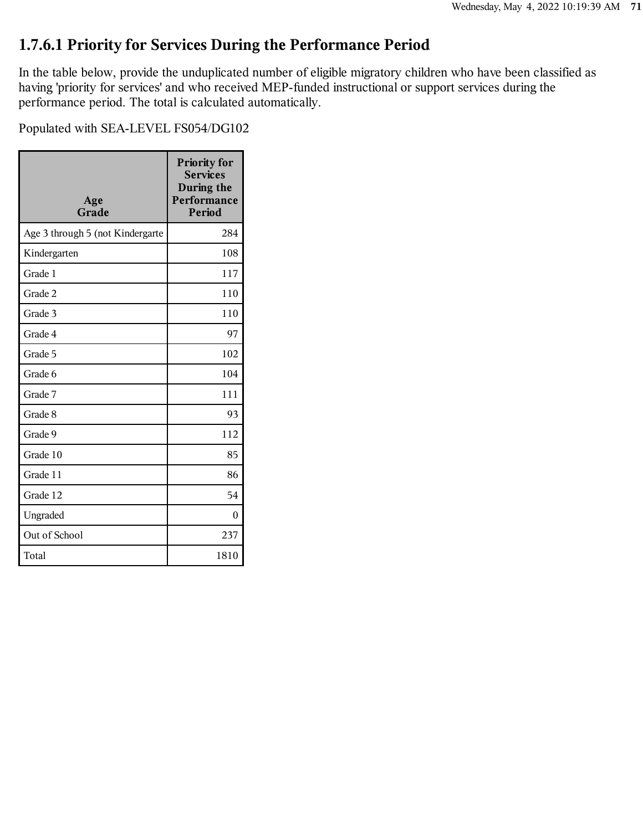# **1.7.6.1 Priority for Services During the Performance Period**

In the table below, provide the unduplicated number of eligible migratory children who have been classified as having 'priority for services' and who received MEP-funded instructional or support services during the performance period. The total is calculated automatically.

| Age<br>Grade                     | <b>Priority for</b><br><b>Services</b><br>During the<br>Performance<br><b>Period</b> |
|----------------------------------|--------------------------------------------------------------------------------------|
| Age 3 through 5 (not Kindergarte | 284                                                                                  |
| Kindergarten                     | 108                                                                                  |
| Grade 1                          | 117                                                                                  |
| Grade 2                          | 110                                                                                  |
| Grade 3                          | 110                                                                                  |
| Grade 4                          | 97                                                                                   |
| Grade 5                          | 102                                                                                  |
| Grade 6                          | 104                                                                                  |
| Grade 7                          | 111                                                                                  |
| Grade 8                          | 93                                                                                   |
| Grade 9                          | 112                                                                                  |
| Grade 10                         | 85                                                                                   |
| Grade 11                         | 86                                                                                   |
| Grade 12                         | 54                                                                                   |
| Ungraded                         | 0                                                                                    |
| Out of School                    | 237                                                                                  |
| Total                            | 1810                                                                                 |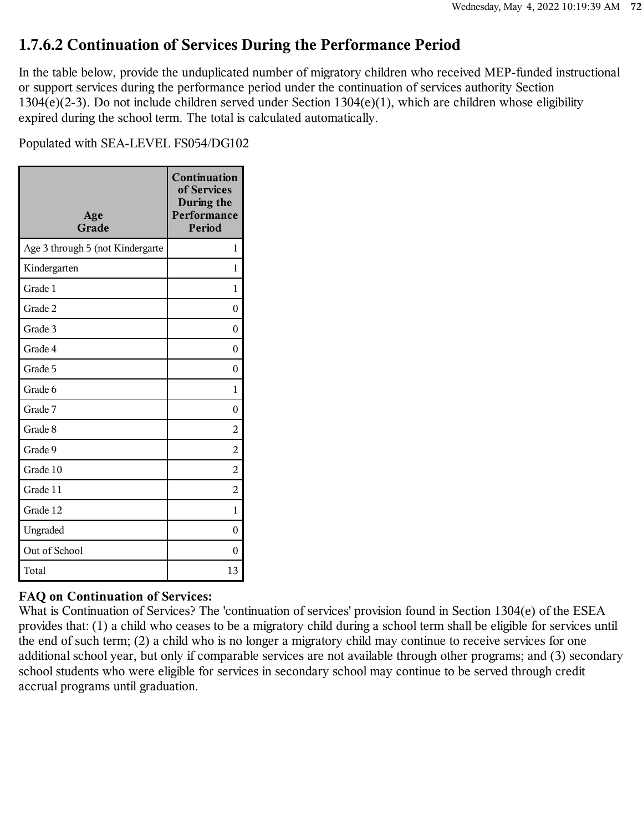## **1.7.6.2 Continuation of Services During the Performance Period**

In the table below, provide the unduplicated number of migratory children who received MEP-funded instructional or support services during the performance period under the continuation of services authority Section 1304(e)(2-3). Do not include children served under Section 1304(e)(1), which are children whose eligibility expired during the school term. The total is calculated automatically.

Populated with SEA-LEVEL FS054/DG102

| Age<br>Grade                     | <b>Continuation</b><br>of Services<br>During the<br>Performance<br><b>Period</b> |
|----------------------------------|----------------------------------------------------------------------------------|
| Age 3 through 5 (not Kindergarte | 1                                                                                |
| Kindergarten                     | 1                                                                                |
| Grade 1                          | 1                                                                                |
| Grade 2                          | 0                                                                                |
| Grade 3                          | 0                                                                                |
| Grade 4                          | 0                                                                                |
| Grade 5                          | 0                                                                                |
| Grade 6                          | 1                                                                                |
| Grade 7                          | 0                                                                                |
| Grade 8                          | 2                                                                                |
| Grade 9                          | $\overline{2}$                                                                   |
| Grade 10                         | 2                                                                                |
| Grade 11                         | 2                                                                                |
| Grade 12                         | 1                                                                                |
| Ungraded                         | 0                                                                                |
| Out of School                    | $\theta$                                                                         |
| Total                            | 13                                                                               |

#### **FAQ on Continuation of Services:**

What is Continuation of Services? The 'continuation of services' provision found in Section 1304(e) of the ESEA provides that: (1) a child who ceases to be a migratory child during a school term shall be eligible for services until the end of such term; (2) a child who is no longer a migratory child may continue to receive services for one additional school year, but only if comparable services are not available through other programs; and (3) secondary school students who were eligible for services in secondary school may continue to be served through credit accrual programs until graduation.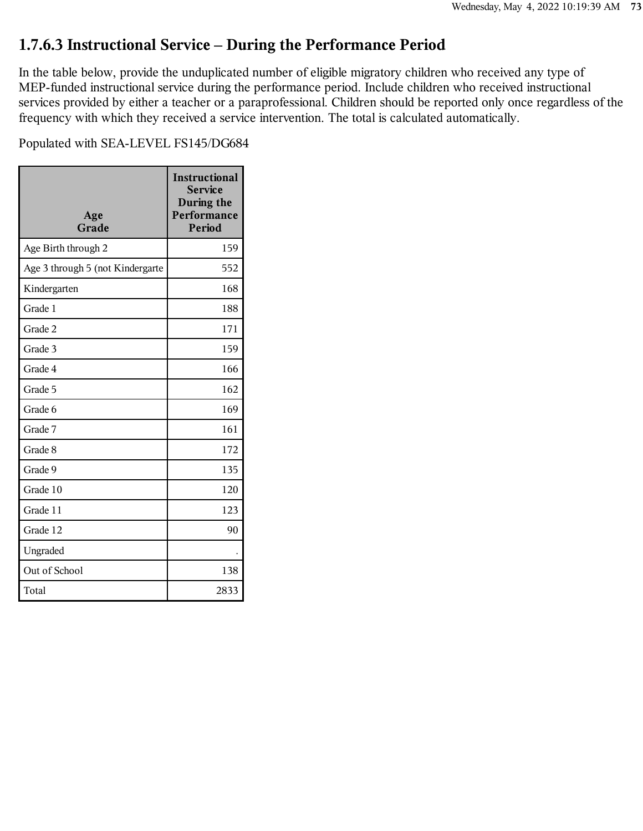### **1.7.6.3 Instructional Service – During the Performance Period**

In the table below, provide the unduplicated number of eligible migratory children who received any type of MEP-funded instructional service during the performance period. Include children who received instructional services provided by either a teacher or a paraprofessional. Children should be reported only once regardless of the frequency with which they received a service intervention. The total is calculated automatically.

Populated with SEA-LEVEL FS145/DG684

| Age<br>Grade                     | <b>Instructional</b><br><b>Service</b><br>During the<br>Performance<br><b>Period</b> |
|----------------------------------|--------------------------------------------------------------------------------------|
| Age Birth through 2              | 159                                                                                  |
| Age 3 through 5 (not Kindergarte | 552                                                                                  |
| Kindergarten                     | 168                                                                                  |
| Grade 1                          | 188                                                                                  |
| Grade 2                          | 171                                                                                  |
| Grade 3                          | 159                                                                                  |
| Grade 4                          | 166                                                                                  |
| Grade 5                          | 162                                                                                  |
| Grade 6                          | 169                                                                                  |
| Grade 7                          | 161                                                                                  |
| Grade 8                          | 172                                                                                  |
| Grade 9                          | 135                                                                                  |
| Grade 10                         | 120                                                                                  |
| Grade 11                         | 123                                                                                  |
| Grade 12                         | 90                                                                                   |
| Ungraded                         |                                                                                      |
| Out of School                    | 138                                                                                  |
| Total                            | 2833                                                                                 |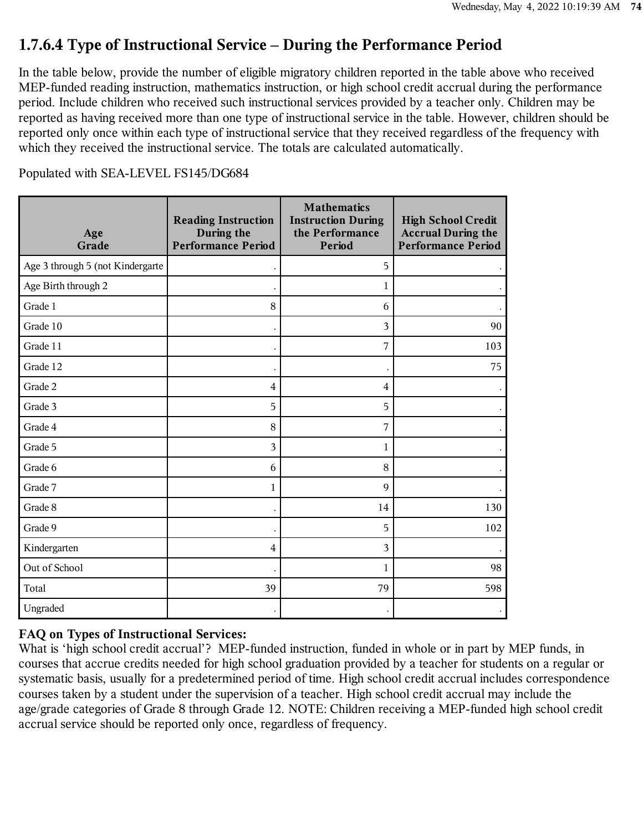### **1.7.6.4 Type of Instructional Service – During the Performance Period**

In the table below, provide the number of eligible migratory children reported in the table above who received MEP-funded reading instruction, mathematics instruction, or high school credit accrual during the performance period. Include children who received such instructional services provided by a teacher only. Children may be reported as having received more than one type of instructional service in the table. However, children should be reported only once within each type of instructional service that they received regardless of the frequency with which they received the instructional service. The totals are calculated automatically.

|  |  | Populated with SEA-LEVEL FS145/DG684 |  |  |
|--|--|--------------------------------------|--|--|
|  |  |                                      |  |  |

| Age<br>Grade                     | <b>Reading Instruction</b><br>During the<br><b>Performance Period</b> | <b>Mathematics</b><br><b>Instruction During</b><br>the Performance<br>Period | <b>High School Credit</b><br><b>Accrual During the</b><br><b>Performance Period</b> |
|----------------------------------|-----------------------------------------------------------------------|------------------------------------------------------------------------------|-------------------------------------------------------------------------------------|
| Age 3 through 5 (not Kindergarte |                                                                       | 5                                                                            |                                                                                     |
| Age Birth through 2              |                                                                       | 1                                                                            |                                                                                     |
| Grade 1                          | 8                                                                     | 6                                                                            |                                                                                     |
| Grade 10                         |                                                                       | 3                                                                            | 90                                                                                  |
| Grade 11                         |                                                                       | 7                                                                            | 103                                                                                 |
| Grade 12                         |                                                                       | $\ddot{\phantom{0}}$                                                         | 75                                                                                  |
| Grade 2                          | 4                                                                     | 4                                                                            |                                                                                     |
| Grade 3                          | 5                                                                     | 5                                                                            |                                                                                     |
| Grade 4                          | $\,8\,$                                                               | 7                                                                            |                                                                                     |
| Grade 5                          | 3                                                                     | 1                                                                            |                                                                                     |
| Grade 6                          | 6                                                                     | 8                                                                            |                                                                                     |
| Grade 7                          | 1                                                                     | 9                                                                            |                                                                                     |
| Grade 8                          |                                                                       | 14                                                                           | 130                                                                                 |
| Grade 9                          |                                                                       | 5                                                                            | 102                                                                                 |
| Kindergarten                     | $\overline{4}$                                                        | 3                                                                            |                                                                                     |
| Out of School                    |                                                                       | 1                                                                            | 98                                                                                  |
| Total                            | 39                                                                    | 79                                                                           | 598                                                                                 |
| Ungraded                         |                                                                       |                                                                              |                                                                                     |

#### **FAQ on Types of Instructional Services:**

What is 'high school credit accrual'? MEP-funded instruction, funded in whole or in part by MEP funds, in courses that accrue credits needed for high school graduation provided by a teacher for students on a regular or systematic basis, usually for a predetermined period of time. High school credit accrual includes correspondence courses taken by a student under the supervision of a teacher. High school credit accrual may include the age/grade categories of Grade 8 through Grade 12. NOTE: Children receiving a MEP-funded high school credit accrual service should be reported only once, regardless of frequency.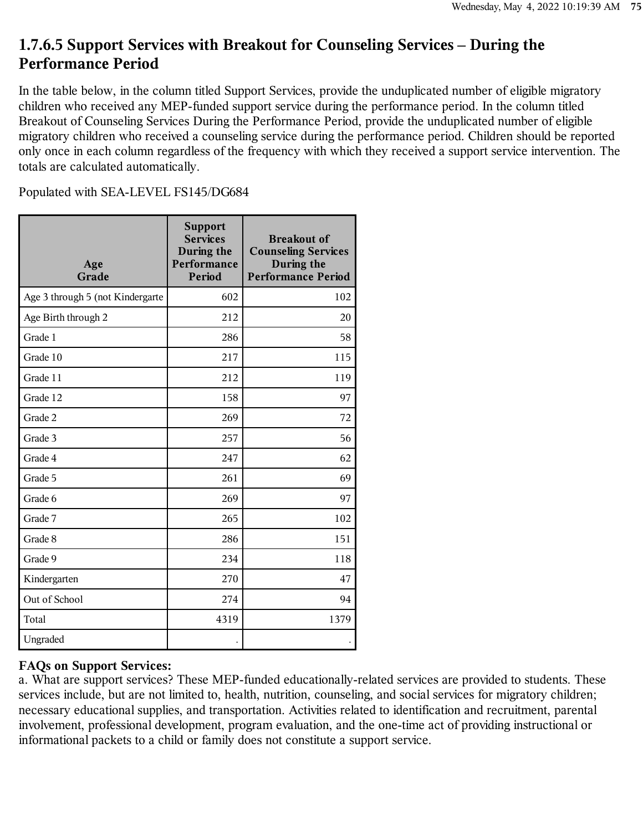### **1.7.6.5 Support Services with Breakout for Counseling Services – During the Performance Period**

In the table below, in the column titled Support Services, provide the unduplicated number of eligible migratory children who received any MEP-funded support service during the performance period. In the column titled Breakout of Counseling Services During the Performance Period, provide the unduplicated number of eligible migratory children who received a counseling service during the performance period. Children should be reported only once in each column regardless of the frequency with which they received a support service intervention. The totals are calculated automatically.

Populated with SEA-LEVEL FS145/DG684

| Age<br>Grade                     | <b>Support</b><br><b>Services</b><br>During the<br>Performance<br>Period | <b>Breakout of</b><br><b>Counseling Services</b><br>During the<br><b>Performance Period</b> |
|----------------------------------|--------------------------------------------------------------------------|---------------------------------------------------------------------------------------------|
| Age 3 through 5 (not Kindergarte | 602                                                                      | 102                                                                                         |
| Age Birth through 2              | 212                                                                      | 20                                                                                          |
| Grade 1                          | 286                                                                      | 58                                                                                          |
| Grade 10                         | 217                                                                      | 115                                                                                         |
| Grade 11                         | 212                                                                      | 119                                                                                         |
| Grade 12                         | 158                                                                      | 97                                                                                          |
| Grade 2                          | 269                                                                      | 72                                                                                          |
| Grade 3                          | 257                                                                      | 56                                                                                          |
| Grade 4                          | 247                                                                      | 62                                                                                          |
| Grade 5                          | 261                                                                      | 69                                                                                          |
| Grade 6                          | 269                                                                      | 97                                                                                          |
| Grade 7                          | 265                                                                      | 102                                                                                         |
| Grade 8                          | 286                                                                      | 151                                                                                         |
| Grade 9                          | 234                                                                      | 118                                                                                         |
| Kindergarten                     | 270                                                                      | 47                                                                                          |
| Out of School                    | 274                                                                      | 94                                                                                          |
| Total                            | 4319                                                                     | 1379                                                                                        |
| Ungraded                         |                                                                          |                                                                                             |

#### **FAQs on Support Services:**

a. What are support services? These MEP-funded educationally-related services are provided to students. These services include, but are not limited to, health, nutrition, counseling, and social services for migratory children; necessary educational supplies, and transportation. Activities related to identification and recruitment, parental involvement, professional development, program evaluation, and the one-time act of providing instructional or informational packets to a child or family does not constitute a support service.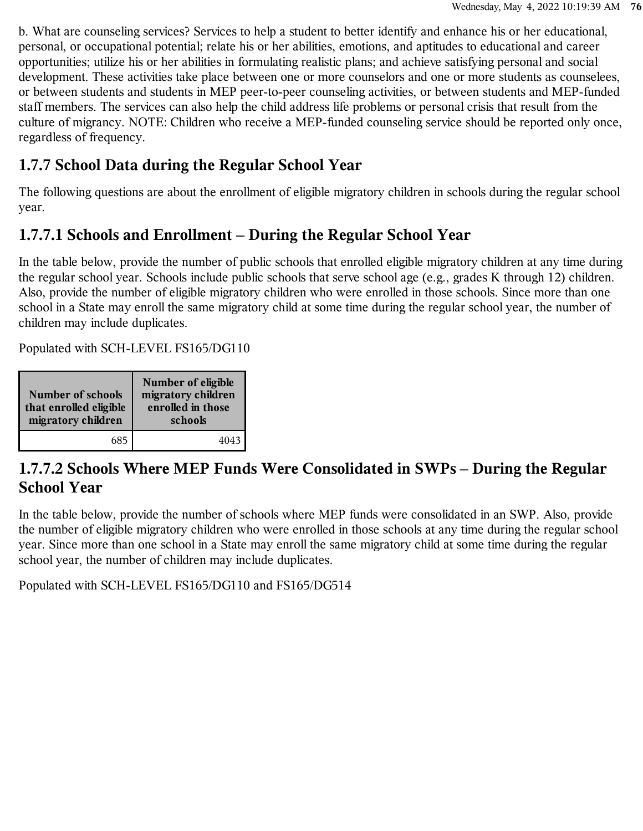b. What are counseling services? Services to help a student to better identify and enhance his or her educational, personal, or occupational potential; relate his or her abilities, emotions, and aptitudes to educational and career opportunities; utilize his or her abilities in formulating realistic plans; and achieve satisfying personal and social development. These activities take place between one or more counselors and one or more students as counselees, or between students and students in MEP peer-to-peer counseling activities, or between students and MEP-funded staff members. The services can also help the child address life problems or personal crisis that result from the culture of migrancy. NOTE: Children who receive a MEP-funded counseling service should be reported only once, regardless of frequency.

### **1.7.7 School Data during the Regular School Year**

The following questions are about the enrollment of eligible migratory children in schools during the regular school year.

## **1.7.7.1 Schools and Enrollment – During the Regular School Year**

In the table below, provide the number of public schools that enrolled eligible migratory children at any time during the regular school year. Schools include public schools that serve school age (e.g., grades K through 12) children. Also, provide the number of eligible migratory children who were enrolled in those schools. Since more than one school in a State may enroll the same migratory child at some time during the regular school year, the number of children may include duplicates.

Populated with SCH-LEVEL FS165/DG110

| <b>Number of schools</b><br>that enrolled eligible<br>migratory children | Number of eligible<br>migratory children<br>enrolled in those<br>schools |
|--------------------------------------------------------------------------|--------------------------------------------------------------------------|
| 685                                                                      | 4043                                                                     |

### **1.7.7.2 Schools Where MEP Funds Were Consolidated in SWPs – During the Regular School Year**

In the table below, provide the number of schools where MEP funds were consolidated in an SWP. Also, provide the number of eligible migratory children who were enrolled in those schools at any time during the regular school year. Since more than one school in a State may enroll the same migratory child at some time during the regular school year, the number of children may include duplicates.

Populated with SCH-LEVEL FS165/DG110 and FS165/DG514